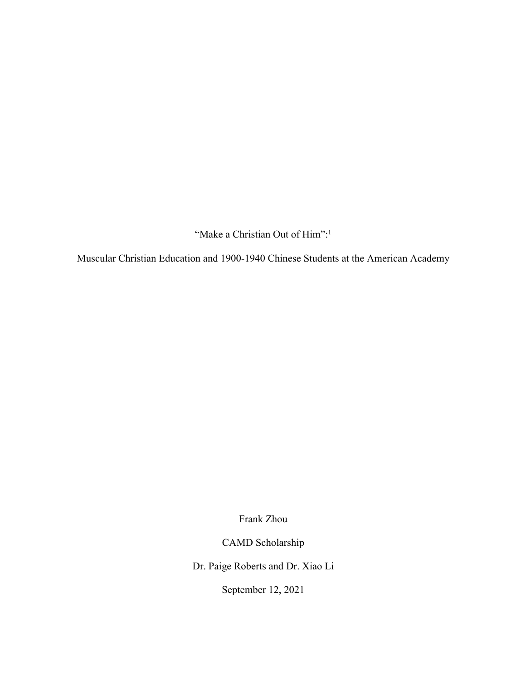"Make a Christian Out of Him":<sup>1</sup>

Muscular Christian Education and 1900-1940 Chinese Students at the American Academy

Frank Zhou

CAMD Scholarship

Dr. Paige Roberts and Dr. Xiao Li

September 12, 2021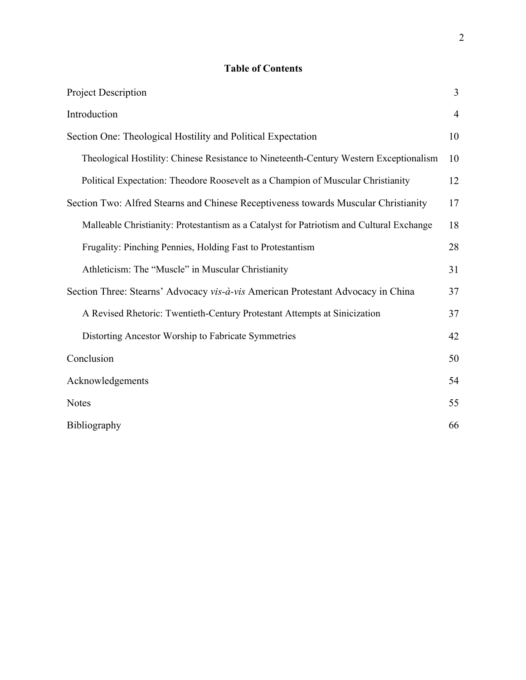# **Table of Contents**

| Project Description                                                                      | 3              |
|------------------------------------------------------------------------------------------|----------------|
| Introduction                                                                             | $\overline{4}$ |
| Section One: Theological Hostility and Political Expectation                             | 10             |
| Theological Hostility: Chinese Resistance to Nineteenth-Century Western Exceptionalism   | 10             |
| Political Expectation: Theodore Roosevelt as a Champion of Muscular Christianity         | 12             |
| Section Two: Alfred Stearns and Chinese Receptiveness towards Muscular Christianity      | 17             |
| Malleable Christianity: Protestantism as a Catalyst for Patriotism and Cultural Exchange | 18             |
| Frugality: Pinching Pennies, Holding Fast to Protestantism                               | 28             |
| Athleticism: The "Muscle" in Muscular Christianity                                       | 31             |
| Section Three: Stearns' Advocacy vis-à-vis American Protestant Advocacy in China         | 37             |
| A Revised Rhetoric: Twentieth-Century Protestant Attempts at Sinicization                | 37             |
| Distorting Ancestor Worship to Fabricate Symmetries                                      | 42             |
| Conclusion                                                                               | 50             |
| Acknowledgements                                                                         | 54             |
| <b>Notes</b>                                                                             | 55             |
| Bibliography                                                                             | 66             |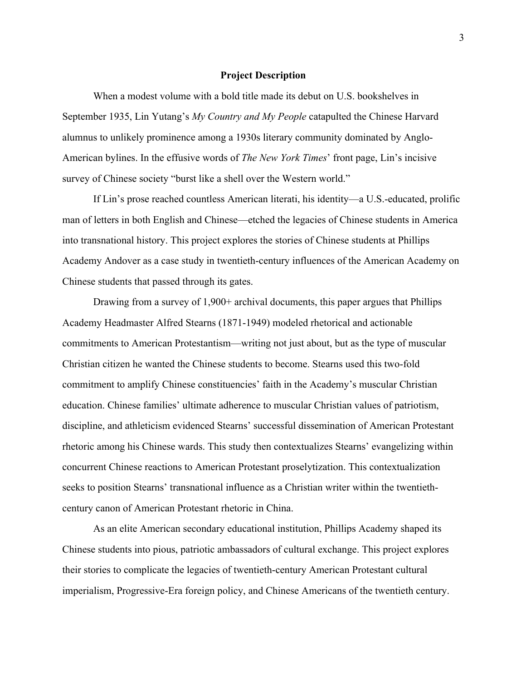# **Project Description**

When a modest volume with a bold title made its debut on U.S. bookshelves in September 1935, Lin Yutang's *My Country and My People* catapulted the Chinese Harvard alumnus to unlikely prominence among a 1930s literary community dominated by Anglo-American bylines. In the effusive words of *The New York Times*' front page, Lin's incisive survey of Chinese society "burst like a shell over the Western world."

If Lin's prose reached countless American literati, his identity—a U.S.-educated, prolific man of letters in both English and Chinese—etched the legacies of Chinese students in America into transnational history. This project explores the stories of Chinese students at Phillips Academy Andover as a case study in twentieth-century influences of the American Academy on Chinese students that passed through its gates.

Drawing from a survey of 1,900+ archival documents, this paper argues that Phillips Academy Headmaster Alfred Stearns (1871-1949) modeled rhetorical and actionable commitments to American Protestantism—writing not just about, but as the type of muscular Christian citizen he wanted the Chinese students to become. Stearns used this two-fold commitment to amplify Chinese constituencies' faith in the Academy's muscular Christian education. Chinese families' ultimate adherence to muscular Christian values of patriotism, discipline, and athleticism evidenced Stearns' successful dissemination of American Protestant rhetoric among his Chinese wards. This study then contextualizes Stearns' evangelizing within concurrent Chinese reactions to American Protestant proselytization. This contextualization seeks to position Stearns' transnational influence as a Christian writer within the twentiethcentury canon of American Protestant rhetoric in China.

As an elite American secondary educational institution, Phillips Academy shaped its Chinese students into pious, patriotic ambassadors of cultural exchange. This project explores their stories to complicate the legacies of twentieth-century American Protestant cultural imperialism, Progressive-Era foreign policy, and Chinese Americans of the twentieth century.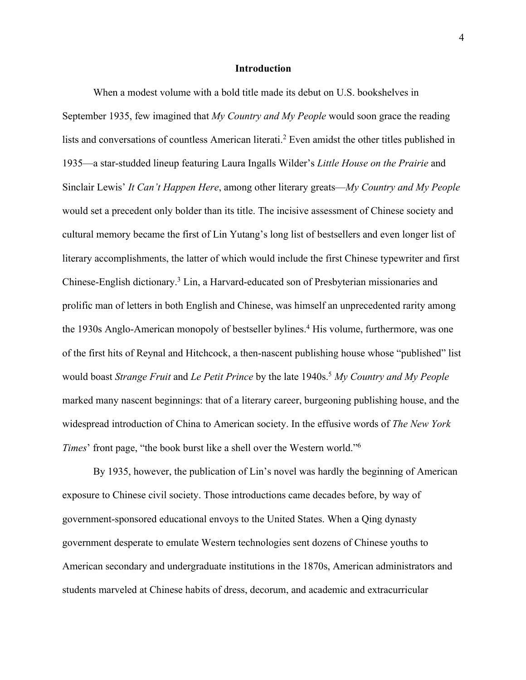# **Introduction**

When a modest volume with a bold title made its debut on U.S. bookshelves in September 1935, few imagined that *My Country and My People* would soon grace the reading lists and conversations of countless American literati.2 Even amidst the other titles published in 1935—a star-studded lineup featuring Laura Ingalls Wilder's *Little House on the Prairie* and Sinclair Lewis' *It Can't Happen Here*, among other literary greats—*My Country and My People* would set a precedent only bolder than its title. The incisive assessment of Chinese society and cultural memory became the first of Lin Yutang's long list of bestsellers and even longer list of literary accomplishments, the latter of which would include the first Chinese typewriter and first Chinese-English dictionary.3 Lin, a Harvard-educated son of Presbyterian missionaries and prolific man of letters in both English and Chinese, was himself an unprecedented rarity among the 1930s Anglo-American monopoly of bestseller bylines.<sup>4</sup> His volume, furthermore, was one of the first hits of Reynal and Hitchcock, a then-nascent publishing house whose "published" list would boast *Strange Fruit* and *Le Petit Prince* by the late 1940s.5 *My Country and My People* marked many nascent beginnings: that of a literary career, burgeoning publishing house, and the widespread introduction of China to American society. In the effusive words of *The New York Times*' front page, "the book burst like a shell over the Western world."6

By 1935, however, the publication of Lin's novel was hardly the beginning of American exposure to Chinese civil society. Those introductions came decades before, by way of government-sponsored educational envoys to the United States. When a Qing dynasty government desperate to emulate Western technologies sent dozens of Chinese youths to American secondary and undergraduate institutions in the 1870s, American administrators and students marveled at Chinese habits of dress, decorum, and academic and extracurricular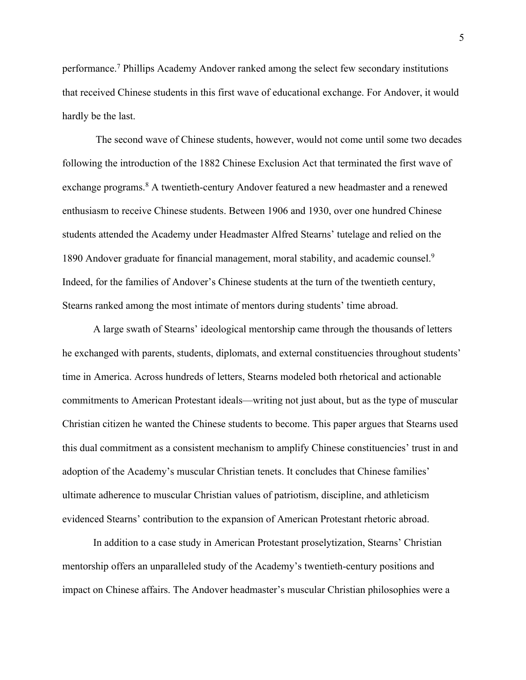performance. <sup>7</sup> Phillips Academy Andover ranked among the select few secondary institutions that received Chinese students in this first wave of educational exchange. For Andover, it would hardly be the last.

The second wave of Chinese students, however, would not come until some two decades following the introduction of the 1882 Chinese Exclusion Act that terminated the first wave of exchange programs.<sup>8</sup> A twentieth-century Andover featured a new headmaster and a renewed enthusiasm to receive Chinese students. Between 1906 and 1930, over one hundred Chinese students attended the Academy under Headmaster Alfred Stearns' tutelage and relied on the 1890 Andover graduate for financial management, moral stability, and academic counsel.<sup>9</sup> Indeed, for the families of Andover's Chinese students at the turn of the twentieth century, Stearns ranked among the most intimate of mentors during students' time abroad.

A large swath of Stearns' ideological mentorship came through the thousands of letters he exchanged with parents, students, diplomats, and external constituencies throughout students' time in America. Across hundreds of letters, Stearns modeled both rhetorical and actionable commitments to American Protestant ideals—writing not just about, but as the type of muscular Christian citizen he wanted the Chinese students to become. This paper argues that Stearns used this dual commitment as a consistent mechanism to amplify Chinese constituencies' trust in and adoption of the Academy's muscular Christian tenets. It concludes that Chinese families' ultimate adherence to muscular Christian values of patriotism, discipline, and athleticism evidenced Stearns' contribution to the expansion of American Protestant rhetoric abroad.

In addition to a case study in American Protestant proselytization, Stearns' Christian mentorship offers an unparalleled study of the Academy's twentieth-century positions and impact on Chinese affairs. The Andover headmaster's muscular Christian philosophies were a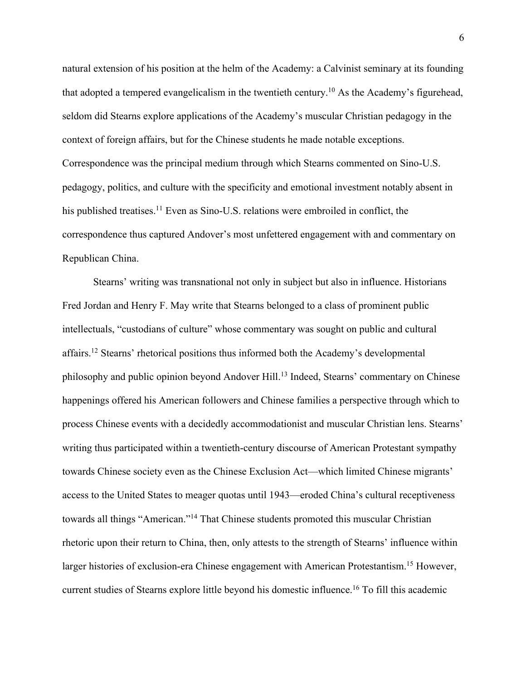natural extension of his position at the helm of the Academy: a Calvinist seminary at its founding that adopted a tempered evangelicalism in the twentieth century.<sup>10</sup> As the Academy's figurehead, seldom did Stearns explore applications of the Academy's muscular Christian pedagogy in the context of foreign affairs, but for the Chinese students he made notable exceptions. Correspondence was the principal medium through which Stearns commented on Sino-U.S. pedagogy, politics, and culture with the specificity and emotional investment notably absent in his published treatises.<sup>11</sup> Even as Sino-U.S. relations were embroiled in conflict, the correspondence thus captured Andover's most unfettered engagement with and commentary on Republican China.

Stearns' writing was transnational not only in subject but also in influence. Historians Fred Jordan and Henry F. May write that Stearns belonged to a class of prominent public intellectuals, "custodians of culture" whose commentary was sought on public and cultural affairs.12 Stearns' rhetorical positions thus informed both the Academy's developmental philosophy and public opinion beyond Andover Hill. <sup>13</sup> Indeed, Stearns' commentary on Chinese happenings offered his American followers and Chinese families a perspective through which to process Chinese events with a decidedly accommodationist and muscular Christian lens. Stearns' writing thus participated within a twentieth-century discourse of American Protestant sympathy towards Chinese society even as the Chinese Exclusion Act—which limited Chinese migrants' access to the United States to meager quotas until 1943—eroded China's cultural receptiveness towards all things "American."<sup>14</sup> That Chinese students promoted this muscular Christian rhetoric upon their return to China, then, only attests to the strength of Stearns' influence within larger histories of exclusion-era Chinese engagement with American Protestantism.<sup>15</sup> However, current studies of Stearns explore little beyond his domestic influence.16 To fill this academic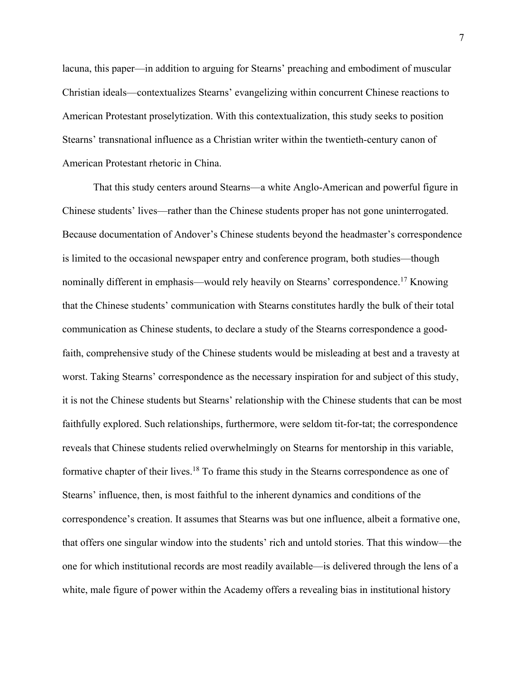lacuna, this paper—in addition to arguing for Stearns' preaching and embodiment of muscular Christian ideals—contextualizes Stearns' evangelizing within concurrent Chinese reactions to American Protestant proselytization. With this contextualization, this study seeks to position Stearns' transnational influence as a Christian writer within the twentieth-century canon of American Protestant rhetoric in China.

That this study centers around Stearns—a white Anglo-American and powerful figure in Chinese students' lives—rather than the Chinese students proper has not gone uninterrogated. Because documentation of Andover's Chinese students beyond the headmaster's correspondence is limited to the occasional newspaper entry and conference program, both studies—though nominally different in emphasis—would rely heavily on Stearns' correspondence.<sup>17</sup> Knowing that the Chinese students' communication with Stearns constitutes hardly the bulk of their total communication as Chinese students, to declare a study of the Stearns correspondence a goodfaith, comprehensive study of the Chinese students would be misleading at best and a travesty at worst. Taking Stearns' correspondence as the necessary inspiration for and subject of this study, it is not the Chinese students but Stearns' relationship with the Chinese students that can be most faithfully explored. Such relationships, furthermore, were seldom tit-for-tat; the correspondence reveals that Chinese students relied overwhelmingly on Stearns for mentorship in this variable, formative chapter of their lives.<sup>18</sup> To frame this study in the Stearns correspondence as one of Stearns' influence, then, is most faithful to the inherent dynamics and conditions of the correspondence's creation. It assumes that Stearns was but one influence, albeit a formative one, that offers one singular window into the students' rich and untold stories. That this window—the one for which institutional records are most readily available—is delivered through the lens of a white, male figure of power within the Academy offers a revealing bias in institutional history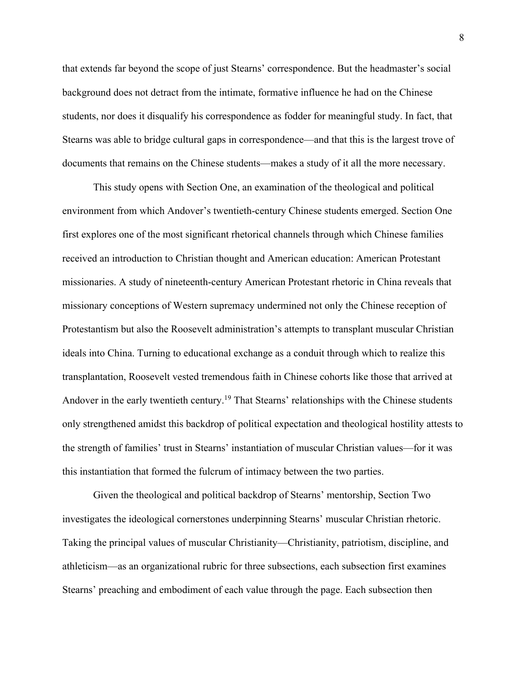that extends far beyond the scope of just Stearns' correspondence. But the headmaster's social background does not detract from the intimate, formative influence he had on the Chinese students, nor does it disqualify his correspondence as fodder for meaningful study. In fact, that Stearns was able to bridge cultural gaps in correspondence—and that this is the largest trove of documents that remains on the Chinese students—makes a study of it all the more necessary.

This study opens with Section One, an examination of the theological and political environment from which Andover's twentieth-century Chinese students emerged. Section One first explores one of the most significant rhetorical channels through which Chinese families received an introduction to Christian thought and American education: American Protestant missionaries. A study of nineteenth-century American Protestant rhetoric in China reveals that missionary conceptions of Western supremacy undermined not only the Chinese reception of Protestantism but also the Roosevelt administration's attempts to transplant muscular Christian ideals into China. Turning to educational exchange as a conduit through which to realize this transplantation, Roosevelt vested tremendous faith in Chinese cohorts like those that arrived at Andover in the early twentieth century.<sup>19</sup> That Stearns' relationships with the Chinese students only strengthened amidst this backdrop of political expectation and theological hostility attests to the strength of families' trust in Stearns' instantiation of muscular Christian values—for it was this instantiation that formed the fulcrum of intimacy between the two parties.

Given the theological and political backdrop of Stearns' mentorship, Section Two investigates the ideological cornerstones underpinning Stearns' muscular Christian rhetoric. Taking the principal values of muscular Christianity—Christianity, patriotism, discipline, and athleticism—as an organizational rubric for three subsections, each subsection first examines Stearns' preaching and embodiment of each value through the page. Each subsection then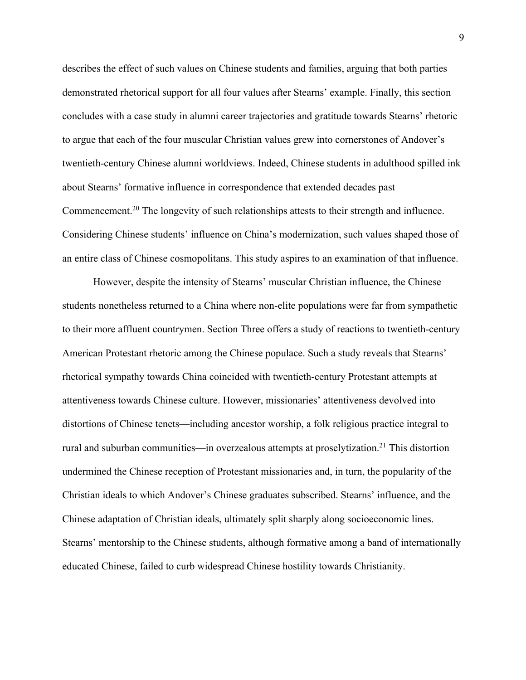describes the effect of such values on Chinese students and families, arguing that both parties demonstrated rhetorical support for all four values after Stearns' example. Finally, this section concludes with a case study in alumni career trajectories and gratitude towards Stearns' rhetoric to argue that each of the four muscular Christian values grew into cornerstones of Andover's twentieth-century Chinese alumni worldviews. Indeed, Chinese students in adulthood spilled ink about Stearns' formative influence in correspondence that extended decades past Commencement.20 The longevity of such relationships attests to their strength and influence. Considering Chinese students' influence on China's modernization, such values shaped those of an entire class of Chinese cosmopolitans. This study aspires to an examination of that influence.

However, despite the intensity of Stearns' muscular Christian influence, the Chinese students nonetheless returned to a China where non-elite populations were far from sympathetic to their more affluent countrymen. Section Three offers a study of reactions to twentieth-century American Protestant rhetoric among the Chinese populace. Such a study reveals that Stearns' rhetorical sympathy towards China coincided with twentieth-century Protestant attempts at attentiveness towards Chinese culture. However, missionaries' attentiveness devolved into distortions of Chinese tenets—including ancestor worship, a folk religious practice integral to rural and suburban communities—in overzealous attempts at proselytization.<sup>21</sup> This distortion undermined the Chinese reception of Protestant missionaries and, in turn, the popularity of the Christian ideals to which Andover's Chinese graduates subscribed. Stearns' influence, and the Chinese adaptation of Christian ideals, ultimately split sharply along socioeconomic lines. Stearns' mentorship to the Chinese students, although formative among a band of internationally educated Chinese, failed to curb widespread Chinese hostility towards Christianity.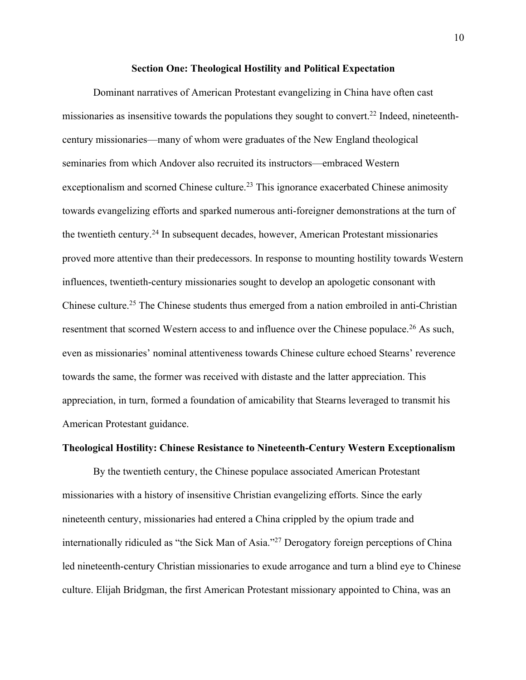## **Section One: Theological Hostility and Political Expectation**

Dominant narratives of American Protestant evangelizing in China have often cast missionaries as insensitive towards the populations they sought to convert.<sup>22</sup> Indeed, nineteenthcentury missionaries—many of whom were graduates of the New England theological seminaries from which Andover also recruited its instructors—embraced Western exceptionalism and scorned Chinese culture.<sup>23</sup> This ignorance exacerbated Chinese animosity towards evangelizing efforts and sparked numerous anti-foreigner demonstrations at the turn of the twentieth century.24 In subsequent decades, however, American Protestant missionaries proved more attentive than their predecessors. In response to mounting hostility towards Western influences, twentieth-century missionaries sought to develop an apologetic consonant with Chinese culture.<sup>25</sup> The Chinese students thus emerged from a nation embroiled in anti-Christian resentment that scorned Western access to and influence over the Chinese populace.<sup>26</sup> As such, even as missionaries' nominal attentiveness towards Chinese culture echoed Stearns' reverence towards the same, the former was received with distaste and the latter appreciation. This appreciation, in turn, formed a foundation of amicability that Stearns leveraged to transmit his American Protestant guidance.

# **Theological Hostility: Chinese Resistance to Nineteenth-Century Western Exceptionalism**

By the twentieth century, the Chinese populace associated American Protestant missionaries with a history of insensitive Christian evangelizing efforts. Since the early nineteenth century, missionaries had entered a China crippled by the opium trade and internationally ridiculed as "the Sick Man of Asia."27 Derogatory foreign perceptions of China led nineteenth-century Christian missionaries to exude arrogance and turn a blind eye to Chinese culture. Elijah Bridgman, the first American Protestant missionary appointed to China, was an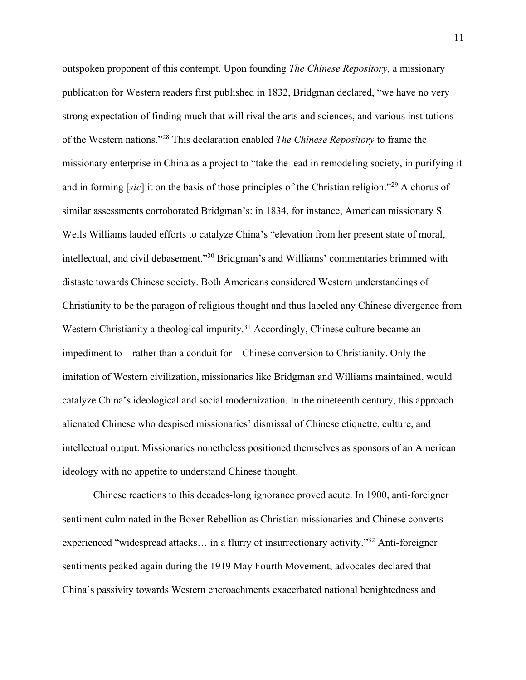outspoken proponent of this contempt. Upon founding *The Chinese Repository,* a missionary publication for Western readers first published in 1832, Bridgman declared, "we have no very strong expectation of finding much that will rival the arts and sciences, and various institutions of the Western nations."28 This declaration enabled *The Chinese Repository* to frame the missionary enterprise in China as a project to "take the lead in remodeling society, in purifying it and in forming [*sic*] it on the basis of those principles of the Christian religion."29 A chorus of similar assessments corroborated Bridgman's: in 1834, for instance, American missionary S. Wells Williams lauded efforts to catalyze China's "elevation from her present state of moral, intellectual, and civil debasement."30 Bridgman's and Williams' commentaries brimmed with distaste towards Chinese society. Both Americans considered Western understandings of Christianity to be the paragon of religious thought and thus labeled any Chinese divergence from Western Christianity a theological impurity.<sup>31</sup> Accordingly, Chinese culture became an impediment to—rather than a conduit for—Chinese conversion to Christianity. Only the imitation of Western civilization, missionaries like Bridgman and Williams maintained, would catalyze China's ideological and social modernization. In the nineteenth century, this approach alienated Chinese who despised missionaries' dismissal of Chinese etiquette, culture, and intellectual output. Missionaries nonetheless positioned themselves as sponsors of an American ideology with no appetite to understand Chinese thought.

Chinese reactions to this decades-long ignorance proved acute. In 1900, anti-foreigner sentiment culminated in the Boxer Rebellion as Christian missionaries and Chinese converts experienced "widespread attacks… in a flurry of insurrectionary activity."32 Anti-foreigner sentiments peaked again during the 1919 May Fourth Movement; advocates declared that China's passivity towards Western encroachments exacerbated national benightedness and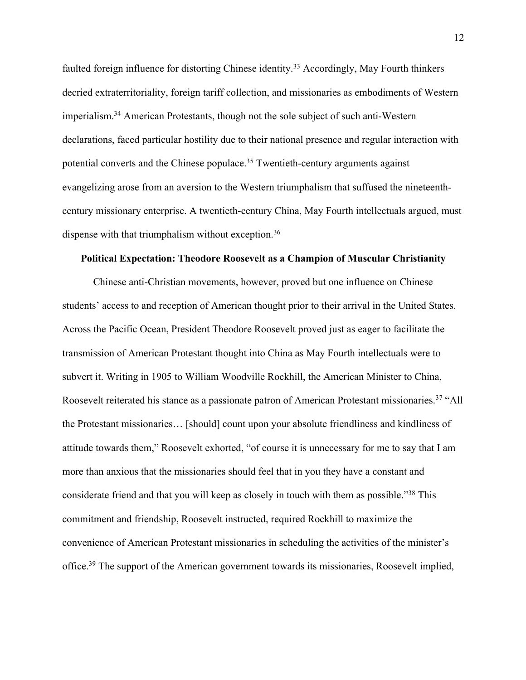faulted foreign influence for distorting Chinese identity.<sup>33</sup> Accordingly, May Fourth thinkers decried extraterritoriality, foreign tariff collection, and missionaries as embodiments of Western imperialism.34 American Protestants, though not the sole subject of such anti-Western declarations, faced particular hostility due to their national presence and regular interaction with potential converts and the Chinese populace.<sup>35</sup> Twentieth-century arguments against evangelizing arose from an aversion to the Western triumphalism that suffused the nineteenthcentury missionary enterprise. A twentieth-century China, May Fourth intellectuals argued, must dispense with that triumphalism without exception.<sup>36</sup>

#### **Political Expectation: Theodore Roosevelt as a Champion of Muscular Christianity**

Chinese anti-Christian movements, however, proved but one influence on Chinese students' access to and reception of American thought prior to their arrival in the United States. Across the Pacific Ocean, President Theodore Roosevelt proved just as eager to facilitate the transmission of American Protestant thought into China as May Fourth intellectuals were to subvert it. Writing in 1905 to William Woodville Rockhill, the American Minister to China, Roosevelt reiterated his stance as a passionate patron of American Protestant missionaries.<sup>37</sup> "All the Protestant missionaries… [should] count upon your absolute friendliness and kindliness of attitude towards them," Roosevelt exhorted, "of course it is unnecessary for me to say that I am more than anxious that the missionaries should feel that in you they have a constant and considerate friend and that you will keep as closely in touch with them as possible."38 This commitment and friendship, Roosevelt instructed, required Rockhill to maximize the convenience of American Protestant missionaries in scheduling the activities of the minister's office.<sup>39</sup> The support of the American government towards its missionaries, Roosevelt implied,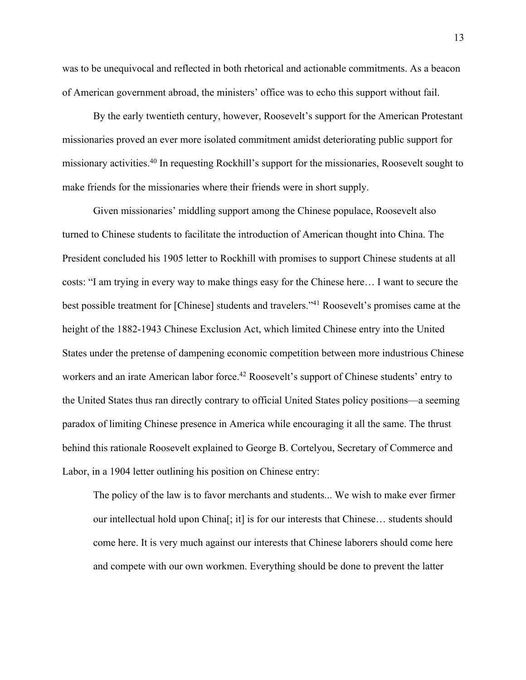was to be unequivocal and reflected in both rhetorical and actionable commitments. As a beacon of American government abroad, the ministers' office was to echo this support without fail.

By the early twentieth century, however, Roosevelt's support for the American Protestant missionaries proved an ever more isolated commitment amidst deteriorating public support for missionary activities.40 In requesting Rockhill's support for the missionaries, Roosevelt sought to make friends for the missionaries where their friends were in short supply.

Given missionaries' middling support among the Chinese populace, Roosevelt also turned to Chinese students to facilitate the introduction of American thought into China. The President concluded his 1905 letter to Rockhill with promises to support Chinese students at all costs: "I am trying in every way to make things easy for the Chinese here… I want to secure the best possible treatment for [Chinese] students and travelers."41 Roosevelt's promises came at the height of the 1882-1943 Chinese Exclusion Act, which limited Chinese entry into the United States under the pretense of dampening economic competition between more industrious Chinese workers and an irate American labor force.<sup>42</sup> Roosevelt's support of Chinese students' entry to the United States thus ran directly contrary to official United States policy positions—a seeming paradox of limiting Chinese presence in America while encouraging it all the same. The thrust behind this rationale Roosevelt explained to George B. Cortelyou, Secretary of Commerce and Labor, in a 1904 letter outlining his position on Chinese entry:

The policy of the law is to favor merchants and students... We wish to make ever firmer our intellectual hold upon China[; it] is for our interests that Chinese… students should come here. It is very much against our interests that Chinese laborers should come here and compete with our own workmen. Everything should be done to prevent the latter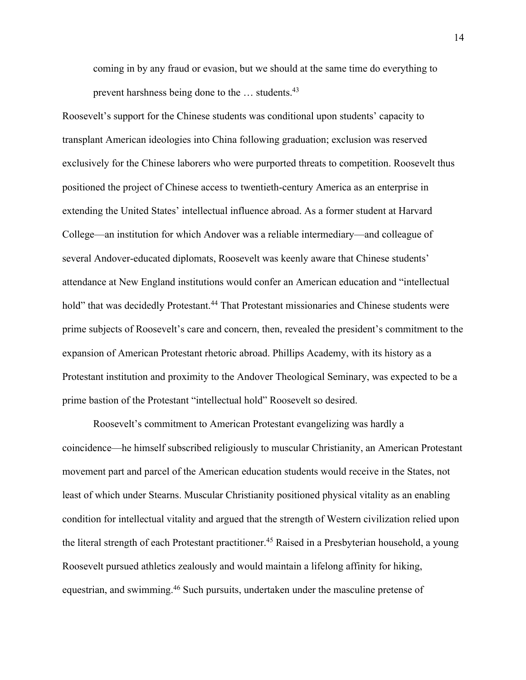coming in by any fraud or evasion, but we should at the same time do everything to prevent harshness being done to the ... students.<sup>43</sup>

Roosevelt's support for the Chinese students was conditional upon students' capacity to transplant American ideologies into China following graduation; exclusion was reserved exclusively for the Chinese laborers who were purported threats to competition. Roosevelt thus positioned the project of Chinese access to twentieth-century America as an enterprise in extending the United States' intellectual influence abroad. As a former student at Harvard College—an institution for which Andover was a reliable intermediary—and colleague of several Andover-educated diplomats, Roosevelt was keenly aware that Chinese students' attendance at New England institutions would confer an American education and "intellectual hold" that was decidedly Protestant.<sup>44</sup> That Protestant missionaries and Chinese students were prime subjects of Roosevelt's care and concern, then, revealed the president's commitment to the expansion of American Protestant rhetoric abroad. Phillips Academy, with its history as a Protestant institution and proximity to the Andover Theological Seminary, was expected to be a prime bastion of the Protestant "intellectual hold" Roosevelt so desired.

Roosevelt's commitment to American Protestant evangelizing was hardly a coincidence—he himself subscribed religiously to muscular Christianity, an American Protestant movement part and parcel of the American education students would receive in the States, not least of which under Stearns. Muscular Christianity positioned physical vitality as an enabling condition for intellectual vitality and argued that the strength of Western civilization relied upon the literal strength of each Protestant practitioner.<sup>45</sup> Raised in a Presbyterian household, a young Roosevelt pursued athletics zealously and would maintain a lifelong affinity for hiking, equestrian, and swimming.<sup>46</sup> Such pursuits, undertaken under the masculine pretense of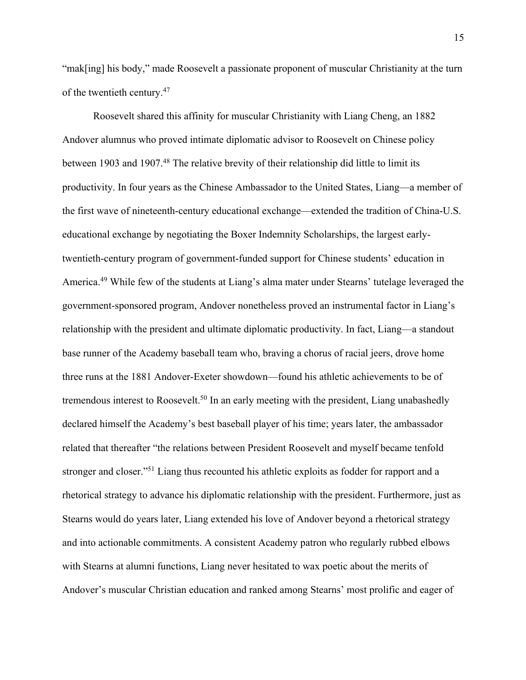"mak[ing] his body," made Roosevelt a passionate proponent of muscular Christianity at the turn of the twentieth century.47

Roosevelt shared this affinity for muscular Christianity with Liang Cheng, an 1882 Andover alumnus who proved intimate diplomatic advisor to Roosevelt on Chinese policy between 1903 and 1907.<sup>48</sup> The relative brevity of their relationship did little to limit its productivity. In four years as the Chinese Ambassador to the United States, Liang—a member of the first wave of nineteenth-century educational exchange—extended the tradition of China-U.S. educational exchange by negotiating the Boxer Indemnity Scholarships, the largest earlytwentieth-century program of government-funded support for Chinese students' education in America.<sup>49</sup> While few of the students at Liang's alma mater under Stearns' tutelage leveraged the government-sponsored program, Andover nonetheless proved an instrumental factor in Liang's relationship with the president and ultimate diplomatic productivity. In fact, Liang—a standout base runner of the Academy baseball team who, braving a chorus of racial jeers, drove home three runs at the 1881 Andover-Exeter showdown—found his athletic achievements to be of tremendous interest to Roosevelt.<sup>50</sup> In an early meeting with the president, Liang unabashedly declared himself the Academy's best baseball player of his time; years later, the ambassador related that thereafter "the relations between President Roosevelt and myself became tenfold stronger and closer."<sup>51</sup> Liang thus recounted his athletic exploits as fodder for rapport and a rhetorical strategy to advance his diplomatic relationship with the president. Furthermore, just as Stearns would do years later, Liang extended his love of Andover beyond a rhetorical strategy and into actionable commitments. A consistent Academy patron who regularly rubbed elbows with Stearns at alumni functions, Liang never hesitated to wax poetic about the merits of Andover's muscular Christian education and ranked among Stearns' most prolific and eager of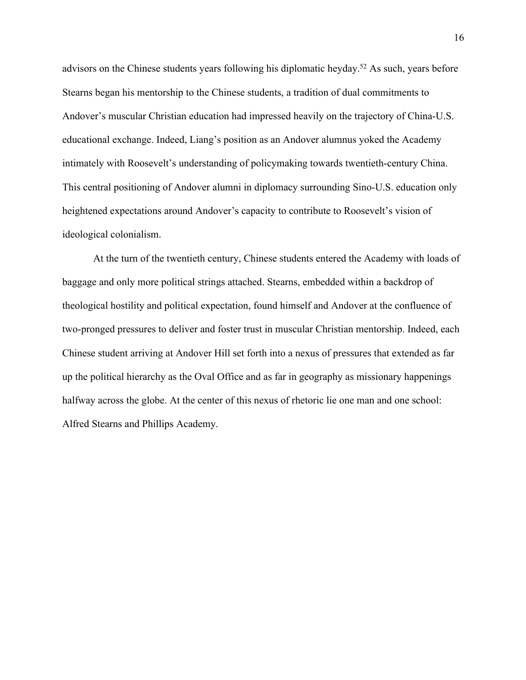advisors on the Chinese students years following his diplomatic heyday.<sup>52</sup> As such, years before Stearns began his mentorship to the Chinese students, a tradition of dual commitments to Andover's muscular Christian education had impressed heavily on the trajectory of China-U.S. educational exchange. Indeed, Liang's position as an Andover alumnus yoked the Academy intimately with Roosevelt's understanding of policymaking towards twentieth-century China. This central positioning of Andover alumni in diplomacy surrounding Sino-U.S. education only heightened expectations around Andover's capacity to contribute to Roosevelt's vision of ideological colonialism.

At the turn of the twentieth century, Chinese students entered the Academy with loads of baggage and only more political strings attached. Stearns, embedded within a backdrop of theological hostility and political expectation, found himself and Andover at the confluence of two-pronged pressures to deliver and foster trust in muscular Christian mentorship. Indeed, each Chinese student arriving at Andover Hill set forth into a nexus of pressures that extended as far up the political hierarchy as the Oval Office and as far in geography as missionary happenings halfway across the globe. At the center of this nexus of rhetoric lie one man and one school: Alfred Stearns and Phillips Academy.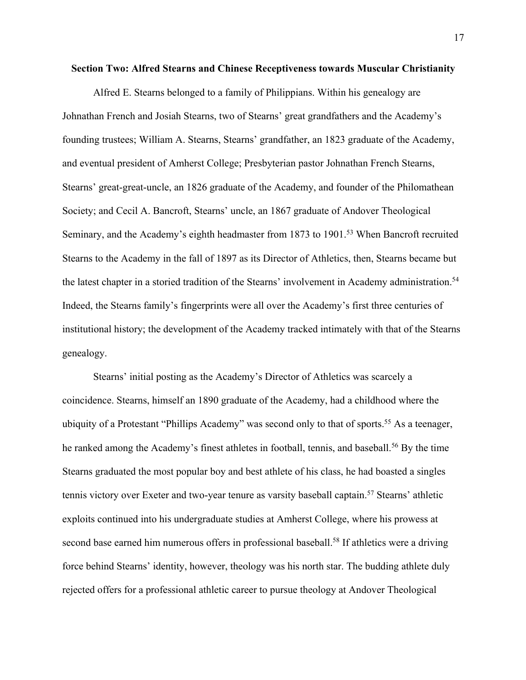#### **Section Two: Alfred Stearns and Chinese Receptiveness towards Muscular Christianity**

Alfred E. Stearns belonged to a family of Philippians. Within his genealogy are Johnathan French and Josiah Stearns, two of Stearns' great grandfathers and the Academy's founding trustees; William A. Stearns, Stearns' grandfather, an 1823 graduate of the Academy, and eventual president of Amherst College; Presbyterian pastor Johnathan French Stearns, Stearns' great-great-uncle, an 1826 graduate of the Academy, and founder of the Philomathean Society; and Cecil A. Bancroft, Stearns' uncle, an 1867 graduate of Andover Theological Seminary, and the Academy's eighth headmaster from 1873 to 1901.<sup>53</sup> When Bancroft recruited Stearns to the Academy in the fall of 1897 as its Director of Athletics, then, Stearns became but the latest chapter in a storied tradition of the Stearns' involvement in Academy administration.<sup>54</sup> Indeed, the Stearns family's fingerprints were all over the Academy's first three centuries of institutional history; the development of the Academy tracked intimately with that of the Stearns genealogy.

Stearns' initial posting as the Academy's Director of Athletics was scarcely a coincidence. Stearns, himself an 1890 graduate of the Academy, had a childhood where the ubiquity of a Protestant "Phillips Academy" was second only to that of sports.<sup>55</sup> As a teenager, he ranked among the Academy's finest athletes in football, tennis, and baseball.<sup>56</sup> By the time Stearns graduated the most popular boy and best athlete of his class, he had boasted a singles tennis victory over Exeter and two-year tenure as varsity baseball captain. <sup>57</sup> Stearns' athletic exploits continued into his undergraduate studies at Amherst College, where his prowess at second base earned him numerous offers in professional baseball.<sup>58</sup> If athletics were a driving force behind Stearns' identity, however, theology was his north star. The budding athlete duly rejected offers for a professional athletic career to pursue theology at Andover Theological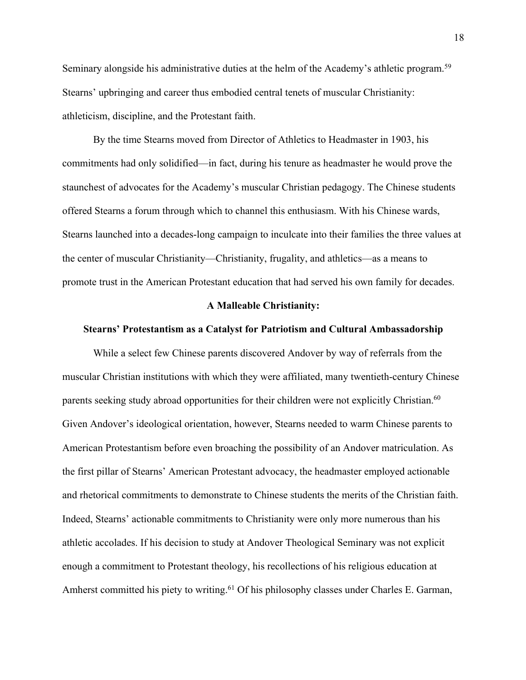Seminary alongside his administrative duties at the helm of the Academy's athletic program.<sup>59</sup> Stearns' upbringing and career thus embodied central tenets of muscular Christianity: athleticism, discipline, and the Protestant faith.

By the time Stearns moved from Director of Athletics to Headmaster in 1903, his commitments had only solidified—in fact, during his tenure as headmaster he would prove the staunchest of advocates for the Academy's muscular Christian pedagogy. The Chinese students offered Stearns a forum through which to channel this enthusiasm. With his Chinese wards, Stearns launched into a decades-long campaign to inculcate into their families the three values at the center of muscular Christianity—Christianity, frugality, and athletics—as a means to promote trust in the American Protestant education that had served his own family for decades.

#### **A Malleable Christianity:**

# **Stearns' Protestantism as a Catalyst for Patriotism and Cultural Ambassadorship**

While a select few Chinese parents discovered Andover by way of referrals from the muscular Christian institutions with which they were affiliated, many twentieth-century Chinese parents seeking study abroad opportunities for their children were not explicitly Christian.<sup>60</sup> Given Andover's ideological orientation, however, Stearns needed to warm Chinese parents to American Protestantism before even broaching the possibility of an Andover matriculation. As the first pillar of Stearns' American Protestant advocacy, the headmaster employed actionable and rhetorical commitments to demonstrate to Chinese students the merits of the Christian faith. Indeed, Stearns' actionable commitments to Christianity were only more numerous than his athletic accolades. If his decision to study at Andover Theological Seminary was not explicit enough a commitment to Protestant theology, his recollections of his religious education at Amherst committed his piety to writing.<sup>61</sup> Of his philosophy classes under Charles E. Garman,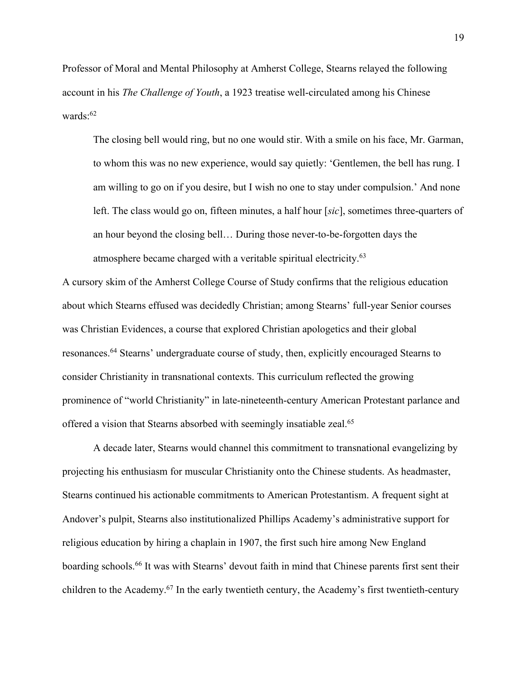Professor of Moral and Mental Philosophy at Amherst College, Stearns relayed the following account in his *The Challenge of Youth*, a 1923 treatise well-circulated among his Chinese wards: 62

The closing bell would ring, but no one would stir. With a smile on his face, Mr. Garman, to whom this was no new experience, would say quietly: 'Gentlemen, the bell has rung. I am willing to go on if you desire, but I wish no one to stay under compulsion.' And none left. The class would go on, fifteen minutes, a half hour [*sic*], sometimes three-quarters of an hour beyond the closing bell… During those never-to-be-forgotten days the atmosphere became charged with a veritable spiritual electricity.63

A cursory skim of the Amherst College Course of Study confirms that the religious education about which Stearns effused was decidedly Christian; among Stearns' full-year Senior courses was Christian Evidences, a course that explored Christian apologetics and their global resonances.64 Stearns' undergraduate course of study, then, explicitly encouraged Stearns to consider Christianity in transnational contexts. This curriculum reflected the growing prominence of "world Christianity" in late-nineteenth-century American Protestant parlance and offered a vision that Stearns absorbed with seemingly insatiable zeal.<sup>65</sup>

A decade later, Stearns would channel this commitment to transnational evangelizing by projecting his enthusiasm for muscular Christianity onto the Chinese students. As headmaster, Stearns continued his actionable commitments to American Protestantism. A frequent sight at Andover's pulpit, Stearns also institutionalized Phillips Academy's administrative support for religious education by hiring a chaplain in 1907, the first such hire among New England boarding schools.<sup>66</sup> It was with Stearns' devout faith in mind that Chinese parents first sent their children to the Academy.<sup>67</sup> In the early twentieth century, the Academy's first twentieth-century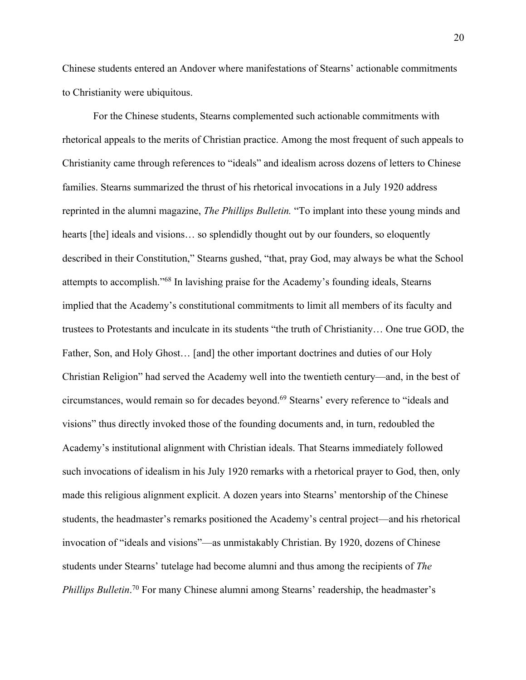Chinese students entered an Andover where manifestations of Stearns' actionable commitments to Christianity were ubiquitous.

For the Chinese students, Stearns complemented such actionable commitments with rhetorical appeals to the merits of Christian practice. Among the most frequent of such appeals to Christianity came through references to "ideals" and idealism across dozens of letters to Chinese families. Stearns summarized the thrust of his rhetorical invocations in a July 1920 address reprinted in the alumni magazine, *The Phillips Bulletin.* "To implant into these young minds and hearts [the] ideals and visions... so splendidly thought out by our founders, so eloquently described in their Constitution," Stearns gushed, "that, pray God, may always be what the School attempts to accomplish."68 In lavishing praise for the Academy's founding ideals, Stearns implied that the Academy's constitutional commitments to limit all members of its faculty and trustees to Protestants and inculcate in its students "the truth of Christianity… One true GOD, the Father, Son, and Holy Ghost… [and] the other important doctrines and duties of our Holy Christian Religion" had served the Academy well into the twentieth century—and, in the best of circumstances, would remain so for decades beyond. <sup>69</sup> Stearns' every reference to "ideals and visions" thus directly invoked those of the founding documents and, in turn, redoubled the Academy's institutional alignment with Christian ideals. That Stearns immediately followed such invocations of idealism in his July 1920 remarks with a rhetorical prayer to God, then, only made this religious alignment explicit. A dozen years into Stearns' mentorship of the Chinese students, the headmaster's remarks positioned the Academy's central project—and his rhetorical invocation of "ideals and visions"—as unmistakably Christian. By 1920, dozens of Chinese students under Stearns' tutelage had become alumni and thus among the recipients of *The*  Phillips Bulletin.<sup>70</sup> For many Chinese alumni among Stearns' readership, the headmaster's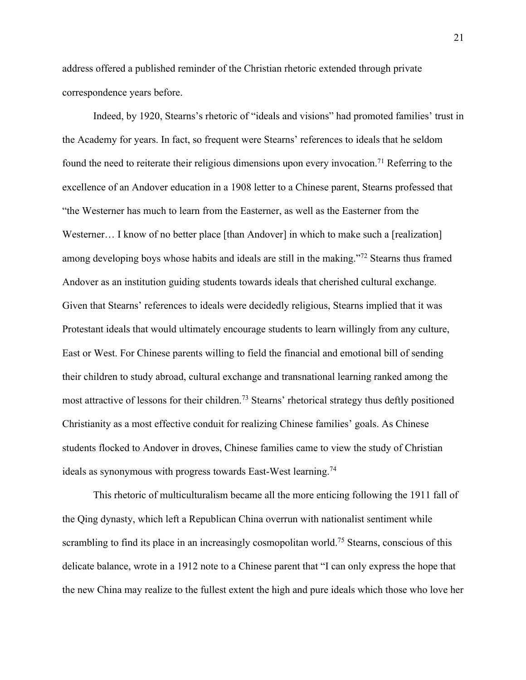address offered a published reminder of the Christian rhetoric extended through private correspondence years before.

Indeed, by 1920, Stearns's rhetoric of "ideals and visions" had promoted families' trust in the Academy for years. In fact, so frequent were Stearns' references to ideals that he seldom found the need to reiterate their religious dimensions upon every invocation.71 Referring to the excellence of an Andover education in a 1908 letter to a Chinese parent, Stearns professed that "the Westerner has much to learn from the Easterner, as well as the Easterner from the Westerner... I know of no better place [than Andover] in which to make such a [realization] among developing boys whose habits and ideals are still in the making."<sup>72</sup> Stearns thus framed Andover as an institution guiding students towards ideals that cherished cultural exchange. Given that Stearns' references to ideals were decidedly religious, Stearns implied that it was Protestant ideals that would ultimately encourage students to learn willingly from any culture, East or West. For Chinese parents willing to field the financial and emotional bill of sending their children to study abroad, cultural exchange and transnational learning ranked among the most attractive of lessons for their children.<sup>73</sup> Stearns' rhetorical strategy thus deftly positioned Christianity as a most effective conduit for realizing Chinese families' goals. As Chinese students flocked to Andover in droves, Chinese families came to view the study of Christian ideals as synonymous with progress towards East-West learning.<sup>74</sup>

This rhetoric of multiculturalism became all the more enticing following the 1911 fall of the Qing dynasty, which left a Republican China overrun with nationalist sentiment while scrambling to find its place in an increasingly cosmopolitan world.<sup>75</sup> Stearns, conscious of this delicate balance, wrote in a 1912 note to a Chinese parent that "I can only express the hope that the new China may realize to the fullest extent the high and pure ideals which those who love her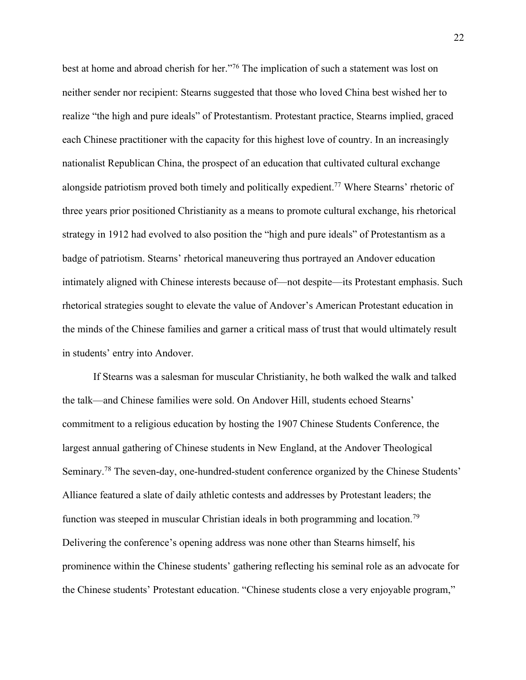best at home and abroad cherish for her."76 The implication of such a statement was lost on neither sender nor recipient: Stearns suggested that those who loved China best wished her to realize "the high and pure ideals" of Protestantism. Protestant practice, Stearns implied, graced each Chinese practitioner with the capacity for this highest love of country. In an increasingly nationalist Republican China, the prospect of an education that cultivated cultural exchange alongside patriotism proved both timely and politically expedient.77 Where Stearns' rhetoric of three years prior positioned Christianity as a means to promote cultural exchange, his rhetorical strategy in 1912 had evolved to also position the "high and pure ideals" of Protestantism as a badge of patriotism. Stearns' rhetorical maneuvering thus portrayed an Andover education intimately aligned with Chinese interests because of—not despite—its Protestant emphasis. Such rhetorical strategies sought to elevate the value of Andover's American Protestant education in the minds of the Chinese families and garner a critical mass of trust that would ultimately result in students' entry into Andover.

If Stearns was a salesman for muscular Christianity, he both walked the walk and talked the talk—and Chinese families were sold. On Andover Hill, students echoed Stearns' commitment to a religious education by hosting the 1907 Chinese Students Conference, the largest annual gathering of Chinese students in New England, at the Andover Theological Seminary.<sup>78</sup> The seven-day, one-hundred-student conference organized by the Chinese Students' Alliance featured a slate of daily athletic contests and addresses by Protestant leaders; the function was steeped in muscular Christian ideals in both programming and location.<sup>79</sup> Delivering the conference's opening address was none other than Stearns himself, his prominence within the Chinese students' gathering reflecting his seminal role as an advocate for the Chinese students' Protestant education. "Chinese students close a very enjoyable program,"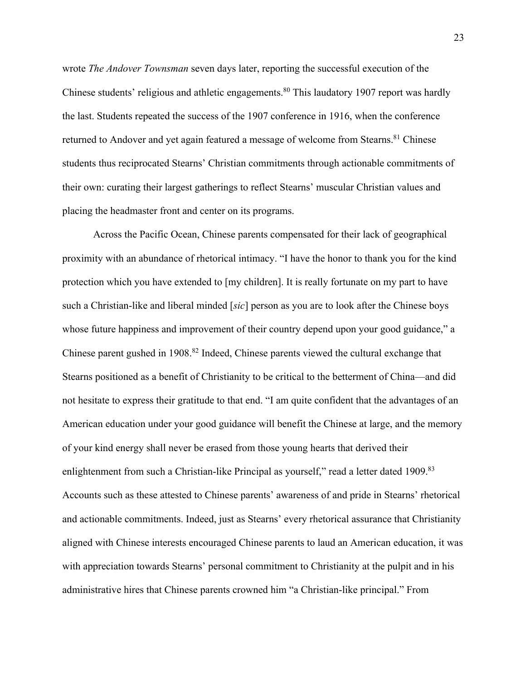wrote *The Andover Townsman* seven days later, reporting the successful execution of the Chinese students' religious and athletic engagements.<sup>80</sup> This laudatory 1907 report was hardly the last. Students repeated the success of the 1907 conference in 1916, when the conference returned to Andover and yet again featured a message of welcome from Stearns.<sup>81</sup> Chinese students thus reciprocated Stearns' Christian commitments through actionable commitments of their own: curating their largest gatherings to reflect Stearns' muscular Christian values and placing the headmaster front and center on its programs.

Across the Pacific Ocean, Chinese parents compensated for their lack of geographical proximity with an abundance of rhetorical intimacy. "I have the honor to thank you for the kind protection which you have extended to [my children]. It is really fortunate on my part to have such a Christian-like and liberal minded [*sic*] person as you are to look after the Chinese boys whose future happiness and improvement of their country depend upon your good guidance," a Chinese parent gushed in 1908.<sup>82</sup> Indeed, Chinese parents viewed the cultural exchange that Stearns positioned as a benefit of Christianity to be critical to the betterment of China—and did not hesitate to express their gratitude to that end. "I am quite confident that the advantages of an American education under your good guidance will benefit the Chinese at large, and the memory of your kind energy shall never be erased from those young hearts that derived their enlightenment from such a Christian-like Principal as yourself," read a letter dated 1909.<sup>83</sup> Accounts such as these attested to Chinese parents' awareness of and pride in Stearns' rhetorical and actionable commitments. Indeed, just as Stearns' every rhetorical assurance that Christianity aligned with Chinese interests encouraged Chinese parents to laud an American education, it was with appreciation towards Stearns' personal commitment to Christianity at the pulpit and in his administrative hires that Chinese parents crowned him "a Christian-like principal." From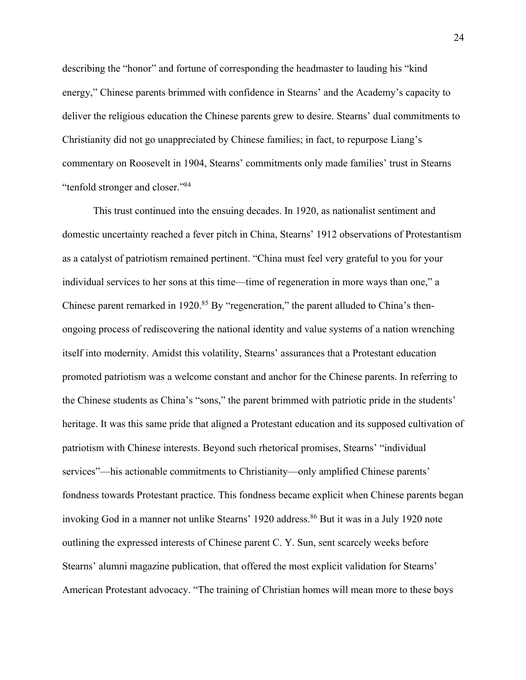describing the "honor" and fortune of corresponding the headmaster to lauding his "kind energy," Chinese parents brimmed with confidence in Stearns' and the Academy's capacity to deliver the religious education the Chinese parents grew to desire. Stearns' dual commitments to Christianity did not go unappreciated by Chinese families; in fact, to repurpose Liang's commentary on Roosevelt in 1904, Stearns' commitments only made families' trust in Stearns "tenfold stronger and closer."84

This trust continued into the ensuing decades. In 1920, as nationalist sentiment and domestic uncertainty reached a fever pitch in China, Stearns' 1912 observations of Protestantism as a catalyst of patriotism remained pertinent. "China must feel very grateful to you for your individual services to her sons at this time—time of regeneration in more ways than one," a Chinese parent remarked in  $1920$ .<sup>85</sup> By "regeneration," the parent alluded to China's thenongoing process of rediscovering the national identity and value systems of a nation wrenching itself into modernity. Amidst this volatility, Stearns' assurances that a Protestant education promoted patriotism was a welcome constant and anchor for the Chinese parents. In referring to the Chinese students as China's "sons," the parent brimmed with patriotic pride in the students' heritage. It was this same pride that aligned a Protestant education and its supposed cultivation of patriotism with Chinese interests. Beyond such rhetorical promises, Stearns' "individual services"—his actionable commitments to Christianity—only amplified Chinese parents' fondness towards Protestant practice. This fondness became explicit when Chinese parents began invoking God in a manner not unlike Stearns' 1920 address.<sup>86</sup> But it was in a July 1920 note outlining the expressed interests of Chinese parent C. Y. Sun, sent scarcely weeks before Stearns' alumni magazine publication, that offered the most explicit validation for Stearns' American Protestant advocacy. "The training of Christian homes will mean more to these boys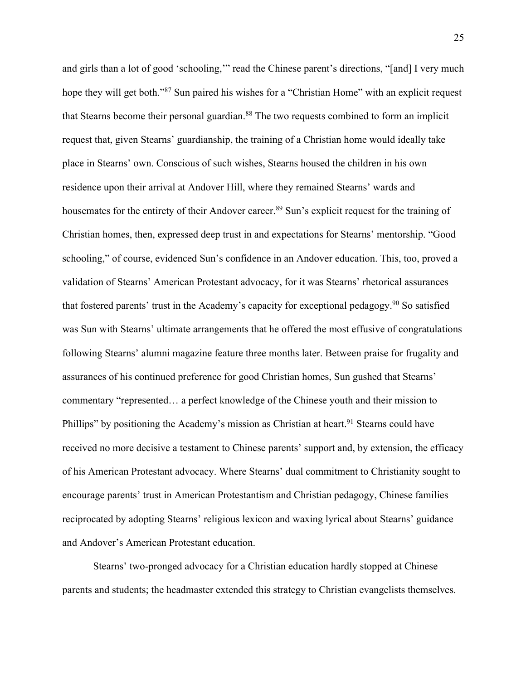and girls than a lot of good 'schooling,'" read the Chinese parent's directions, "[and] I very much hope they will get both."<sup>87</sup> Sun paired his wishes for a "Christian Home" with an explicit request that Stearns become their personal guardian.<sup>88</sup> The two requests combined to form an implicit request that, given Stearns' guardianship, the training of a Christian home would ideally take place in Stearns' own. Conscious of such wishes, Stearns housed the children in his own residence upon their arrival at Andover Hill, where they remained Stearns' wards and housemates for the entirety of their Andover career.<sup>89</sup> Sun's explicit request for the training of Christian homes, then, expressed deep trust in and expectations for Stearns' mentorship. "Good schooling," of course, evidenced Sun's confidence in an Andover education. This, too, proved a validation of Stearns' American Protestant advocacy, for it was Stearns' rhetorical assurances that fostered parents' trust in the Academy's capacity for exceptional pedagogy. <sup>90</sup> So satisfied was Sun with Stearns' ultimate arrangements that he offered the most effusive of congratulations following Stearns' alumni magazine feature three months later. Between praise for frugality and assurances of his continued preference for good Christian homes, Sun gushed that Stearns' commentary "represented… a perfect knowledge of the Chinese youth and their mission to Phillips" by positioning the Academy's mission as Christian at heart.<sup>91</sup> Stearns could have received no more decisive a testament to Chinese parents' support and, by extension, the efficacy of his American Protestant advocacy. Where Stearns' dual commitment to Christianity sought to encourage parents' trust in American Protestantism and Christian pedagogy, Chinese families reciprocated by adopting Stearns' religious lexicon and waxing lyrical about Stearns' guidance and Andover's American Protestant education.

Stearns' two-pronged advocacy for a Christian education hardly stopped at Chinese parents and students; the headmaster extended this strategy to Christian evangelists themselves.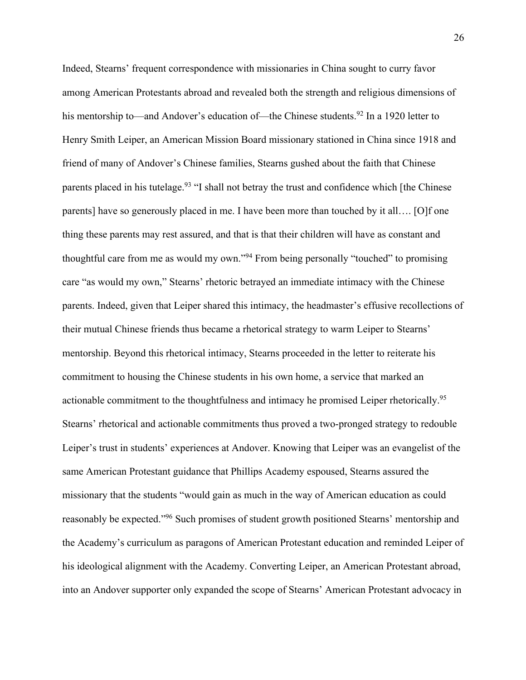Indeed, Stearns' frequent correspondence with missionaries in China sought to curry favor among American Protestants abroad and revealed both the strength and religious dimensions of his mentorship to—and Andover's education of—the Chinese students.<sup>92</sup> In a 1920 letter to Henry Smith Leiper, an American Mission Board missionary stationed in China since 1918 and friend of many of Andover's Chinese families, Stearns gushed about the faith that Chinese parents placed in his tutelage.<sup>93</sup> "I shall not betray the trust and confidence which [the Chinese parents] have so generously placed in me. I have been more than touched by it all…. [O]f one thing these parents may rest assured, and that is that their children will have as constant and thoughtful care from me as would my own."<sup>94</sup> From being personally "touched" to promising care "as would my own," Stearns' rhetoric betrayed an immediate intimacy with the Chinese parents. Indeed, given that Leiper shared this intimacy, the headmaster's effusive recollections of their mutual Chinese friends thus became a rhetorical strategy to warm Leiper to Stearns' mentorship. Beyond this rhetorical intimacy, Stearns proceeded in the letter to reiterate his commitment to housing the Chinese students in his own home, a service that marked an actionable commitment to the thoughtfulness and intimacy he promised Leiper rhetorically.<sup>95</sup> Stearns' rhetorical and actionable commitments thus proved a two-pronged strategy to redouble Leiper's trust in students' experiences at Andover. Knowing that Leiper was an evangelist of the same American Protestant guidance that Phillips Academy espoused, Stearns assured the missionary that the students "would gain as much in the way of American education as could reasonably be expected."<sup>96</sup> Such promises of student growth positioned Stearns' mentorship and the Academy's curriculum as paragons of American Protestant education and reminded Leiper of his ideological alignment with the Academy. Converting Leiper, an American Protestant abroad, into an Andover supporter only expanded the scope of Stearns' American Protestant advocacy in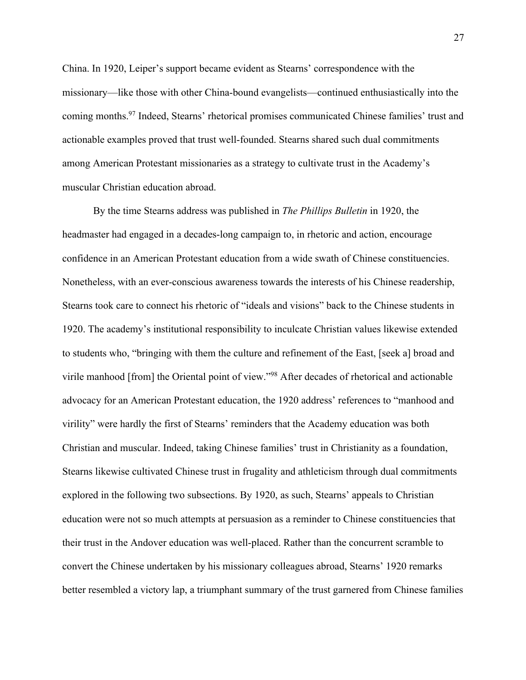China. In 1920, Leiper's support became evident as Stearns' correspondence with the missionary—like those with other China-bound evangelists—continued enthusiastically into the coming months.97 Indeed, Stearns' rhetorical promises communicated Chinese families' trust and actionable examples proved that trust well-founded. Stearns shared such dual commitments among American Protestant missionaries as a strategy to cultivate trust in the Academy's muscular Christian education abroad.

By the time Stearns address was published in *The Phillips Bulletin* in 1920, the headmaster had engaged in a decades-long campaign to, in rhetoric and action, encourage confidence in an American Protestant education from a wide swath of Chinese constituencies. Nonetheless, with an ever-conscious awareness towards the interests of his Chinese readership, Stearns took care to connect his rhetoric of "ideals and visions" back to the Chinese students in 1920. The academy's institutional responsibility to inculcate Christian values likewise extended to students who, "bringing with them the culture and refinement of the East, [seek a] broad and virile manhood [from] the Oriental point of view."98 After decades of rhetorical and actionable advocacy for an American Protestant education, the 1920 address' references to "manhood and virility" were hardly the first of Stearns' reminders that the Academy education was both Christian and muscular. Indeed, taking Chinese families' trust in Christianity as a foundation, Stearns likewise cultivated Chinese trust in frugality and athleticism through dual commitments explored in the following two subsections. By 1920, as such, Stearns' appeals to Christian education were not so much attempts at persuasion as a reminder to Chinese constituencies that their trust in the Andover education was well-placed. Rather than the concurrent scramble to convert the Chinese undertaken by his missionary colleagues abroad, Stearns' 1920 remarks better resembled a victory lap, a triumphant summary of the trust garnered from Chinese families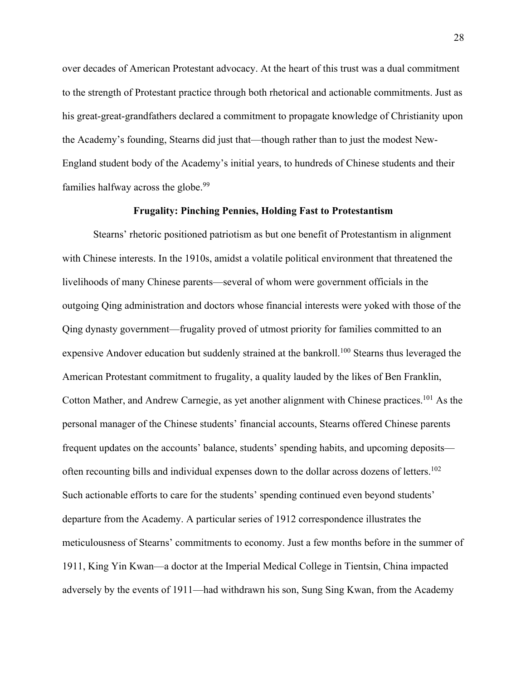over decades of American Protestant advocacy. At the heart of this trust was a dual commitment to the strength of Protestant practice through both rhetorical and actionable commitments. Just as his great-great-grandfathers declared a commitment to propagate knowledge of Christianity upon the Academy's founding, Stearns did just that—though rather than to just the modest New-England student body of the Academy's initial years, to hundreds of Chinese students and their families halfway across the globe.<sup>99</sup>

# **Frugality: Pinching Pennies, Holding Fast to Protestantism**

Stearns' rhetoric positioned patriotism as but one benefit of Protestantism in alignment with Chinese interests. In the 1910s, amidst a volatile political environment that threatened the livelihoods of many Chinese parents—several of whom were government officials in the outgoing Qing administration and doctors whose financial interests were yoked with those of the Qing dynasty government—frugality proved of utmost priority for families committed to an expensive Andover education but suddenly strained at the bankroll.<sup>100</sup> Stearns thus leveraged the American Protestant commitment to frugality, a quality lauded by the likes of Ben Franklin, Cotton Mather, and Andrew Carnegie, as yet another alignment with Chinese practices.<sup>101</sup> As the personal manager of the Chinese students' financial accounts, Stearns offered Chinese parents frequent updates on the accounts' balance, students' spending habits, and upcoming deposits often recounting bills and individual expenses down to the dollar across dozens of letters.<sup>102</sup> Such actionable efforts to care for the students' spending continued even beyond students' departure from the Academy. A particular series of 1912 correspondence illustrates the meticulousness of Stearns' commitments to economy. Just a few months before in the summer of 1911, King Yin Kwan—a doctor at the Imperial Medical College in Tientsin, China impacted adversely by the events of 1911—had withdrawn his son, Sung Sing Kwan, from the Academy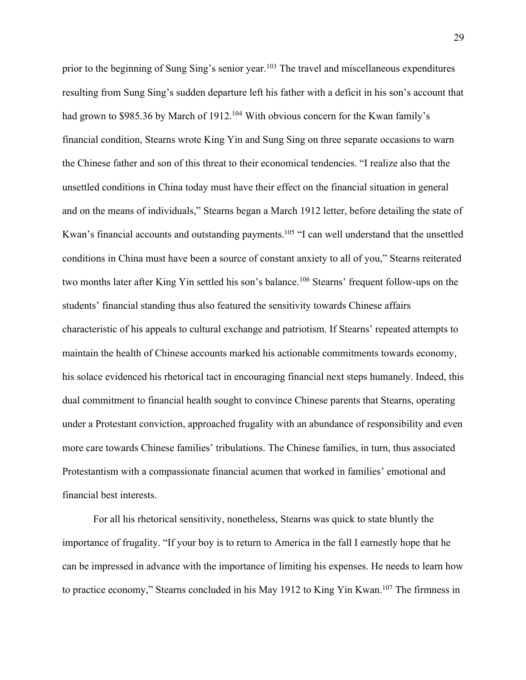prior to the beginning of Sung Sing's senior year.<sup>103</sup> The travel and miscellaneous expenditures resulting from Sung Sing's sudden departure left his father with a deficit in his son's account that had grown to \$985.36 by March of 1912.<sup>104</sup> With obvious concern for the Kwan family's financial condition, Stearns wrote King Yin and Sung Sing on three separate occasions to warn the Chinese father and son of this threat to their economical tendencies. "I realize also that the unsettled conditions in China today must have their effect on the financial situation in general and on the means of individuals," Stearns began a March 1912 letter, before detailing the state of Kwan's financial accounts and outstanding payments.<sup>105</sup> "I can well understand that the unsettled conditions in China must have been a source of constant anxiety to all of you," Stearns reiterated two months later after King Yin settled his son's balance.<sup>106</sup> Stearns' frequent follow-ups on the students' financial standing thus also featured the sensitivity towards Chinese affairs characteristic of his appeals to cultural exchange and patriotism. If Stearns' repeated attempts to maintain the health of Chinese accounts marked his actionable commitments towards economy, his solace evidenced his rhetorical tact in encouraging financial next steps humanely. Indeed, this dual commitment to financial health sought to convince Chinese parents that Stearns, operating under a Protestant conviction, approached frugality with an abundance of responsibility and even more care towards Chinese families' tribulations. The Chinese families, in turn, thus associated Protestantism with a compassionate financial acumen that worked in families' emotional and financial best interests.

For all his rhetorical sensitivity, nonetheless, Stearns was quick to state bluntly the importance of frugality. "If your boy is to return to America in the fall I earnestly hope that he can be impressed in advance with the importance of limiting his expenses. He needs to learn how to practice economy," Stearns concluded in his May 1912 to King Yin Kwan.<sup>107</sup> The firmness in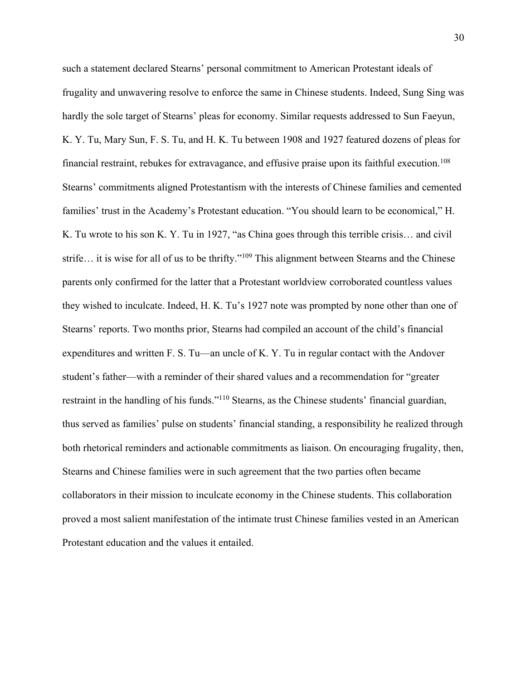such a statement declared Stearns' personal commitment to American Protestant ideals of frugality and unwavering resolve to enforce the same in Chinese students. Indeed, Sung Sing was hardly the sole target of Stearns' pleas for economy. Similar requests addressed to Sun Faeyun, K. Y. Tu, Mary Sun, F. S. Tu, and H. K. Tu between 1908 and 1927 featured dozens of pleas for financial restraint, rebukes for extravagance, and effusive praise upon its faithful execution. 108 Stearns' commitments aligned Protestantism with the interests of Chinese families and cemented families' trust in the Academy's Protestant education. "You should learn to be economical," H. K. Tu wrote to his son K. Y. Tu in 1927, "as China goes through this terrible crisis… and civil strife… it is wise for all of us to be thrifty."109 This alignment between Stearns and the Chinese parents only confirmed for the latter that a Protestant worldview corroborated countless values they wished to inculcate. Indeed, H. K. Tu's 1927 note was prompted by none other than one of Stearns' reports. Two months prior, Stearns had compiled an account of the child's financial expenditures and written F. S. Tu—an uncle of K. Y. Tu in regular contact with the Andover student's father—with a reminder of their shared values and a recommendation for "greater restraint in the handling of his funds."110 Stearns, as the Chinese students' financial guardian, thus served as families' pulse on students' financial standing, a responsibility he realized through both rhetorical reminders and actionable commitments as liaison. On encouraging frugality, then, Stearns and Chinese families were in such agreement that the two parties often became collaborators in their mission to inculcate economy in the Chinese students. This collaboration proved a most salient manifestation of the intimate trust Chinese families vested in an American Protestant education and the values it entailed.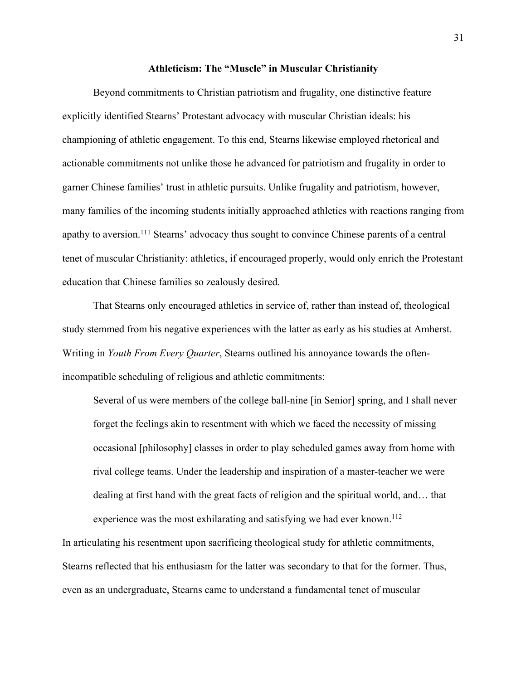## **Athleticism: The "Muscle" in Muscular Christianity**

Beyond commitments to Christian patriotism and frugality, one distinctive feature explicitly identified Stearns' Protestant advocacy with muscular Christian ideals: his championing of athletic engagement. To this end, Stearns likewise employed rhetorical and actionable commitments not unlike those he advanced for patriotism and frugality in order to garner Chinese families' trust in athletic pursuits. Unlike frugality and patriotism, however, many families of the incoming students initially approached athletics with reactions ranging from apathy to aversion.<sup>111</sup> Stearns' advocacy thus sought to convince Chinese parents of a central tenet of muscular Christianity: athletics, if encouraged properly, would only enrich the Protestant education that Chinese families so zealously desired.

That Stearns only encouraged athletics in service of, rather than instead of, theological study stemmed from his negative experiences with the latter as early as his studies at Amherst. Writing in *Youth From Every Quarter*, Stearns outlined his annoyance towards the oftenincompatible scheduling of religious and athletic commitments:

Several of us were members of the college ball-nine [in Senior] spring, and I shall never forget the feelings akin to resentment with which we faced the necessity of missing occasional [philosophy] classes in order to play scheduled games away from home with rival college teams. Under the leadership and inspiration of a master-teacher we were dealing at first hand with the great facts of religion and the spiritual world, and… that experience was the most exhilarating and satisfying we had ever known.<sup>112</sup>

In articulating his resentment upon sacrificing theological study for athletic commitments, Stearns reflected that his enthusiasm for the latter was secondary to that for the former. Thus, even as an undergraduate, Stearns came to understand a fundamental tenet of muscular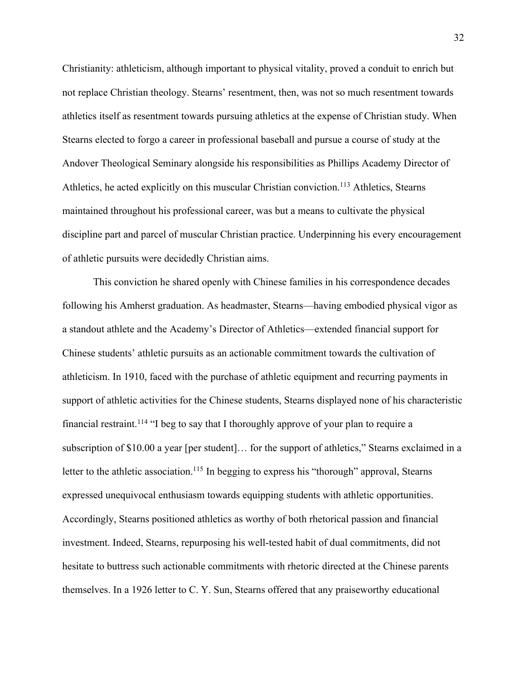Christianity: athleticism, although important to physical vitality, proved a conduit to enrich but not replace Christian theology. Stearns' resentment, then, was not so much resentment towards athletics itself as resentment towards pursuing athletics at the expense of Christian study. When Stearns elected to forgo a career in professional baseball and pursue a course of study at the Andover Theological Seminary alongside his responsibilities as Phillips Academy Director of Athletics, he acted explicitly on this muscular Christian conviction.<sup>113</sup> Athletics, Stearns maintained throughout his professional career, was but a means to cultivate the physical discipline part and parcel of muscular Christian practice. Underpinning his every encouragement of athletic pursuits were decidedly Christian aims.

This conviction he shared openly with Chinese families in his correspondence decades following his Amherst graduation. As headmaster, Stearns—having embodied physical vigor as a standout athlete and the Academy's Director of Athletics—extended financial support for Chinese students' athletic pursuits as an actionable commitment towards the cultivation of athleticism. In 1910, faced with the purchase of athletic equipment and recurring payments in support of athletic activities for the Chinese students, Stearns displayed none of his characteristic financial restraint.<sup>114</sup> "I beg to say that I thoroughly approve of your plan to require a subscription of \$10.00 a year [per student]... for the support of athletics," Stearns exclaimed in a letter to the athletic association.<sup>115</sup> In begging to express his "thorough" approval, Stearns expressed unequivocal enthusiasm towards equipping students with athletic opportunities. Accordingly, Stearns positioned athletics as worthy of both rhetorical passion and financial investment. Indeed, Stearns, repurposing his well-tested habit of dual commitments, did not hesitate to buttress such actionable commitments with rhetoric directed at the Chinese parents themselves. In a 1926 letter to C. Y. Sun, Stearns offered that any praiseworthy educational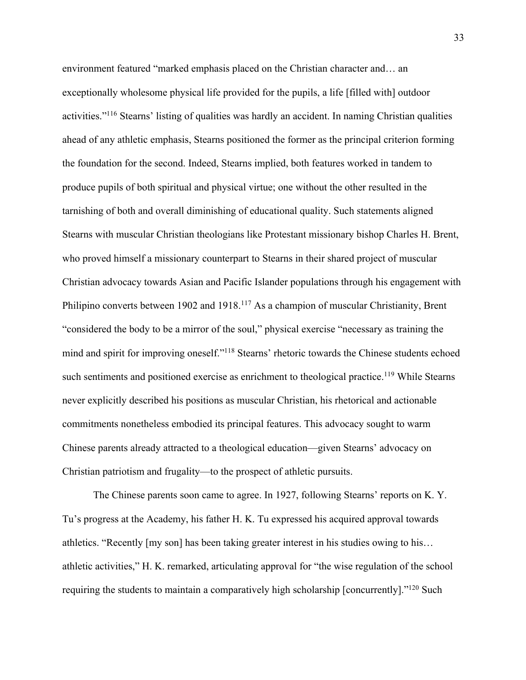environment featured "marked emphasis placed on the Christian character and… an exceptionally wholesome physical life provided for the pupils, a life [filled with] outdoor activities."116 Stearns' listing of qualities was hardly an accident. In naming Christian qualities ahead of any athletic emphasis, Stearns positioned the former as the principal criterion forming the foundation for the second. Indeed, Stearns implied, both features worked in tandem to produce pupils of both spiritual and physical virtue; one without the other resulted in the tarnishing of both and overall diminishing of educational quality. Such statements aligned Stearns with muscular Christian theologians like Protestant missionary bishop Charles H. Brent, who proved himself a missionary counterpart to Stearns in their shared project of muscular Christian advocacy towards Asian and Pacific Islander populations through his engagement with Philipino converts between 1902 and 1918.<sup>117</sup> As a champion of muscular Christianity, Brent "considered the body to be a mirror of the soul," physical exercise "necessary as training the mind and spirit for improving oneself."118 Stearns' rhetoric towards the Chinese students echoed such sentiments and positioned exercise as enrichment to theological practice.<sup>119</sup> While Stearns never explicitly described his positions as muscular Christian, his rhetorical and actionable commitments nonetheless embodied its principal features. This advocacy sought to warm Chinese parents already attracted to a theological education—given Stearns' advocacy on Christian patriotism and frugality—to the prospect of athletic pursuits.

The Chinese parents soon came to agree. In 1927, following Stearns' reports on K. Y. Tu's progress at the Academy, his father H. K. Tu expressed his acquired approval towards athletics. "Recently [my son] has been taking greater interest in his studies owing to his… athletic activities," H. K. remarked, articulating approval for "the wise regulation of the school requiring the students to maintain a comparatively high scholarship [concurrently]."<sup>120</sup> Such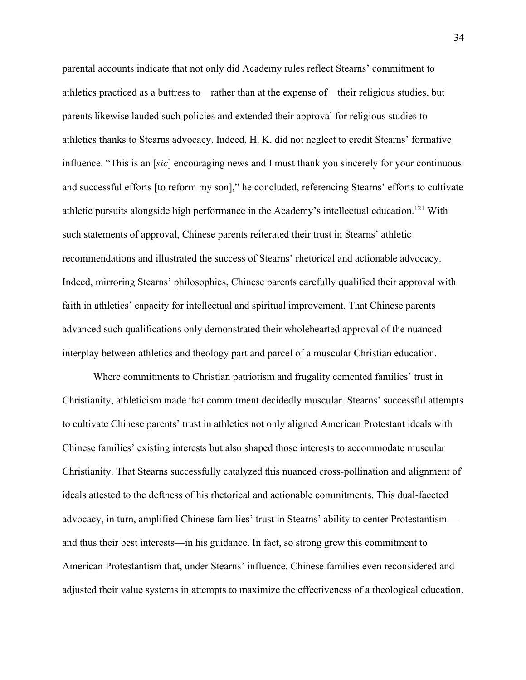parental accounts indicate that not only did Academy rules reflect Stearns' commitment to athletics practiced as a buttress to—rather than at the expense of—their religious studies, but parents likewise lauded such policies and extended their approval for religious studies to athletics thanks to Stearns advocacy. Indeed, H. K. did not neglect to credit Stearns' formative influence. "This is an [*sic*] encouraging news and I must thank you sincerely for your continuous and successful efforts [to reform my son]," he concluded, referencing Stearns' efforts to cultivate athletic pursuits alongside high performance in the Academy's intellectual education.121 With such statements of approval, Chinese parents reiterated their trust in Stearns' athletic recommendations and illustrated the success of Stearns' rhetorical and actionable advocacy. Indeed, mirroring Stearns' philosophies, Chinese parents carefully qualified their approval with faith in athletics' capacity for intellectual and spiritual improvement. That Chinese parents advanced such qualifications only demonstrated their wholehearted approval of the nuanced interplay between athletics and theology part and parcel of a muscular Christian education.

Where commitments to Christian patriotism and frugality cemented families' trust in Christianity, athleticism made that commitment decidedly muscular. Stearns' successful attempts to cultivate Chinese parents' trust in athletics not only aligned American Protestant ideals with Chinese families' existing interests but also shaped those interests to accommodate muscular Christianity. That Stearns successfully catalyzed this nuanced cross-pollination and alignment of ideals attested to the deftness of his rhetorical and actionable commitments. This dual-faceted advocacy, in turn, amplified Chinese families' trust in Stearns' ability to center Protestantism and thus their best interests—in his guidance. In fact, so strong grew this commitment to American Protestantism that, under Stearns' influence, Chinese families even reconsidered and adjusted their value systems in attempts to maximize the effectiveness of a theological education.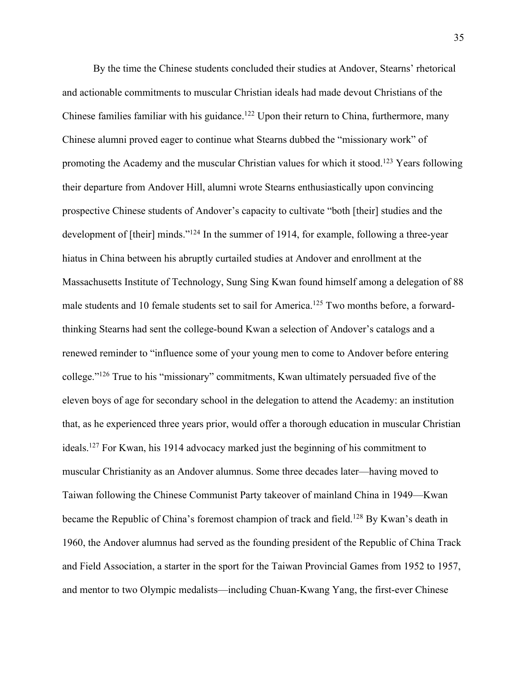By the time the Chinese students concluded their studies at Andover, Stearns' rhetorical and actionable commitments to muscular Christian ideals had made devout Christians of the Chinese families familiar with his guidance.<sup>122</sup> Upon their return to China, furthermore, many Chinese alumni proved eager to continue what Stearns dubbed the "missionary work" of promoting the Academy and the muscular Christian values for which it stood.123 Years following their departure from Andover Hill, alumni wrote Stearns enthusiastically upon convincing prospective Chinese students of Andover's capacity to cultivate "both [their] studies and the development of [their] minds."<sup>124</sup> In the summer of 1914, for example, following a three-year hiatus in China between his abruptly curtailed studies at Andover and enrollment at the Massachusetts Institute of Technology, Sung Sing Kwan found himself among a delegation of 88 male students and 10 female students set to sail for America.<sup>125</sup> Two months before, a forwardthinking Stearns had sent the college-bound Kwan a selection of Andover's catalogs and a renewed reminder to "influence some of your young men to come to Andover before entering college."126 True to his "missionary" commitments, Kwan ultimately persuaded five of the eleven boys of age for secondary school in the delegation to attend the Academy: an institution that, as he experienced three years prior, would offer a thorough education in muscular Christian ideals.127 For Kwan, his 1914 advocacy marked just the beginning of his commitment to muscular Christianity as an Andover alumnus. Some three decades later—having moved to Taiwan following the Chinese Communist Party takeover of mainland China in 1949—Kwan became the Republic of China's foremost champion of track and field.<sup>128</sup> By Kwan's death in 1960, the Andover alumnus had served as the founding president of the Republic of China Track and Field Association, a starter in the sport for the Taiwan Provincial Games from 1952 to 1957, and mentor to two Olympic medalists—including Chuan-Kwang Yang, the first-ever Chinese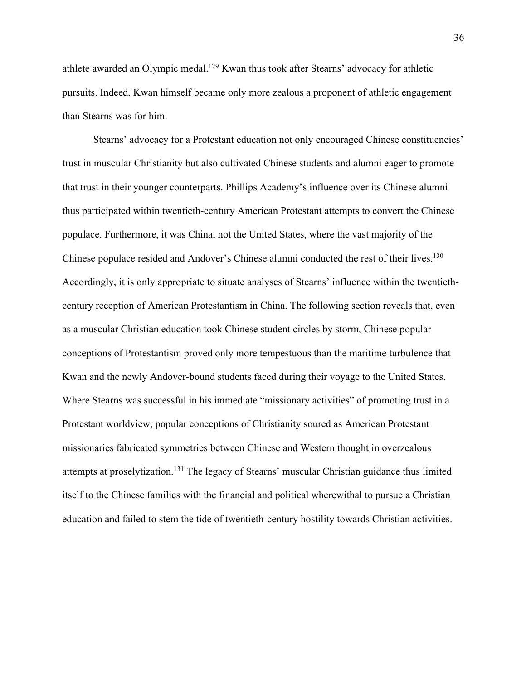athlete awarded an Olympic medal.<sup>129</sup> Kwan thus took after Stearns' advocacy for athletic pursuits. Indeed, Kwan himself became only more zealous a proponent of athletic engagement than Stearns was for him.

Stearns' advocacy for a Protestant education not only encouraged Chinese constituencies' trust in muscular Christianity but also cultivated Chinese students and alumni eager to promote that trust in their younger counterparts. Phillips Academy's influence over its Chinese alumni thus participated within twentieth-century American Protestant attempts to convert the Chinese populace. Furthermore, it was China, not the United States, where the vast majority of the Chinese populace resided and Andover's Chinese alumni conducted the rest of their lives.<sup>130</sup> Accordingly, it is only appropriate to situate analyses of Stearns' influence within the twentiethcentury reception of American Protestantism in China. The following section reveals that, even as a muscular Christian education took Chinese student circles by storm, Chinese popular conceptions of Protestantism proved only more tempestuous than the maritime turbulence that Kwan and the newly Andover-bound students faced during their voyage to the United States. Where Stearns was successful in his immediate "missionary activities" of promoting trust in a Protestant worldview, popular conceptions of Christianity soured as American Protestant missionaries fabricated symmetries between Chinese and Western thought in overzealous attempts at proselytization.131 The legacy of Stearns' muscular Christian guidance thus limited itself to the Chinese families with the financial and political wherewithal to pursue a Christian education and failed to stem the tide of twentieth-century hostility towards Christian activities.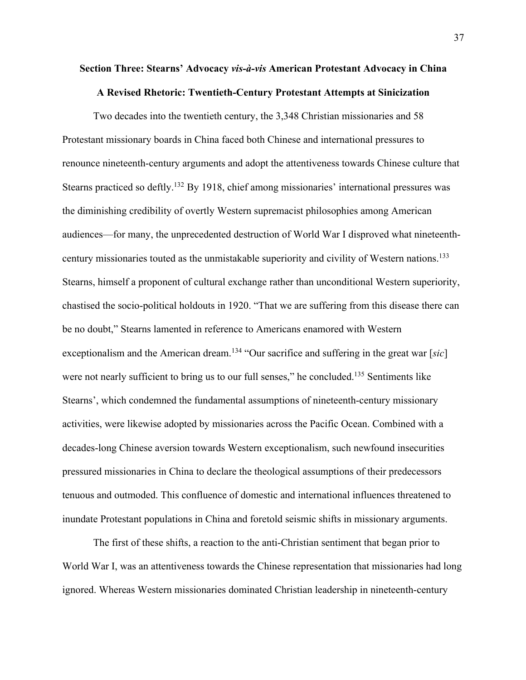# **Section Three: Stearns' Advocacy** *vis-à-vis* **American Protestant Advocacy in China A Revised Rhetoric: Twentieth-Century Protestant Attempts at Sinicization**

Two decades into the twentieth century, the 3,348 Christian missionaries and 58 Protestant missionary boards in China faced both Chinese and international pressures to renounce nineteenth-century arguments and adopt the attentiveness towards Chinese culture that Stearns practiced so deftly.<sup>132</sup> By 1918, chief among missionaries' international pressures was the diminishing credibility of overtly Western supremacist philosophies among American audiences—for many, the unprecedented destruction of World War I disproved what nineteenthcentury missionaries touted as the unmistakable superiority and civility of Western nations.<sup>133</sup> Stearns, himself a proponent of cultural exchange rather than unconditional Western superiority, chastised the socio-political holdouts in 1920. "That we are suffering from this disease there can be no doubt," Stearns lamented in reference to Americans enamored with Western exceptionalism and the American dream. <sup>134</sup> "Our sacrifice and suffering in the great war [*sic*] were not nearly sufficient to bring us to our full senses," he concluded.<sup>135</sup> Sentiments like Stearns', which condemned the fundamental assumptions of nineteenth-century missionary activities, were likewise adopted by missionaries across the Pacific Ocean. Combined with a decades-long Chinese aversion towards Western exceptionalism, such newfound insecurities pressured missionaries in China to declare the theological assumptions of their predecessors tenuous and outmoded. This confluence of domestic and international influences threatened to inundate Protestant populations in China and foretold seismic shifts in missionary arguments.

The first of these shifts, a reaction to the anti-Christian sentiment that began prior to World War I, was an attentiveness towards the Chinese representation that missionaries had long ignored. Whereas Western missionaries dominated Christian leadership in nineteenth-century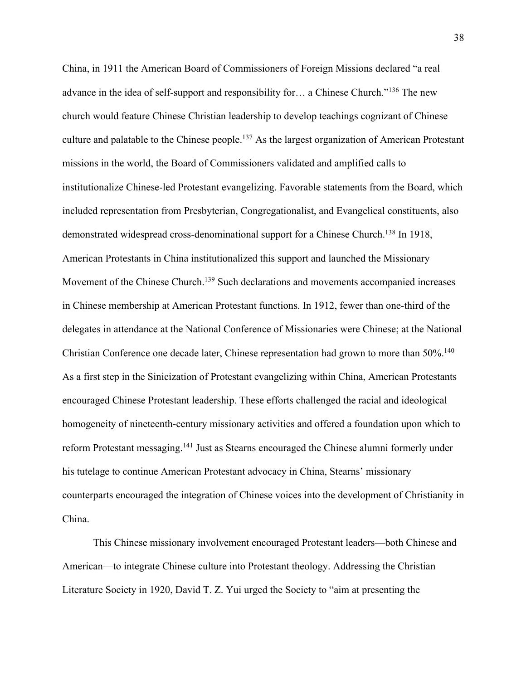China, in 1911 the American Board of Commissioners of Foreign Missions declared "a real advance in the idea of self-support and responsibility for… a Chinese Church."136 The new church would feature Chinese Christian leadership to develop teachings cognizant of Chinese culture and palatable to the Chinese people.<sup>137</sup> As the largest organization of American Protestant missions in the world, the Board of Commissioners validated and amplified calls to institutionalize Chinese-led Protestant evangelizing. Favorable statements from the Board, which included representation from Presbyterian, Congregationalist, and Evangelical constituents, also demonstrated widespread cross-denominational support for a Chinese Church.<sup>138</sup> In 1918, American Protestants in China institutionalized this support and launched the Missionary Movement of the Chinese Church.<sup>139</sup> Such declarations and movements accompanied increases in Chinese membership at American Protestant functions. In 1912, fewer than one-third of the delegates in attendance at the National Conference of Missionaries were Chinese; at the National Christian Conference one decade later, Chinese representation had grown to more than 50%.<sup>140</sup> As a first step in the Sinicization of Protestant evangelizing within China, American Protestants encouraged Chinese Protestant leadership. These efforts challenged the racial and ideological homogeneity of nineteenth-century missionary activities and offered a foundation upon which to reform Protestant messaging.<sup>141</sup> Just as Stearns encouraged the Chinese alumni formerly under his tutelage to continue American Protestant advocacy in China, Stearns' missionary counterparts encouraged the integration of Chinese voices into the development of Christianity in China.

This Chinese missionary involvement encouraged Protestant leaders—both Chinese and American—to integrate Chinese culture into Protestant theology. Addressing the Christian Literature Society in 1920, David T. Z. Yui urged the Society to "aim at presenting the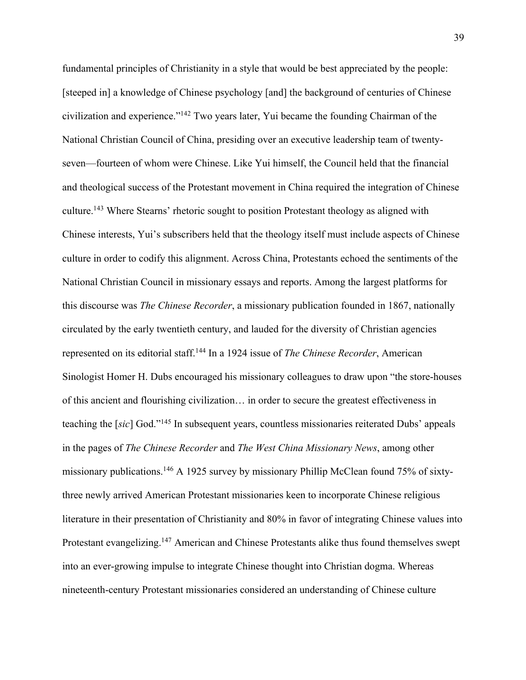fundamental principles of Christianity in a style that would be best appreciated by the people: [steeped in] a knowledge of Chinese psychology [and] the background of centuries of Chinese civilization and experience."142 Two years later, Yui became the founding Chairman of the National Christian Council of China, presiding over an executive leadership team of twentyseven—fourteen of whom were Chinese. Like Yui himself, the Council held that the financial and theological success of the Protestant movement in China required the integration of Chinese culture.143 Where Stearns' rhetoric sought to position Protestant theology as aligned with Chinese interests, Yui's subscribers held that the theology itself must include aspects of Chinese culture in order to codify this alignment. Across China, Protestants echoed the sentiments of the National Christian Council in missionary essays and reports. Among the largest platforms for this discourse was *The Chinese Recorder*, a missionary publication founded in 1867, nationally circulated by the early twentieth century, and lauded for the diversity of Christian agencies represented on its editorial staff.144 In a 1924 issue of *The Chinese Recorder*, American Sinologist Homer H. Dubs encouraged his missionary colleagues to draw upon "the store-houses of this ancient and flourishing civilization… in order to secure the greatest effectiveness in teaching the [*sic*] God."145 In subsequent years, countless missionaries reiterated Dubs' appeals in the pages of *The Chinese Recorder* and *The West China Missionary News*, among other missionary publications.146 A 1925 survey by missionary Phillip McClean found 75% of sixtythree newly arrived American Protestant missionaries keen to incorporate Chinese religious literature in their presentation of Christianity and 80% in favor of integrating Chinese values into Protestant evangelizing.<sup>147</sup> American and Chinese Protestants alike thus found themselves swept into an ever-growing impulse to integrate Chinese thought into Christian dogma. Whereas nineteenth-century Protestant missionaries considered an understanding of Chinese culture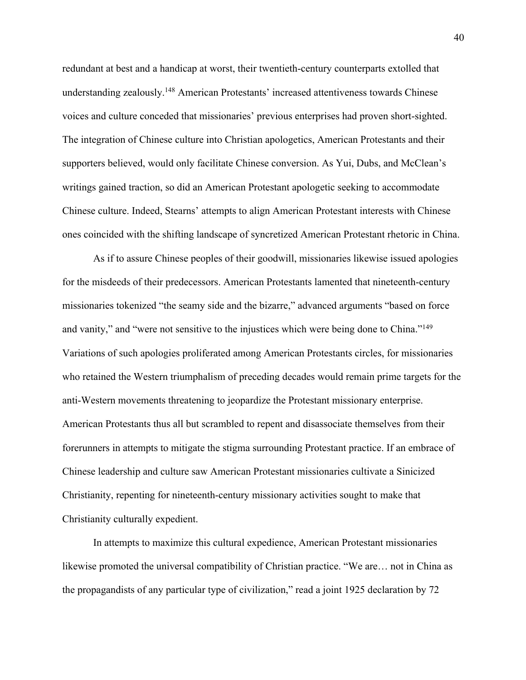redundant at best and a handicap at worst, their twentieth-century counterparts extolled that understanding zealously.<sup>148</sup> American Protestants' increased attentiveness towards Chinese voices and culture conceded that missionaries' previous enterprises had proven short-sighted. The integration of Chinese culture into Christian apologetics, American Protestants and their supporters believed, would only facilitate Chinese conversion. As Yui, Dubs, and McClean's writings gained traction, so did an American Protestant apologetic seeking to accommodate Chinese culture. Indeed, Stearns' attempts to align American Protestant interests with Chinese ones coincided with the shifting landscape of syncretized American Protestant rhetoric in China.

As if to assure Chinese peoples of their goodwill, missionaries likewise issued apologies for the misdeeds of their predecessors. American Protestants lamented that nineteenth-century missionaries tokenized "the seamy side and the bizarre," advanced arguments "based on force and vanity," and "were not sensitive to the injustices which were being done to China."<sup>149</sup> Variations of such apologies proliferated among American Protestants circles, for missionaries who retained the Western triumphalism of preceding decades would remain prime targets for the anti-Western movements threatening to jeopardize the Protestant missionary enterprise. American Protestants thus all but scrambled to repent and disassociate themselves from their forerunners in attempts to mitigate the stigma surrounding Protestant practice. If an embrace of Chinese leadership and culture saw American Protestant missionaries cultivate a Sinicized Christianity, repenting for nineteenth-century missionary activities sought to make that Christianity culturally expedient.

In attempts to maximize this cultural expedience, American Protestant missionaries likewise promoted the universal compatibility of Christian practice. "We are… not in China as the propagandists of any particular type of civilization," read a joint 1925 declaration by 72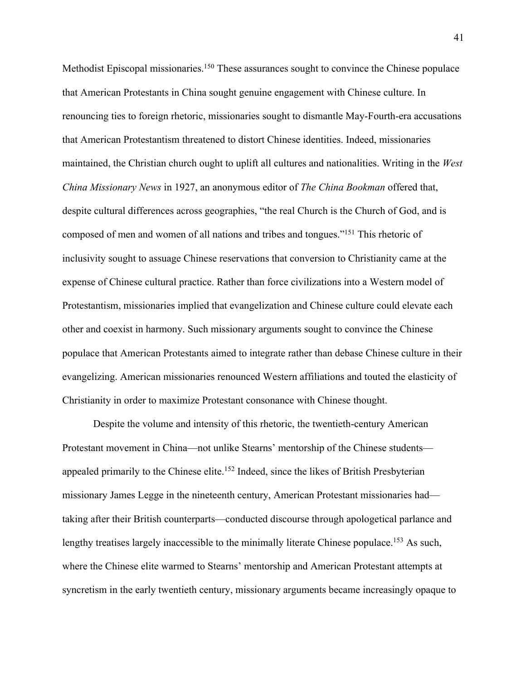Methodist Episcopal missionaries.<sup>150</sup> These assurances sought to convince the Chinese populace that American Protestants in China sought genuine engagement with Chinese culture. In renouncing ties to foreign rhetoric, missionaries sought to dismantle May-Fourth-era accusations that American Protestantism threatened to distort Chinese identities. Indeed, missionaries maintained, the Christian church ought to uplift all cultures and nationalities. Writing in the *West China Missionary News* in 1927, an anonymous editor of *The China Bookman* offered that, despite cultural differences across geographies, "the real Church is the Church of God, and is composed of men and women of all nations and tribes and tongues."151 This rhetoric of inclusivity sought to assuage Chinese reservations that conversion to Christianity came at the expense of Chinese cultural practice. Rather than force civilizations into a Western model of Protestantism, missionaries implied that evangelization and Chinese culture could elevate each other and coexist in harmony. Such missionary arguments sought to convince the Chinese populace that American Protestants aimed to integrate rather than debase Chinese culture in their evangelizing. American missionaries renounced Western affiliations and touted the elasticity of Christianity in order to maximize Protestant consonance with Chinese thought.

Despite the volume and intensity of this rhetoric, the twentieth-century American Protestant movement in China—not unlike Stearns' mentorship of the Chinese students appealed primarily to the Chinese elite.<sup>152</sup> Indeed, since the likes of British Presbyterian missionary James Legge in the nineteenth century, American Protestant missionaries had taking after their British counterparts—conducted discourse through apologetical parlance and lengthy treatises largely inaccessible to the minimally literate Chinese populace.<sup>153</sup> As such, where the Chinese elite warmed to Stearns' mentorship and American Protestant attempts at syncretism in the early twentieth century, missionary arguments became increasingly opaque to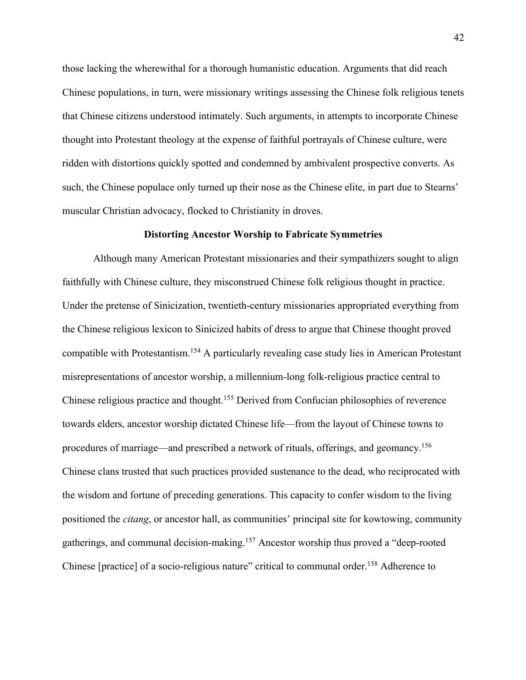those lacking the wherewithal for a thorough humanistic education. Arguments that did reach Chinese populations, in turn, were missionary writings assessing the Chinese folk religious tenets that Chinese citizens understood intimately. Such arguments, in attempts to incorporate Chinese thought into Protestant theology at the expense of faithful portrayals of Chinese culture, were ridden with distortions quickly spotted and condemned by ambivalent prospective converts. As such, the Chinese populace only turned up their nose as the Chinese elite, in part due to Stearns' muscular Christian advocacy, flocked to Christianity in droves.

### **Distorting Ancestor Worship to Fabricate Symmetries**

Although many American Protestant missionaries and their sympathizers sought to align faithfully with Chinese culture, they misconstrued Chinese folk religious thought in practice. Under the pretense of Sinicization, twentieth-century missionaries appropriated everything from the Chinese religious lexicon to Sinicized habits of dress to argue that Chinese thought proved compatible with Protestantism.154 A particularly revealing case study lies in American Protestant misrepresentations of ancestor worship, a millennium-long folk-religious practice central to Chinese religious practice and thought.155 Derived from Confucian philosophies of reverence towards elders, ancestor worship dictated Chinese life—from the layout of Chinese towns to procedures of marriage—and prescribed a network of rituals, offerings, and geomancy.156 Chinese clans trusted that such practices provided sustenance to the dead, who reciprocated with the wisdom and fortune of preceding generations. This capacity to confer wisdom to the living positioned the *citang*, or ancestor hall, as communities' principal site for kowtowing, community gatherings, and communal decision-making.157 Ancestor worship thus proved a "deep-rooted Chinese [practice] of a socio-religious nature" critical to communal order.<sup>158</sup> Adherence to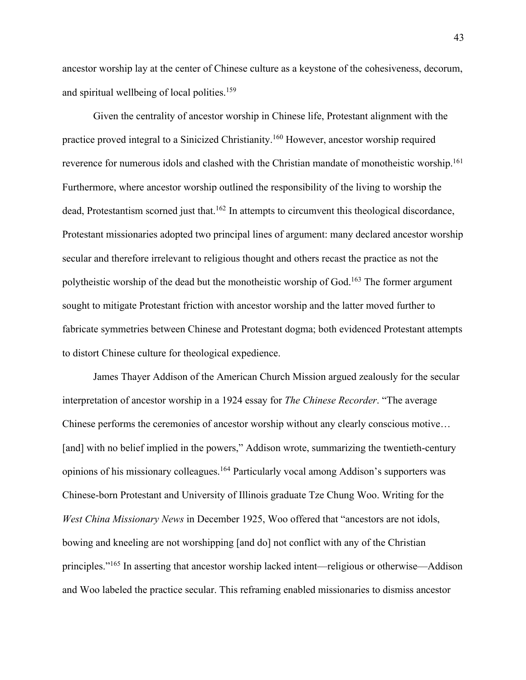ancestor worship lay at the center of Chinese culture as a keystone of the cohesiveness, decorum, and spiritual wellbeing of local polities.<sup>159</sup>

Given the centrality of ancestor worship in Chinese life, Protestant alignment with the practice proved integral to a Sinicized Christianity.160 However, ancestor worship required reverence for numerous idols and clashed with the Christian mandate of monotheistic worship.<sup>161</sup> Furthermore, where ancestor worship outlined the responsibility of the living to worship the dead, Protestantism scorned just that.<sup>162</sup> In attempts to circumvent this theological discordance, Protestant missionaries adopted two principal lines of argument: many declared ancestor worship secular and therefore irrelevant to religious thought and others recast the practice as not the polytheistic worship of the dead but the monotheistic worship of God.<sup>163</sup> The former argument sought to mitigate Protestant friction with ancestor worship and the latter moved further to fabricate symmetries between Chinese and Protestant dogma; both evidenced Protestant attempts to distort Chinese culture for theological expedience.

James Thayer Addison of the American Church Mission argued zealously for the secular interpretation of ancestor worship in a 1924 essay for *The Chinese Recorder*. "The average Chinese performs the ceremonies of ancestor worship without any clearly conscious motive… [and] with no belief implied in the powers," Addison wrote, summarizing the twentieth-century opinions of his missionary colleagues.164 Particularly vocal among Addison's supporters was Chinese-born Protestant and University of Illinois graduate Tze Chung Woo. Writing for the *West China Missionary News* in December 1925, Woo offered that "ancestors are not idols, bowing and kneeling are not worshipping [and do] not conflict with any of the Christian principles."165 In asserting that ancestor worship lacked intent—religious or otherwise—Addison and Woo labeled the practice secular. This reframing enabled missionaries to dismiss ancestor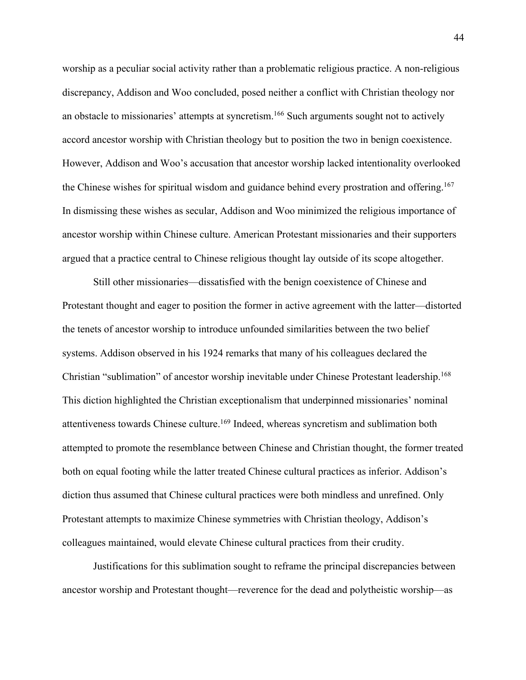worship as a peculiar social activity rather than a problematic religious practice. A non-religious discrepancy, Addison and Woo concluded, posed neither a conflict with Christian theology nor an obstacle to missionaries' attempts at syncretism.<sup>166</sup> Such arguments sought not to actively accord ancestor worship with Christian theology but to position the two in benign coexistence. However, Addison and Woo's accusation that ancestor worship lacked intentionality overlooked the Chinese wishes for spiritual wisdom and guidance behind every prostration and offering.<sup>167</sup> In dismissing these wishes as secular, Addison and Woo minimized the religious importance of ancestor worship within Chinese culture. American Protestant missionaries and their supporters argued that a practice central to Chinese religious thought lay outside of its scope altogether.

Still other missionaries—dissatisfied with the benign coexistence of Chinese and Protestant thought and eager to position the former in active agreement with the latter—distorted the tenets of ancestor worship to introduce unfounded similarities between the two belief systems. Addison observed in his 1924 remarks that many of his colleagues declared the Christian "sublimation" of ancestor worship inevitable under Chinese Protestant leadership.168 This diction highlighted the Christian exceptionalism that underpinned missionaries' nominal attentiveness towards Chinese culture.<sup>169</sup> Indeed, whereas syncretism and sublimation both attempted to promote the resemblance between Chinese and Christian thought, the former treated both on equal footing while the latter treated Chinese cultural practices as inferior. Addison's diction thus assumed that Chinese cultural practices were both mindless and unrefined. Only Protestant attempts to maximize Chinese symmetries with Christian theology, Addison's colleagues maintained, would elevate Chinese cultural practices from their crudity.

Justifications for this sublimation sought to reframe the principal discrepancies between ancestor worship and Protestant thought—reverence for the dead and polytheistic worship—as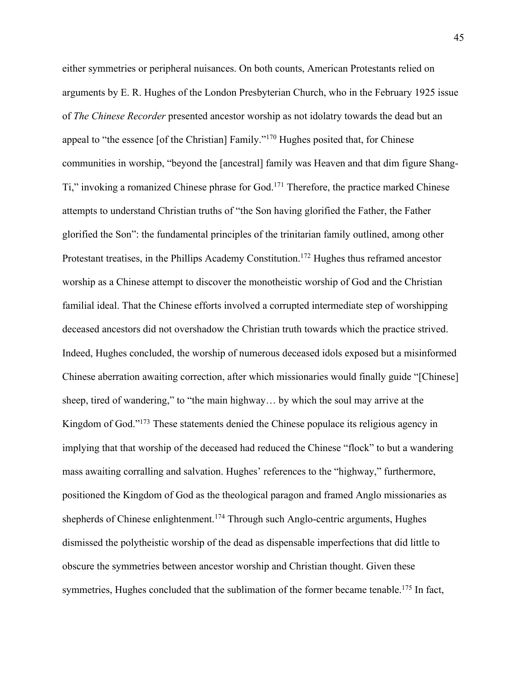either symmetries or peripheral nuisances. On both counts, American Protestants relied on arguments by E. R. Hughes of the London Presbyterian Church, who in the February 1925 issue of *The Chinese Recorder* presented ancestor worship as not idolatry towards the dead but an appeal to "the essence [of the Christian] Family."170 Hughes posited that, for Chinese communities in worship, "beyond the [ancestral] family was Heaven and that dim figure Shang-Ti," invoking a romanized Chinese phrase for God.171 Therefore, the practice marked Chinese attempts to understand Christian truths of "the Son having glorified the Father, the Father glorified the Son": the fundamental principles of the trinitarian family outlined, among other Protestant treatises, in the Phillips Academy Constitution. <sup>172</sup> Hughes thus reframed ancestor worship as a Chinese attempt to discover the monotheistic worship of God and the Christian familial ideal. That the Chinese efforts involved a corrupted intermediate step of worshipping deceased ancestors did not overshadow the Christian truth towards which the practice strived. Indeed, Hughes concluded, the worship of numerous deceased idols exposed but a misinformed Chinese aberration awaiting correction, after which missionaries would finally guide "[Chinese] sheep, tired of wandering," to "the main highway… by which the soul may arrive at the Kingdom of God."173 These statements denied the Chinese populace its religious agency in implying that that worship of the deceased had reduced the Chinese "flock" to but a wandering mass awaiting corralling and salvation. Hughes' references to the "highway," furthermore, positioned the Kingdom of God as the theological paragon and framed Anglo missionaries as shepherds of Chinese enlightenment.<sup>174</sup> Through such Anglo-centric arguments, Hughes dismissed the polytheistic worship of the dead as dispensable imperfections that did little to obscure the symmetries between ancestor worship and Christian thought. Given these symmetries, Hughes concluded that the sublimation of the former became tenable.<sup>175</sup> In fact,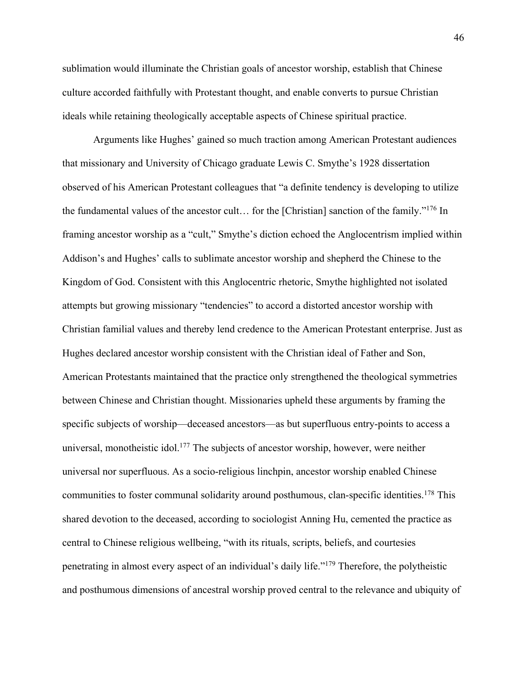sublimation would illuminate the Christian goals of ancestor worship, establish that Chinese culture accorded faithfully with Protestant thought, and enable converts to pursue Christian ideals while retaining theologically acceptable aspects of Chinese spiritual practice.

Arguments like Hughes' gained so much traction among American Protestant audiences that missionary and University of Chicago graduate Lewis C. Smythe's 1928 dissertation observed of his American Protestant colleagues that "a definite tendency is developing to utilize the fundamental values of the ancestor cult… for the [Christian] sanction of the family."176 In framing ancestor worship as a "cult," Smythe's diction echoed the Anglocentrism implied within Addison's and Hughes' calls to sublimate ancestor worship and shepherd the Chinese to the Kingdom of God. Consistent with this Anglocentric rhetoric, Smythe highlighted not isolated attempts but growing missionary "tendencies" to accord a distorted ancestor worship with Christian familial values and thereby lend credence to the American Protestant enterprise. Just as Hughes declared ancestor worship consistent with the Christian ideal of Father and Son, American Protestants maintained that the practice only strengthened the theological symmetries between Chinese and Christian thought. Missionaries upheld these arguments by framing the specific subjects of worship—deceased ancestors—as but superfluous entry-points to access a universal, monotheistic idol.<sup>177</sup> The subjects of ancestor worship, however, were neither universal nor superfluous. As a socio-religious linchpin, ancestor worship enabled Chinese communities to foster communal solidarity around posthumous, clan-specific identities.<sup>178</sup> This shared devotion to the deceased, according to sociologist Anning Hu, cemented the practice as central to Chinese religious wellbeing, "with its rituals, scripts, beliefs, and courtesies penetrating in almost every aspect of an individual's daily life."179 Therefore, the polytheistic and posthumous dimensions of ancestral worship proved central to the relevance and ubiquity of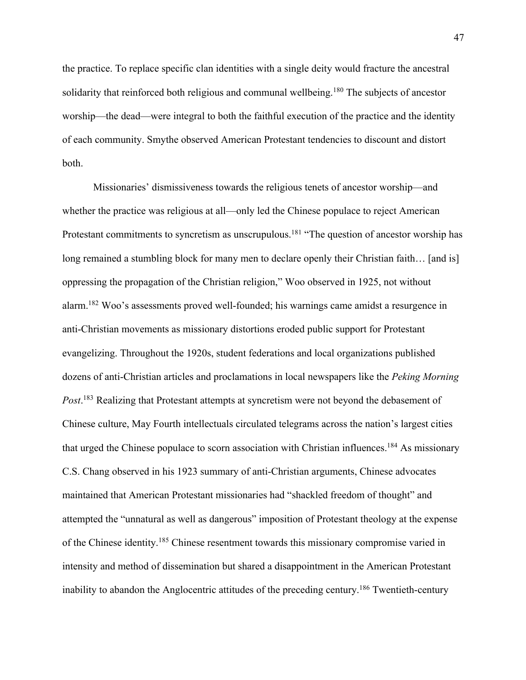the practice. To replace specific clan identities with a single deity would fracture the ancestral solidarity that reinforced both religious and communal wellbeing.<sup>180</sup> The subjects of ancestor worship—the dead—were integral to both the faithful execution of the practice and the identity of each community. Smythe observed American Protestant tendencies to discount and distort both.

Missionaries' dismissiveness towards the religious tenets of ancestor worship—and whether the practice was religious at all—only led the Chinese populace to reject American Protestant commitments to syncretism as unscrupulous.<sup>181</sup> "The question of ancestor worship has long remained a stumbling block for many men to declare openly their Christian faith… [and is] oppressing the propagation of the Christian religion," Woo observed in 1925, not without alarm.182 Woo's assessments proved well-founded; his warnings came amidst a resurgence in anti-Christian movements as missionary distortions eroded public support for Protestant evangelizing. Throughout the 1920s, student federations and local organizations published dozens of anti-Christian articles and proclamations in local newspapers like the *Peking Morning Post*. <sup>183</sup> Realizing that Protestant attempts at syncretism were not beyond the debasement of Chinese culture, May Fourth intellectuals circulated telegrams across the nation's largest cities that urged the Chinese populace to scorn association with Christian influences.184 As missionary C.S. Chang observed in his 1923 summary of anti-Christian arguments, Chinese advocates maintained that American Protestant missionaries had "shackled freedom of thought" and attempted the "unnatural as well as dangerous" imposition of Protestant theology at the expense of the Chinese identity.185 Chinese resentment towards this missionary compromise varied in intensity and method of dissemination but shared a disappointment in the American Protestant inability to abandon the Anglocentric attitudes of the preceding century.<sup>186</sup> Twentieth-century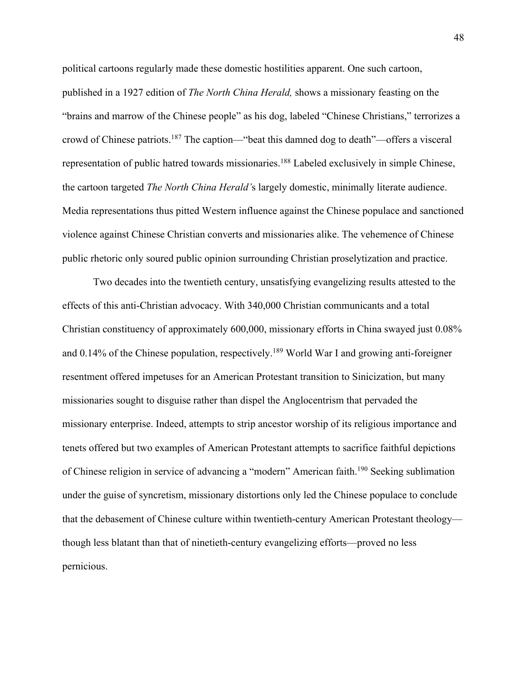political cartoons regularly made these domestic hostilities apparent. One such cartoon, published in a 1927 edition of *The North China Herald,* shows a missionary feasting on the "brains and marrow of the Chinese people" as his dog, labeled "Chinese Christians," terrorizes a crowd of Chinese patriots.187 The caption—"beat this damned dog to death"—offers a visceral representation of public hatred towards missionaries.188 Labeled exclusively in simple Chinese, the cartoon targeted *The North China Herald'*s largely domestic, minimally literate audience. Media representations thus pitted Western influence against the Chinese populace and sanctioned violence against Chinese Christian converts and missionaries alike. The vehemence of Chinese public rhetoric only soured public opinion surrounding Christian proselytization and practice.

Two decades into the twentieth century, unsatisfying evangelizing results attested to the effects of this anti-Christian advocacy. With 340,000 Christian communicants and a total Christian constituency of approximately 600,000, missionary efforts in China swayed just 0.08% and 0.14% of the Chinese population, respectively.<sup>189</sup> World War I and growing anti-foreigner resentment offered impetuses for an American Protestant transition to Sinicization, but many missionaries sought to disguise rather than dispel the Anglocentrism that pervaded the missionary enterprise. Indeed, attempts to strip ancestor worship of its religious importance and tenets offered but two examples of American Protestant attempts to sacrifice faithful depictions of Chinese religion in service of advancing a "modern" American faith.<sup>190</sup> Seeking sublimation under the guise of syncretism, missionary distortions only led the Chinese populace to conclude that the debasement of Chinese culture within twentieth-century American Protestant theology though less blatant than that of ninetieth-century evangelizing efforts—proved no less pernicious.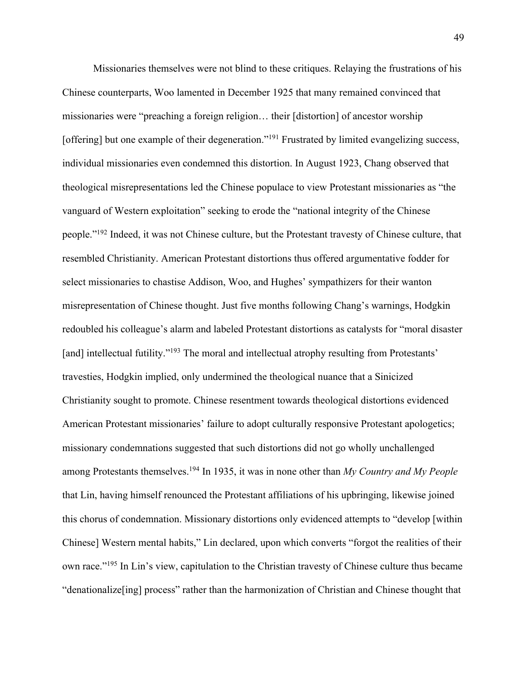Missionaries themselves were not blind to these critiques. Relaying the frustrations of his Chinese counterparts, Woo lamented in December 1925 that many remained convinced that missionaries were "preaching a foreign religion… their [distortion] of ancestor worship [offering] but one example of their degeneration."<sup>191</sup> Frustrated by limited evangelizing success, individual missionaries even condemned this distortion. In August 1923, Chang observed that theological misrepresentations led the Chinese populace to view Protestant missionaries as "the vanguard of Western exploitation" seeking to erode the "national integrity of the Chinese people."192 Indeed, it was not Chinese culture, but the Protestant travesty of Chinese culture, that resembled Christianity. American Protestant distortions thus offered argumentative fodder for select missionaries to chastise Addison, Woo, and Hughes' sympathizers for their wanton misrepresentation of Chinese thought. Just five months following Chang's warnings, Hodgkin redoubled his colleague's alarm and labeled Protestant distortions as catalysts for "moral disaster [and] intellectual futility."<sup>193</sup> The moral and intellectual atrophy resulting from Protestants' travesties, Hodgkin implied, only undermined the theological nuance that a Sinicized Christianity sought to promote. Chinese resentment towards theological distortions evidenced American Protestant missionaries' failure to adopt culturally responsive Protestant apologetics; missionary condemnations suggested that such distortions did not go wholly unchallenged among Protestants themselves.194 In 1935, it was in none other than *My Country and My People*  that Lin, having himself renounced the Protestant affiliations of his upbringing, likewise joined this chorus of condemnation. Missionary distortions only evidenced attempts to "develop [within Chinese] Western mental habits," Lin declared, upon which converts "forgot the realities of their own race."195 In Lin's view, capitulation to the Christian travesty of Chinese culture thus became "denationalize[ing] process" rather than the harmonization of Christian and Chinese thought that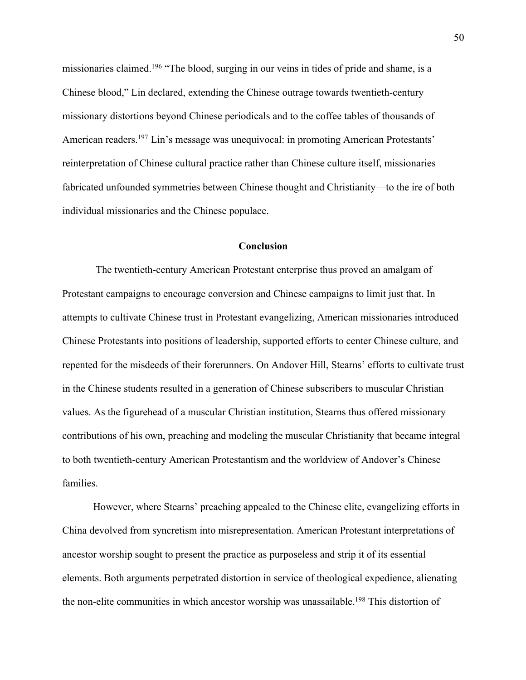missionaries claimed.196 "The blood, surging in our veins in tides of pride and shame, is a Chinese blood," Lin declared, extending the Chinese outrage towards twentieth-century missionary distortions beyond Chinese periodicals and to the coffee tables of thousands of American readers.197 Lin's message was unequivocal: in promoting American Protestants' reinterpretation of Chinese cultural practice rather than Chinese culture itself, missionaries fabricated unfounded symmetries between Chinese thought and Christianity—to the ire of both individual missionaries and the Chinese populace.

## **Conclusion**

The twentieth-century American Protestant enterprise thus proved an amalgam of Protestant campaigns to encourage conversion and Chinese campaigns to limit just that. In attempts to cultivate Chinese trust in Protestant evangelizing, American missionaries introduced Chinese Protestants into positions of leadership, supported efforts to center Chinese culture, and repented for the misdeeds of their forerunners. On Andover Hill, Stearns' efforts to cultivate trust in the Chinese students resulted in a generation of Chinese subscribers to muscular Christian values. As the figurehead of a muscular Christian institution, Stearns thus offered missionary contributions of his own, preaching and modeling the muscular Christianity that became integral to both twentieth-century American Protestantism and the worldview of Andover's Chinese families.

However, where Stearns' preaching appealed to the Chinese elite, evangelizing efforts in China devolved from syncretism into misrepresentation. American Protestant interpretations of ancestor worship sought to present the practice as purposeless and strip it of its essential elements. Both arguments perpetrated distortion in service of theological expedience, alienating the non-elite communities in which ancestor worship was unassailable.<sup>198</sup> This distortion of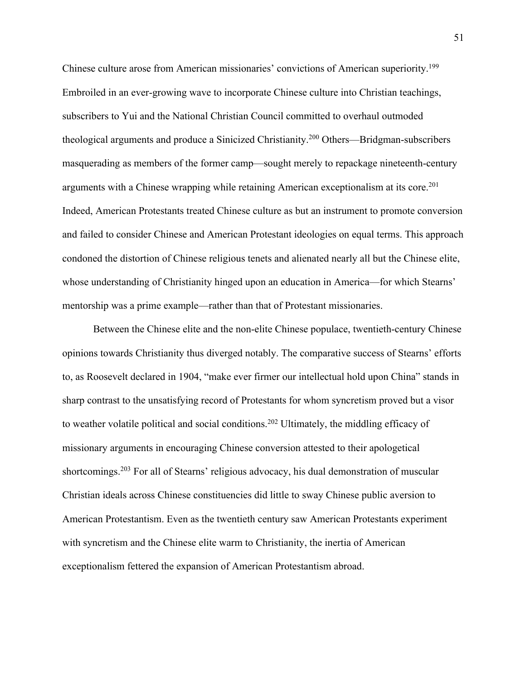Chinese culture arose from American missionaries' convictions of American superiority.199 Embroiled in an ever-growing wave to incorporate Chinese culture into Christian teachings, subscribers to Yui and the National Christian Council committed to overhaul outmoded theological arguments and produce a Sinicized Christianity.200 Others—Bridgman-subscribers masquerading as members of the former camp—sought merely to repackage nineteenth-century arguments with a Chinese wrapping while retaining American exceptionalism at its core.<sup>201</sup> Indeed, American Protestants treated Chinese culture as but an instrument to promote conversion and failed to consider Chinese and American Protestant ideologies on equal terms. This approach condoned the distortion of Chinese religious tenets and alienated nearly all but the Chinese elite, whose understanding of Christianity hinged upon an education in America—for which Stearns' mentorship was a prime example—rather than that of Protestant missionaries.

Between the Chinese elite and the non-elite Chinese populace, twentieth-century Chinese opinions towards Christianity thus diverged notably. The comparative success of Stearns' efforts to, as Roosevelt declared in 1904, "make ever firmer our intellectual hold upon China" stands in sharp contrast to the unsatisfying record of Protestants for whom syncretism proved but a visor to weather volatile political and social conditions.<sup>202</sup> Ultimately, the middling efficacy of missionary arguments in encouraging Chinese conversion attested to their apologetical shortcomings.<sup>203</sup> For all of Stearns' religious advocacy, his dual demonstration of muscular Christian ideals across Chinese constituencies did little to sway Chinese public aversion to American Protestantism. Even as the twentieth century saw American Protestants experiment with syncretism and the Chinese elite warm to Christianity, the inertia of American exceptionalism fettered the expansion of American Protestantism abroad.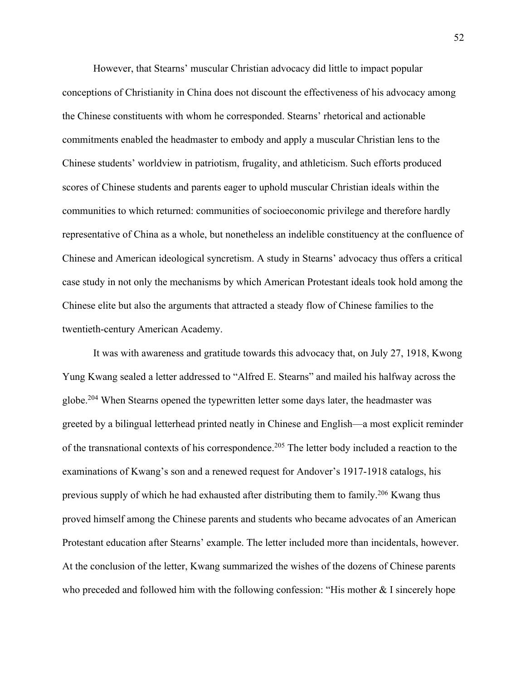However, that Stearns' muscular Christian advocacy did little to impact popular conceptions of Christianity in China does not discount the effectiveness of his advocacy among the Chinese constituents with whom he corresponded. Stearns' rhetorical and actionable commitments enabled the headmaster to embody and apply a muscular Christian lens to the Chinese students' worldview in patriotism, frugality, and athleticism. Such efforts produced scores of Chinese students and parents eager to uphold muscular Christian ideals within the communities to which returned: communities of socioeconomic privilege and therefore hardly representative of China as a whole, but nonetheless an indelible constituency at the confluence of Chinese and American ideological syncretism. A study in Stearns' advocacy thus offers a critical case study in not only the mechanisms by which American Protestant ideals took hold among the Chinese elite but also the arguments that attracted a steady flow of Chinese families to the twentieth-century American Academy.

It was with awareness and gratitude towards this advocacy that, on July 27, 1918, Kwong Yung Kwang sealed a letter addressed to "Alfred E. Stearns" and mailed his halfway across the globe.<sup>204</sup> When Stearns opened the typewritten letter some days later, the headmaster was greeted by a bilingual letterhead printed neatly in Chinese and English—a most explicit reminder of the transnational contexts of his correspondence.<sup>205</sup> The letter body included a reaction to the examinations of Kwang's son and a renewed request for Andover's 1917-1918 catalogs, his previous supply of which he had exhausted after distributing them to family.206 Kwang thus proved himself among the Chinese parents and students who became advocates of an American Protestant education after Stearns' example. The letter included more than incidentals, however. At the conclusion of the letter, Kwang summarized the wishes of the dozens of Chinese parents who preceded and followed him with the following confession: "His mother & I sincerely hope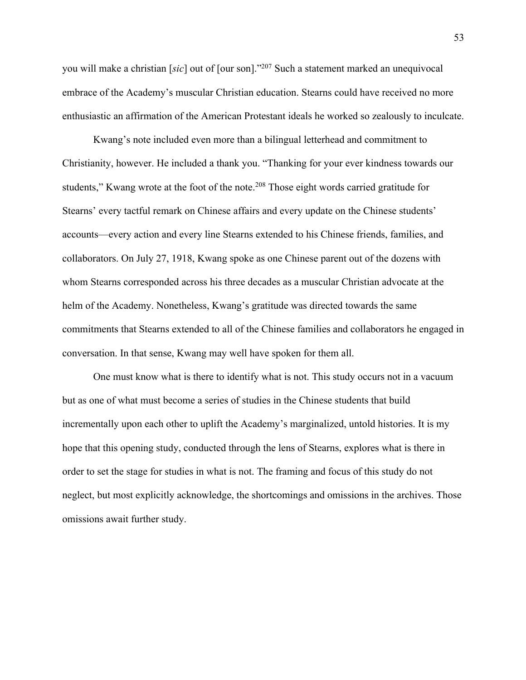you will make a christian [*sic*] out of [our son]."207 Such a statement marked an unequivocal embrace of the Academy's muscular Christian education. Stearns could have received no more enthusiastic an affirmation of the American Protestant ideals he worked so zealously to inculcate.

Kwang's note included even more than a bilingual letterhead and commitment to Christianity, however. He included a thank you. "Thanking for your ever kindness towards our students," Kwang wrote at the foot of the note.<sup>208</sup> Those eight words carried gratitude for Stearns' every tactful remark on Chinese affairs and every update on the Chinese students' accounts—every action and every line Stearns extended to his Chinese friends, families, and collaborators. On July 27, 1918, Kwang spoke as one Chinese parent out of the dozens with whom Stearns corresponded across his three decades as a muscular Christian advocate at the helm of the Academy. Nonetheless, Kwang's gratitude was directed towards the same commitments that Stearns extended to all of the Chinese families and collaborators he engaged in conversation. In that sense, Kwang may well have spoken for them all.

One must know what is there to identify what is not. This study occurs not in a vacuum but as one of what must become a series of studies in the Chinese students that build incrementally upon each other to uplift the Academy's marginalized, untold histories. It is my hope that this opening study, conducted through the lens of Stearns, explores what is there in order to set the stage for studies in what is not. The framing and focus of this study do not neglect, but most explicitly acknowledge, the shortcomings and omissions in the archives. Those omissions await further study.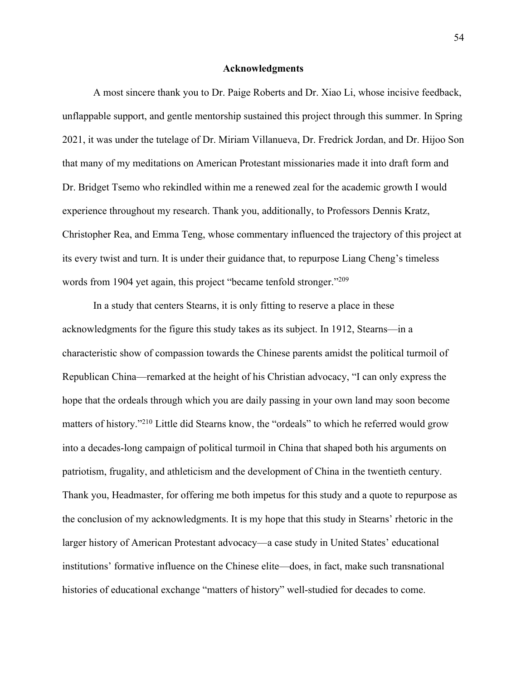### **Acknowledgments**

A most sincere thank you to Dr. Paige Roberts and Dr. Xiao Li, whose incisive feedback, unflappable support, and gentle mentorship sustained this project through this summer. In Spring 2021, it was under the tutelage of Dr. Miriam Villanueva, Dr. Fredrick Jordan, and Dr. Hijoo Son that many of my meditations on American Protestant missionaries made it into draft form and Dr. Bridget Tsemo who rekindled within me a renewed zeal for the academic growth I would experience throughout my research. Thank you, additionally, to Professors Dennis Kratz, Christopher Rea, and Emma Teng, whose commentary influenced the trajectory of this project at its every twist and turn. It is under their guidance that, to repurpose Liang Cheng's timeless words from 1904 yet again, this project "became tenfold stronger."<sup>209</sup>

In a study that centers Stearns, it is only fitting to reserve a place in these acknowledgments for the figure this study takes as its subject. In 1912, Stearns—in a characteristic show of compassion towards the Chinese parents amidst the political turmoil of Republican China—remarked at the height of his Christian advocacy, "I can only express the hope that the ordeals through which you are daily passing in your own land may soon become matters of history."210 Little did Stearns know, the "ordeals" to which he referred would grow into a decades-long campaign of political turmoil in China that shaped both his arguments on patriotism, frugality, and athleticism and the development of China in the twentieth century. Thank you, Headmaster, for offering me both impetus for this study and a quote to repurpose as the conclusion of my acknowledgments. It is my hope that this study in Stearns' rhetoric in the larger history of American Protestant advocacy—a case study in United States' educational institutions' formative influence on the Chinese elite—does, in fact, make such transnational histories of educational exchange "matters of history" well-studied for decades to come.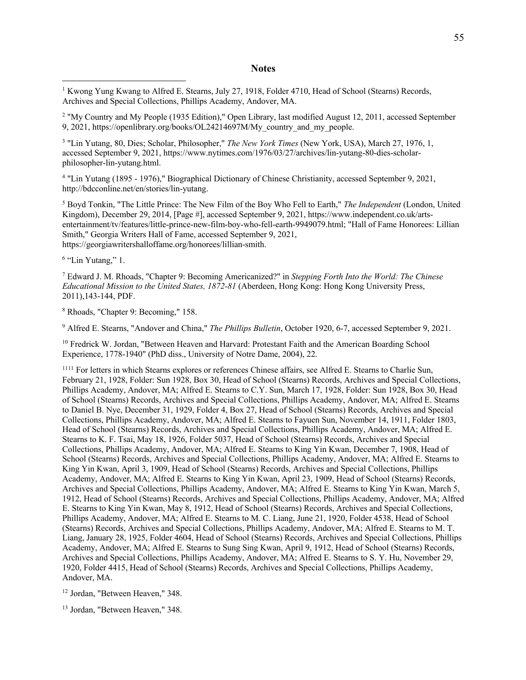#### **Notes**

<sup>1</sup> Kwong Yung Kwang to Alfred E. Stearns, July 27, 1918, Folder 4710, Head of School (Stearns) Records, Archives and Special Collections, Phillips Academy, Andover, MA.

<sup>2</sup> "My Country and My People (1935 Edition)," Open Library, last modified August 12, 2011, accessed September 9, 2021, https://openlibrary.org/books/OL24214697M/My\_country\_and\_my\_people.

<sup>3</sup> "Lin Yutang, 80, Dies; Scholar, Philosopher," *The New York Times* (New York, USA), March 27, 1976, 1, accessed September 9, 2021, https://www.nytimes.com/1976/03/27/archives/lin-yutang-80-dies-scholarphilosopher-lin-yutang.html.

<sup>4</sup> "Lin Yutang (1895 - 1976)," Biographical Dictionary of Chinese Christianity, accessed September 9, 2021, http://bdcconline.net/en/stories/lin-yutang.

<sup>5</sup> Boyd Tonkin, "The Little Prince: The New Film of the Boy Who Fell to Earth," *The Independent* (London, United Kingdom), December 29, 2014, [Page #], accessed September 9, 2021, https://www.independent.co.uk/artsentertainment/tv/features/little-prince-new-film-boy-who-fell-earth-9949079.html; "Hall of Fame Honorees: Lillian Smith," Georgia Writers Hall of Fame, accessed September 9, 2021, https://georgiawritershalloffame.org/honorees/lillian-smith.

<sup>6</sup> "Lin Yutang," 1.

<sup>7</sup> Edward J. M. Rhoads, "Chapter 9: Becoming Americanized?" in *Stepping Forth Into the World: The Chinese Educational Mission to the United States, 1872-81* (Aberdeen, Hong Kong: Hong Kong University Press, 2011),143-144, PDF.

<sup>8</sup> Rhoads, "Chapter 9: Becoming," 158.

<sup>9</sup> Alfred E. Stearns, "Andover and China," *The Phillips Bulletin*, October 1920, 6-7, accessed September 9, 2021.

<sup>10</sup> Fredrick W. Jordan, "Between Heaven and Harvard: Protestant Faith and the American Boarding School Experience, 1778-1940" (PhD diss., University of Notre Dame, 2004), 22.

<sup>1111</sup> For letters in which Stearns explores or references Chinese affairs, see Alfred E. Stearns to Charlie Sun, February 21, 1928, Folder: Sun 1928, Box 30, Head of School (Stearns) Records, Archives and Special Collections, Phillips Academy, Andover, MA; Alfred E. Stearns to C.Y. Sun, March 17, 1928, Folder: Sun 1928, Box 30, Head of School (Stearns) Records, Archives and Special Collections, Phillips Academy, Andover, MA; Alfred E. Stearns to Daniel B. Nye, December 31, 1929, Folder 4, Box 27, Head of School (Stearns) Records, Archives and Special Collections, Phillips Academy, Andover, MA; Alfred E. Stearns to Fayuen Sun, November 14, 1911, Folder 1803, Head of School (Stearns) Records, Archives and Special Collections, Phillips Academy, Andover, MA; Alfred E. Stearns to K. F. Tsai, May 18, 1926, Folder 5037, Head of School (Stearns) Records, Archives and Special Collections, Phillips Academy, Andover, MA; Alfred E. Stearns to King Yin Kwan, December 7, 1908, Head of School (Stearns) Records, Archives and Special Collections, Phillips Academy, Andover, MA; Alfred E. Stearns to King Yin Kwan, April 3, 1909, Head of School (Stearns) Records, Archives and Special Collections, Phillips Academy, Andover, MA; Alfred E. Stearns to King Yin Kwan, April 23, 1909, Head of School (Stearns) Records, Archives and Special Collections, Phillips Academy, Andover, MA; Alfred E. Stearns to King Yin Kwan, March 5, 1912, Head of School (Stearns) Records, Archives and Special Collections, Phillips Academy, Andover, MA; Alfred E. Stearns to King Yin Kwan, May 8, 1912, Head of School (Stearns) Records, Archives and Special Collections, Phillips Academy, Andover, MA; Alfred E. Stearns to M. C. Liang, June 21, 1920, Folder 4538, Head of School (Stearns) Records, Archives and Special Collections, Phillips Academy, Andover, MA; Alfred E. Stearns to M. T. Liang, January 28, 1925, Folder 4604, Head of School (Stearns) Records, Archives and Special Collections, Phillips Academy, Andover, MA; Alfred E. Stearns to Sung Sing Kwan, April 9, 1912, Head of School (Stearns) Records, Archives and Special Collections, Phillips Academy, Andover, MA; Alfred E. Stearns to S. Y. Hu, November 29, 1920, Folder 4415, Head of School (Stearns) Records, Archives and Special Collections, Phillips Academy, Andover, MA.

<sup>12</sup> Jordan, "Between Heaven," 348.

<sup>13</sup> Jordan, "Between Heaven," 348.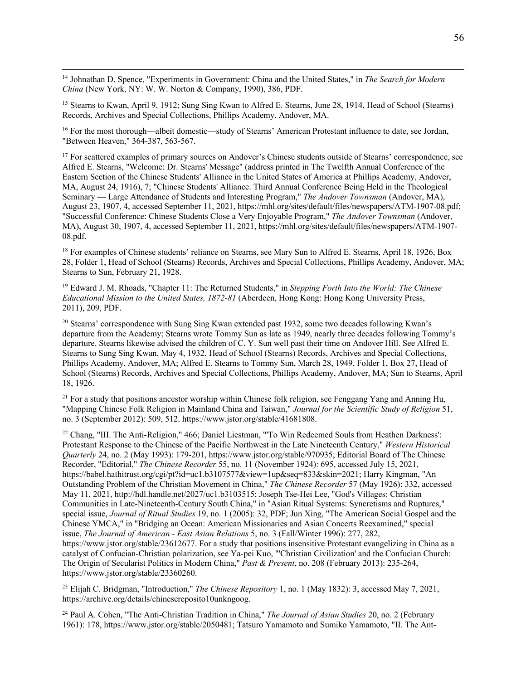<sup>14</sup> Johnathan D. Spence, "Experiments in Government: China and the United States," in *The Search for Modern China* (New York, NY: W. W. Norton & Company, 1990), 386, PDF.

<sup>15</sup> Stearns to Kwan, April 9, 1912; Sung Sing Kwan to Alfred E. Stearns, June 28, 1914, Head of School (Stearns) Records, Archives and Special Collections, Phillips Academy, Andover, MA.

<sup>16</sup> For the most thorough—albeit domestic—study of Stearns' American Protestant influence to date, see Jordan, "Between Heaven," 364-387, 563-567.

<sup>17</sup> For scattered examples of primary sources on Andover's Chinese students outside of Stearns' correspondence, see Alfred E. Stearns, "Welcome: Dr. Stearns' Message" (address printed in The Twelfth Annual Conference of the Eastern Section of the Chinese Students' Alliance in the United States of America at Phillips Academy, Andover, MA, August 24, 1916), 7; "Chinese Students' Alliance. Third Annual Conference Being Held in the Theological Seminary — Large Attendance of Students and Interesting Program," *The Andover Townsman* (Andover, MA), August 23, 1907, 4, accessed September 11, 2021, https://mhl.org/sites/default/files/newspapers/ATM-1907-08.pdf; "Successful Conference: Chinese Students Close a Very Enjoyable Program," *The Andover Townsman* (Andover, MA), August 30, 1907, 4, accessed September 11, 2021, https://mhl.org/sites/default/files/newspapers/ATM-1907- 08.pdf.

<sup>18</sup> For examples of Chinese students' reliance on Stearns, see Mary Sun to Alfred E. Stearns, April 18, 1926, Box 28, Folder 1, Head of School (Stearns) Records, Archives and Special Collections, Phillips Academy, Andover, MA; Stearns to Sun, February 21, 1928.

<sup>19</sup> Edward J. M. Rhoads, "Chapter 11: The Returned Students," in *Stepping Forth Into the World: The Chinese Educational Mission to the United States, 1872-81* (Aberdeen, Hong Kong: Hong Kong University Press, 2011), 209, PDF.

<sup>20</sup> Stearns' correspondence with Sung Sing Kwan extended past 1932, some two decades following Kwan's departure from the Academy; Stearns wrote Tommy Sun as late as 1949, nearly three decades following Tommy's departure. Stearns likewise advised the children of C. Y. Sun well past their time on Andover Hill. See Alfred E. Stearns to Sung Sing Kwan, May 4, 1932, Head of School (Stearns) Records, Archives and Special Collections, Phillips Academy, Andover, MA; Alfred E. Stearns to Tommy Sun, March 28, 1949, Folder 1, Box 27, Head of School (Stearns) Records, Archives and Special Collections, Phillips Academy, Andover, MA; Sun to Stearns, April 18, 1926.

 $21$  For a study that positions ancestor worship within Chinese folk religion, see Fenggang Yang and Anning Hu, "Mapping Chinese Folk Religion in Mainland China and Taiwan," *Journal for the Scientific Study of Religion* 51, no. 3 (September 2012): 509, 512. https://www.jstor.org/stable/41681808.

<sup>22</sup> Chang, "III. The Anti-Religion," 466; Daniel Liestman, "'To Win Redeemed Souls from Heathen Darkness': Protestant Response to the Chinese of the Pacific Northwest in the Late Nineteenth Century," *Western Historical Quarterly* 24, no. 2 (May 1993): 179-201, https://www.jstor.org/stable/970935; Editorial Board of The Chinese Recorder, "Editorial," *The Chinese Recorder* 55, no. 11 (November 1924): 695, accessed July 15, 2021, https://babel.hathitrust.org/cgi/pt?id=uc1.b3107577&view=1up&seq=833&skin=2021; Harry Kingman, "An Outstanding Problem of the Christian Movement in China," *The Chinese Recorder* 57 (May 1926): 332, accessed May 11, 2021, http://hdl.handle.net/2027/uc1.b3103515; Joseph Tse-Hei Lee, "God's Villages: Christian Communities in Late-Nineteenth-Century South China," in "Asian Ritual Systems: Syncretisms and Ruptures," special issue, *Journal of Ritual Studies* 19, no. 1 (2005): 32, PDF; Jun Xing, "The American Social Gospel and the Chinese YMCA," in "Bridging an Ocean: American Missionaries and Asian Concerts Reexamined," special issue, *The Journal of American - East Asian Relations* 5, no. 3 (Fall/Winter 1996): 277, 282, https://www.jstor.org/stable/23612677. For a study that positions insensitive Protestant evangelizing in China as a catalyst of Confucian-Christian polarization, see Ya-pei Kuo, "'Christian Civilization' and the Confucian Church: The Origin of Secularist Politics in Modern China," *Past & Present*, no. 208 (February 2013): 235-264, https://www.jstor.org/stable/23360260.

<sup>23</sup> Elijah C. Bridgman, "Introduction," *The Chinese Repository* 1, no. 1 (May 1832): 3, accessed May 7, 2021, https://archive.org/details/chinesereposito10unkngoog.

<sup>24</sup> Paul A. Cohen, "The Anti-Christian Tradition in China," *The Journal of Asian Studies* 20, no. 2 (February 1961): 178, https://www.jstor.org/stable/2050481; Tatsuro Yamamoto and Sumiko Yamamoto, "II. The Ant-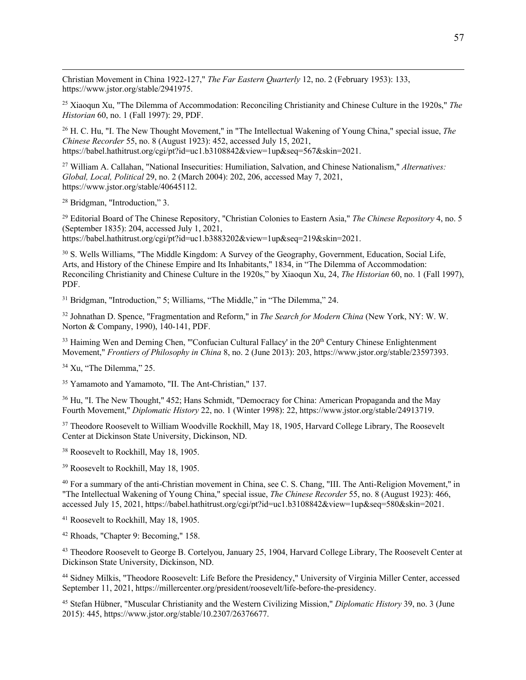Christian Movement in China 1922-127," *The Far Eastern Quarterly* 12, no. 2 (February 1953): 133, https://www.jstor.org/stable/2941975.

<sup>25</sup> Xiaoqun Xu, "The Dilemma of Accommodation: Reconciling Christianity and Chinese Culture in the 1920s," *The Historian* 60, no. 1 (Fall 1997): 29, PDF.

<sup>26</sup> H. C. Hu, "I. The New Thought Movement," in "The Intellectual Wakening of Young China," special issue, *The Chinese Recorder* 55, no. 8 (August 1923): 452, accessed July 15, 2021, https://babel.hathitrust.org/cgi/pt?id=uc1.b3108842&view=1up&seq=567&skin=2021.

<sup>27</sup> William A. Callahan, "National Insecurities: Humiliation, Salvation, and Chinese Nationalism," *Alternatives: Global, Local, Political* 29, no. 2 (March 2004): 202, 206, accessed May 7, 2021, https://www.jstor.org/stable/40645112.

<sup>28</sup> Bridgman, "Introduction," 3.

<sup>29</sup> Editorial Board of The Chinese Repository, "Christian Colonies to Eastern Asia," *The Chinese Repository* 4, no. 5 (September 1835): 204, accessed July 1, 2021, https://babel.hathitrust.org/cgi/pt?id=uc1.b3883202&view=1up&seq=219&skin=2021.

<sup>30</sup> S. Wells Williams, "The Middle Kingdom: A Survey of the Geography, Government, Education, Social Life, Arts, and History of the Chinese Empire and Its Inhabitants," 1834, in "The Dilemma of Accommodation: Reconciling Christianity and Chinese Culture in the 1920s," by Xiaoqun Xu, 24, *The Historian* 60, no. 1 (Fall 1997), PDF.

<sup>31</sup> Bridgman, "Introduction," 5; Williams, "The Middle," in "The Dilemma," 24.

<sup>32</sup> Johnathan D. Spence, "Fragmentation and Reform," in *The Search for Modern China* (New York, NY: W. W. Norton & Company, 1990), 140-141, PDF.

<sup>33</sup> Haiming Wen and Deming Chen, "'Confucian Cultural Fallacy' in the 20<sup>th</sup> Century Chinese Enlightenment Movement," *Frontiers of Philosophy in China* 8, no. 2 (June 2013): 203, https://www.jstor.org/stable/23597393.

<sup>34</sup> Xu, "The Dilemma," 25.

<sup>35</sup> Yamamoto and Yamamoto, "II. The Ant-Christian," 137.

<sup>36</sup> Hu, "I. The New Thought," 452; Hans Schmidt, "Democracy for China: American Propaganda and the May Fourth Movement," *Diplomatic History* 22, no. 1 (Winter 1998): 22, https://www.jstor.org/stable/24913719.

<sup>37</sup> Theodore Roosevelt to William Woodville Rockhill, May 18, 1905, Harvard College Library, The Roosevelt Center at Dickinson State University, Dickinson, ND.

<sup>38</sup> Roosevelt to Rockhill, May 18, 1905.

<sup>39</sup> Roosevelt to Rockhill, May 18, 1905.

<sup>40</sup> For a summary of the anti-Christian movement in China, see C. S. Chang, "III. The Anti-Religion Movement," in "The Intellectual Wakening of Young China," special issue, *The Chinese Recorder* 55, no. 8 (August 1923): 466, accessed July 15, 2021, https://babel.hathitrust.org/cgi/pt?id=uc1.b3108842&view=1up&seq=580&skin=2021.

<sup>41</sup> Roosevelt to Rockhill, May 18, 1905.

<sup>42</sup> Rhoads, "Chapter 9: Becoming," 158.

<sup>43</sup> Theodore Roosevelt to George B. Cortelyou, January 25, 1904, Harvard College Library, The Roosevelt Center at Dickinson State University, Dickinson, ND.

<sup>44</sup> Sidney Milkis, "Theodore Roosevelt: Life Before the Presidency," University of Virginia Miller Center, accessed September 11, 2021, https://millercenter.org/president/roosevelt/life-before-the-presidency.

<sup>45</sup> Stefan Hübner, "Muscular Christianity and the Western Civilizing Mission," *Diplomatic History* 39, no. 3 (June 2015): 445, https://www.jstor.org/stable/10.2307/26376677.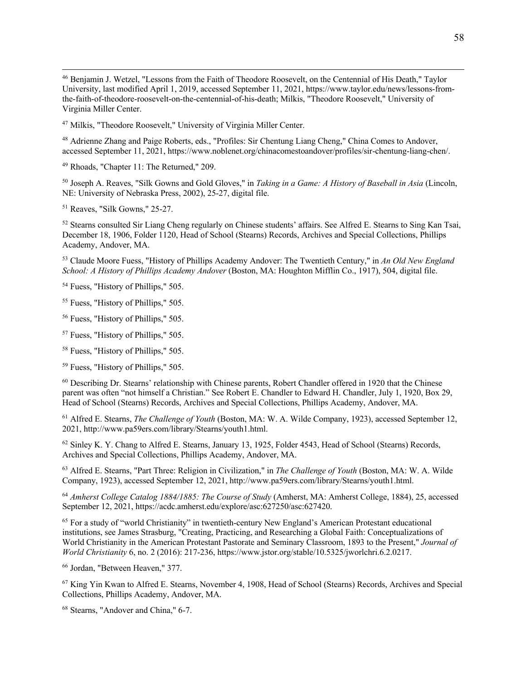<sup>46</sup> Benjamin J. Wetzel, "Lessons from the Faith of Theodore Roosevelt, on the Centennial of His Death," Taylor University, last modified April 1, 2019, accessed September 11, 2021, https://www.taylor.edu/news/lessons-fromthe-faith-of-theodore-roosevelt-on-the-centennial-of-his-death; Milkis, "Theodore Roosevelt," University of Virginia Miller Center.

<sup>47</sup> Milkis, "Theodore Roosevelt," University of Virginia Miller Center.

<sup>48</sup> Adrienne Zhang and Paige Roberts, eds., "Profiles: Sir Chentung Liang Cheng," China Comes to Andover, accessed September 11, 2021, https://www.noblenet.org/chinacomestoandover/profiles/sir-chentung-liang-chen/.

<sup>49</sup> Rhoads, "Chapter 11: The Returned," 209.

<sup>50</sup> Joseph A. Reaves, "Silk Gowns and Gold Gloves," in *Taking in a Game: A History of Baseball in Asia* (Lincoln, NE: University of Nebraska Press, 2002), 25-27, digital file.

<sup>51</sup> Reaves, "Silk Gowns," 25-27.

<sup>52</sup> Stearns consulted Sir Liang Cheng regularly on Chinese students' affairs. See Alfred E. Stearns to Sing Kan Tsai, December 18, 1906, Folder 1120, Head of School (Stearns) Records, Archives and Special Collections, Phillips Academy, Andover, MA.

<sup>53</sup> Claude Moore Fuess, "History of Phillips Academy Andover: The Twentieth Century," in *An Old New England School: A History of Phillips Academy Andover* (Boston, MA: Houghton Mifflin Co., 1917), 504, digital file.

<sup>54</sup> Fuess, "History of Phillips," 505.

<sup>55</sup> Fuess, "History of Phillips," 505.

<sup>56</sup> Fuess, "History of Phillips," 505.

<sup>57</sup> Fuess, "History of Phillips," 505.

<sup>58</sup> Fuess, "History of Phillips," 505.

<sup>59</sup> Fuess, "History of Phillips," 505.

<sup>60</sup> Describing Dr. Stearns' relationship with Chinese parents, Robert Chandler offered in 1920 that the Chinese parent was often "not himself a Christian." See Robert E. Chandler to Edward H. Chandler, July 1, 1920, Box 29, Head of School (Stearns) Records, Archives and Special Collections, Phillips Academy, Andover, MA.

<sup>61</sup> Alfred E. Stearns, *The Challenge of Youth* (Boston, MA: W. A. Wilde Company, 1923), accessed September 12, 2021, http://www.pa59ers.com/library/Stearns/youth1.html.

<sup>62</sup> Sinley K. Y. Chang to Alfred E. Stearns, January 13, 1925, Folder 4543, Head of School (Stearns) Records, Archives and Special Collections, Phillips Academy, Andover, MA.

<sup>63</sup> Alfred E. Stearns, "Part Three: Religion in Civilization," in *The Challenge of Youth* (Boston, MA: W. A. Wilde Company, 1923), accessed September 12, 2021, http://www.pa59ers.com/library/Stearns/youth1.html.

<sup>64</sup> *Amherst College Catalog 1884/1885: The Course of Study* (Amherst, MA: Amherst College, 1884), 25, accessed September 12, 2021, https://acdc.amherst.edu/explore/asc:627250/asc:627420.

<sup>65</sup> For a study of "world Christianity" in twentieth-century New England's American Protestant educational institutions, see James Strasburg, "Creating, Practicing, and Researching a Global Faith: Conceptualizations of World Christianity in the American Protestant Pastorate and Seminary Classroom, 1893 to the Present," *Journal of World Christianity* 6, no. 2 (2016): 217-236, https://www.jstor.org/stable/10.5325/jworlchri.6.2.0217.

<sup>66</sup> Jordan, "Between Heaven," 377.

<sup>67</sup> King Yin Kwan to Alfred E. Stearns, November 4, 1908, Head of School (Stearns) Records, Archives and Special Collections, Phillips Academy, Andover, MA.

<sup>68</sup> Stearns, "Andover and China," 6-7.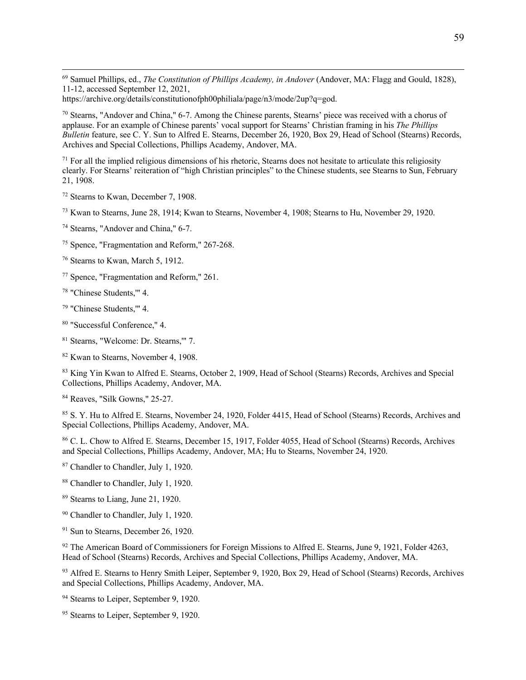<sup>69</sup> Samuel Phillips, ed., *The Constitution of Phillips Academy, in Andover* (Andover, MA: Flagg and Gould, 1828), 11-12, accessed September 12, 2021,

https://archive.org/details/constitutionofph00philiala/page/n3/mode/2up?q=god.

<sup>70</sup> Stearns, "Andover and China," 6-7. Among the Chinese parents, Stearns' piece was received with a chorus of applause. For an example of Chinese parents' vocal support for Stearns' Christian framing in his *The Phillips Bulletin* feature, see C. Y. Sun to Alfred E. Stearns, December 26, 1920, Box 29, Head of School (Stearns) Records, Archives and Special Collections, Phillips Academy, Andover, MA.

 $71$  For all the implied religious dimensions of his rhetoric, Stearns does not hesitate to articulate this religiosity clearly. For Stearns' reiteration of "high Christian principles" to the Chinese students, see Stearns to Sun, February 21, 1908.

<sup>72</sup> Stearns to Kwan, December 7, 1908.

<sup>73</sup> Kwan to Stearns, June 28, 1914; Kwan to Stearns, November 4, 1908; Stearns to Hu, November 29, 1920.

<sup>74</sup> Stearns, "Andover and China," 6-7.

<sup>75</sup> Spence, "Fragmentation and Reform," 267-268.

<sup>76</sup> Stearns to Kwan, March 5, 1912.

<sup>77</sup> Spence, "Fragmentation and Reform," 261.

<sup>78</sup> "Chinese Students,'" 4.

<sup>79</sup> "Chinese Students,'" 4.

<sup>80</sup> "Successful Conference," 4.

<sup>81</sup> Stearns, "Welcome: Dr. Stearns,'" 7.

<sup>82</sup> Kwan to Stearns, November 4, 1908.

83 King Yin Kwan to Alfred E. Stearns, October 2, 1909, Head of School (Stearns) Records, Archives and Special Collections, Phillips Academy, Andover, MA.

<sup>84</sup> Reaves, "Silk Gowns," 25-27.

<sup>85</sup> S. Y. Hu to Alfred E. Stearns, November 24, 1920, Folder 4415, Head of School (Stearns) Records, Archives and Special Collections, Phillips Academy, Andover, MA.

<sup>86</sup> C. L. Chow to Alfred E. Stearns, December 15, 1917, Folder 4055, Head of School (Stearns) Records, Archives and Special Collections, Phillips Academy, Andover, MA; Hu to Stearns, November 24, 1920.

<sup>87</sup> Chandler to Chandler, July 1, 1920.

<sup>88</sup> Chandler to Chandler, July 1, 1920.

<sup>89</sup> Stearns to Liang, June 21, 1920.

<sup>90</sup> Chandler to Chandler, July 1, 1920.

<sup>91</sup> Sun to Stearns, December 26, 1920.

92 The American Board of Commissioners for Foreign Missions to Alfred E. Stearns, June 9, 1921, Folder 4263, Head of School (Stearns) Records, Archives and Special Collections, Phillips Academy, Andover, MA.

<sup>93</sup> Alfred E. Stearns to Henry Smith Leiper, September 9, 1920, Box 29, Head of School (Stearns) Records, Archives and Special Collections, Phillips Academy, Andover, MA.

<sup>94</sup> Stearns to Leiper, September 9, 1920.

<sup>95</sup> Stearns to Leiper, September 9, 1920.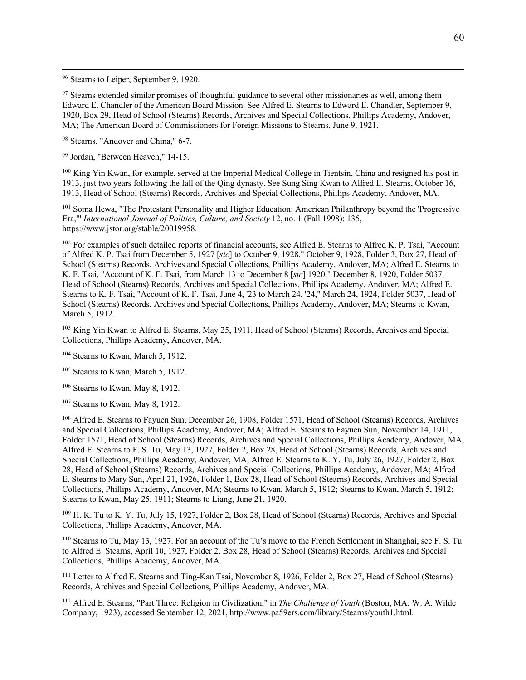<sup>96</sup> Stearns to Leiper, September 9, 1920.

 $97$  Stearns extended similar promises of thoughtful guidance to several other missionaries as well, among them Edward E. Chandler of the American Board Mission. See Alfred E. Stearns to Edward E. Chandler, September 9, 1920, Box 29, Head of School (Stearns) Records, Archives and Special Collections, Phillips Academy, Andover, MA; The American Board of Commissioners for Foreign Missions to Stearns, June 9, 1921.

<sup>98</sup> Stearns, "Andover and China," 6-7.

<sup>99</sup> Jordan, "Between Heaven," 14-15.

<sup>100</sup> King Yin Kwan, for example, served at the Imperial Medical College in Tientsin, China and resigned his post in 1913, just two years following the fall of the Qing dynasty. See Sung Sing Kwan to Alfred E. Stearns, October 16, 1913, Head of School (Stearns) Records, Archives and Special Collections, Phillips Academy, Andover, MA.

<sup>101</sup> Soma Hewa, "The Protestant Personality and Higher Education: American Philanthropy beyond the 'Progressive Era,'" *International Journal of Politics, Culture, and Society* 12, no. 1 (Fall 1998): 135, https://www.jstor.org/stable/20019958.

<sup>102</sup> For examples of such detailed reports of financial accounts, see Alfred E. Stearns to Alfred K. P. Tsai, "Account of Alfred K. P. Tsai from December 5, 1927 [*sic*] to October 9, 1928," October 9, 1928, Folder 3, Box 27, Head of School (Stearns) Records, Archives and Special Collections, Phillips Academy, Andover, MA; Alfred E. Stearns to K. F. Tsai, "Account of K. F. Tsai, from March 13 to December 8 [*sic*] 1920," December 8, 1920, Folder 5037, Head of School (Stearns) Records, Archives and Special Collections, Phillips Academy, Andover, MA; Alfred E. Stearns to K. F. Tsai, "Account of K. F. Tsai, June 4, '23 to March 24, '24," March 24, 1924, Folder 5037, Head of School (Stearns) Records, Archives and Special Collections, Phillips Academy, Andover, MA; Stearns to Kwan, March 5, 1912.

<sup>103</sup> King Yin Kwan to Alfred E. Stearns, May 25, 1911, Head of School (Stearns) Records, Archives and Special Collections, Phillips Academy, Andover, MA.

<sup>104</sup> Stearns to Kwan, March 5, 1912.

<sup>105</sup> Stearns to Kwan, March 5, 1912.

<sup>106</sup> Stearns to Kwan, May 8, 1912.

<sup>107</sup> Stearns to Kwan, May 8, 1912.

<sup>108</sup> Alfred E. Stearns to Fayuen Sun, December 26, 1908, Folder 1571, Head of School (Stearns) Records, Archives and Special Collections, Phillips Academy, Andover, MA; Alfred E. Stearns to Fayuen Sun, November 14, 1911, Folder 1571, Head of School (Stearns) Records, Archives and Special Collections, Phillips Academy, Andover, MA; Alfred E. Stearns to F. S. Tu, May 13, 1927, Folder 2, Box 28, Head of School (Stearns) Records, Archives and Special Collections, Phillips Academy, Andover, MA; Alfred E. Stearns to K. Y. Tu, July 26, 1927, Folder 2, Box 28, Head of School (Stearns) Records, Archives and Special Collections, Phillips Academy, Andover, MA; Alfred E. Stearns to Mary Sun, April 21, 1926, Folder 1, Box 28, Head of School (Stearns) Records, Archives and Special Collections, Phillips Academy, Andover, MA; Stearns to Kwan, March 5, 1912; Stearns to Kwan, March 5, 1912; Stearns to Kwan, May 25, 1911; Stearns to Liang, June 21, 1920.

<sup>109</sup> H. K. Tu to K. Y. Tu, July 15, 1927, Folder 2, Box 28, Head of School (Stearns) Records, Archives and Special Collections, Phillips Academy, Andover, MA.

<sup>110</sup> Stearns to Tu, May 13, 1927. For an account of the Tu's move to the French Settlement in Shanghai, see F. S. Tu to Alfred E. Stearns, April 10, 1927, Folder 2, Box 28, Head of School (Stearns) Records, Archives and Special Collections, Phillips Academy, Andover, MA.

<sup>111</sup> Letter to Alfred E. Stearns and Ting-Kan Tsai, November 8, 1926, Folder 2, Box 27, Head of School (Stearns) Records, Archives and Special Collections, Phillips Academy, Andover, MA.

<sup>112</sup> Alfred E. Stearns, "Part Three: Religion in Civilization," in *The Challenge of Youth* (Boston, MA: W. A. Wilde Company, 1923), accessed September 12, 2021, http://www.pa59ers.com/library/Stearns/youth1.html.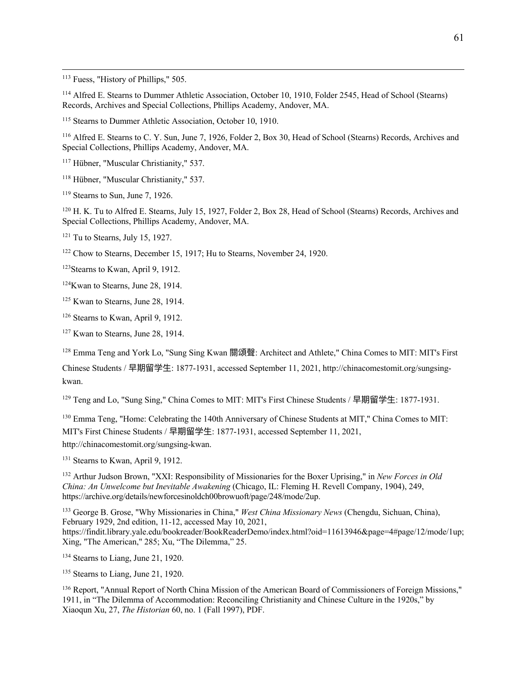<sup>113</sup> Fuess, "History of Phillips," 505.

<sup>114</sup> Alfred E. Stearns to Dummer Athletic Association, October 10, 1910, Folder 2545, Head of School (Stearns) Records, Archives and Special Collections, Phillips Academy, Andover, MA.

<sup>115</sup> Stearns to Dummer Athletic Association, October 10, 1910.

<sup>116</sup> Alfred E. Stearns to C. Y. Sun, June 7, 1926, Folder 2, Box 30, Head of School (Stearns) Records, Archives and Special Collections, Phillips Academy, Andover, MA.

<sup>117</sup> Hübner, "Muscular Christianity," 537.

<sup>118</sup> Hübner, "Muscular Christianity," 537.

<sup>119</sup> Stearns to Sun, June 7, 1926.

<sup>120</sup> H. K. Tu to Alfred E. Stearns, July 15, 1927, Folder 2, Box 28, Head of School (Stearns) Records, Archives and Special Collections, Phillips Academy, Andover, MA.

 $121$  Tu to Stearns, July 15, 1927.

<sup>122</sup> Chow to Stearns, December 15, 1917; Hu to Stearns, November 24, 1920.

<sup>123</sup>Stearns to Kwan, April 9, 1912.

<sup>124</sup>Kwan to Stearns, June 28, 1914.

<sup>125</sup> Kwan to Stearns, June 28, 1914.

<sup>126</sup> Stearns to Kwan, April 9, 1912.

<sup>127</sup> Kwan to Stearns, June 28, 1914.

<sup>128</sup> Emma Teng and York Lo, "Sung Sing Kwan 關頌聲: Architect and Athlete," China Comes to MIT: MIT's First

Chinese Students / 早期留学生: 1877-1931, accessed September 11, 2021, http://chinacomestomit.org/sungsingkwan.

<sup>129</sup> Teng and Lo, "Sung Sing," China Comes to MIT: MIT's First Chinese Students / 早期留学生: 1877-1931.

<sup>130</sup> Emma Teng, "Home: Celebrating the 140th Anniversary of Chinese Students at MIT," China Comes to MIT: MIT's First Chinese Students / 早期留学⽣: 1877-1931, accessed September 11, 2021, http://chinacomestomit.org/sungsing-kwan.

<sup>131</sup> Stearns to Kwan, April 9, 1912.

<sup>132</sup> Arthur Judson Brown, "XXI: Responsibility of Missionaries for the Boxer Uprising," in *New Forces in Old China: An Unwelcome but Inevitable Awakening* (Chicago, IL: Fleming H. Revell Company, 1904), 249, https://archive.org/details/newforcesinoldch00browuoft/page/248/mode/2up.

<sup>133</sup> George B. Grose, "Why Missionaries in China," *West China Missionary News* (Chengdu, Sichuan, China), February 1929, 2nd edition, 11-12, accessed May 10, 2021, https://findit.library.yale.edu/bookreader/BookReaderDemo/index.html?oid=11613946&page=4#page/12/mode/1up; Xing, "The American," 285; Xu, "The Dilemma," 25.

<sup>134</sup> Stearns to Liang, June 21, 1920.

<sup>135</sup> Stearns to Liang, June 21, 1920.

<sup>136</sup> Report, "Annual Report of North China Mission of the American Board of Commissioners of Foreign Missions," 1911, in "The Dilemma of Accommodation: Reconciling Christianity and Chinese Culture in the 1920s," by Xiaoqun Xu, 27, *The Historian* 60, no. 1 (Fall 1997), PDF.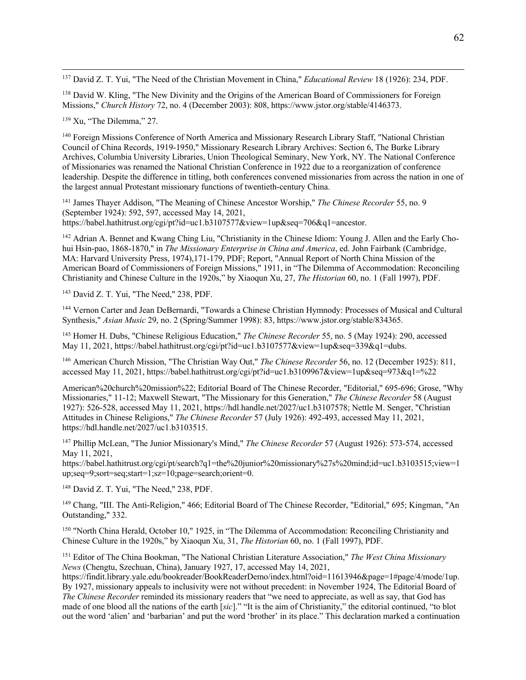<sup>137</sup> David Z. T. Yui, "The Need of the Christian Movement in China," *Educational Review* 18 (1926): 234, PDF.

<sup>138</sup> David W. Kling, "The New Divinity and the Origins of the American Board of Commissioners for Foreign Missions," *Church History* 72, no. 4 (December 2003): 808, https://www.jstor.org/stable/4146373.

<sup>139</sup> Xu, "The Dilemma," 27.

<sup>140</sup> Foreign Missions Conference of North America and Missionary Research Library Staff, "National Christian Council of China Records, 1919-1950," Missionary Research Library Archives: Section 6, The Burke Library Archives, Columbia University Libraries, Union Theological Seminary, New York, NY. The National Conference of Missionaries was renamed the National Christian Conference in 1922 due to a reorganization of conference leadership. Despite the difference in titling, both conferences convened missionaries from across the nation in one of the largest annual Protestant missionary functions of twentieth-century China.

<sup>141</sup> James Thayer Addison, "The Meaning of Chinese Ancestor Worship," *The Chinese Recorder* 55, no. 9 (September 1924): 592, 597, accessed May 14, 2021, https://babel.hathitrust.org/cgi/pt?id=uc1.b3107577&view=1up&seq=706&q1=ancestor.

<sup>142</sup> Adrian A. Bennet and Kwang Ching Liu, "Christianity in the Chinese Idiom: Young J. Allen and the Early Chohui Hsin-pao, 1868-1870," in *The Missionary Enterprise in China and America*, ed. John Fairbank (Cambridge, MA: Harvard University Press, 1974),171-179, PDF; Report, "Annual Report of North China Mission of the American Board of Commissioners of Foreign Missions," 1911, in "The Dilemma of Accommodation: Reconciling Christianity and Chinese Culture in the 1920s," by Xiaoqun Xu, 27, *The Historian* 60, no. 1 (Fall 1997), PDF.

<sup>143</sup> David Z. T. Yui, "The Need," 238, PDF.

<sup>144</sup> Vernon Carter and Jean DeBernardi, "Towards a Chinese Christian Hymnody: Processes of Musical and Cultural Synthesis," *Asian Music* 29, no. 2 (Spring/Summer 1998): 83, https://www.jstor.org/stable/834365.

<sup>145</sup> Homer H. Dubs, "Chinese Religious Education," *The Chinese Recorder* 55, no. 5 (May 1924): 290, accessed May 11, 2021, https://babel.hathitrust.org/cgi/pt?id=uc1.b3107577&view=1up&seq=339&q1=dubs.

<sup>146</sup> American Church Mission, "The Christian Way Out," *The Chinese Recorder* 56, no. 12 (December 1925): 811, accessed May 11, 2021, https://babel.hathitrust.org/cgi/pt?id=uc1.b3109967&view=1up&seq=973&q1=%22

American%20church%20mission%22; Editorial Board of The Chinese Recorder, "Editorial," 695-696; Grose, "Why Missionaries," 11-12; Maxwell Stewart, "The Missionary for this Generation," *The Chinese Recorder* 58 (August 1927): 526-528, accessed May 11, 2021, https://hdl.handle.net/2027/uc1.b3107578; Nettle M. Senger, "Christian Attitudes in Chinese Religions," *The Chinese Recorder* 57 (July 1926): 492-493, accessed May 11, 2021, https://hdl.handle.net/2027/uc1.b3103515.

<sup>147</sup> Phillip McLean, "The Junior Missionary's Mind," *The Chinese Recorder* 57 (August 1926): 573-574, accessed May 11, 2021,

https://babel.hathitrust.org/cgi/pt/search?q1=the%20junior%20missionary%27s%20mind;id=uc1.b3103515;view=1 up;seq=9;sort=seq;start=1;sz=10;page=search;orient=0.

<sup>148</sup> David Z. T. Yui, "The Need," 238, PDF.

<sup>149</sup> Chang, "III. The Anti-Religion," 466; Editorial Board of The Chinese Recorder, "Editorial," 695; Kingman, "An Outstanding," 332.

<sup>150</sup> "North China Herald, October 10," 1925, in "The Dilemma of Accommodation: Reconciling Christianity and Chinese Culture in the 1920s," by Xiaoqun Xu, 31, *The Historian* 60, no. 1 (Fall 1997), PDF.

<sup>151</sup> Editor of The China Bookman, "The National Christian Literature Association," *The West China Missionary News* (Chengtu, Szechuan, China), January 1927, 17, accessed May 14, 2021,

https://findit.library.yale.edu/bookreader/BookReaderDemo/index.html?oid=11613946&page=1#page/4/mode/1up. By 1927, missionary appeals to inclusivity were not without precedent: in November 1924, The Editorial Board of *The Chinese Recorder* reminded its missionary readers that "we need to appreciate, as well as say, that God has made of one blood all the nations of the earth [*sic*]." "It is the aim of Christianity," the editorial continued, "to blot out the word 'alien' and 'barbarian' and put the word 'brother' in its place." This declaration marked a continuation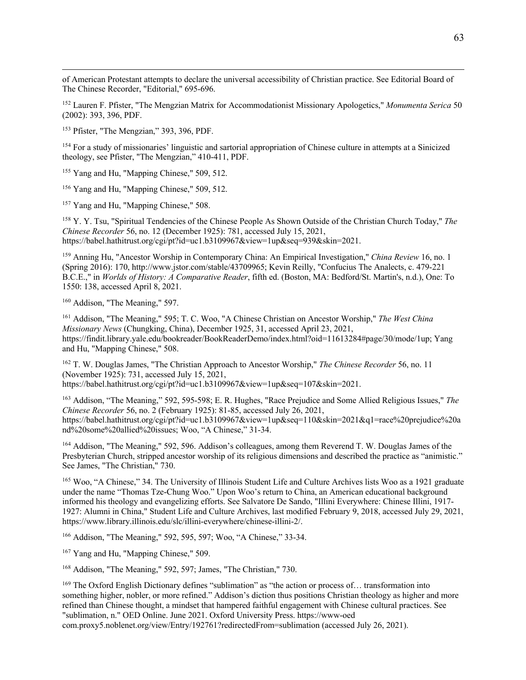of American Protestant attempts to declare the universal accessibility of Christian practice. See Editorial Board of The Chinese Recorder, "Editorial," 695-696.

<sup>152</sup> Lauren F. Pfister, "The Mengzian Matrix for Accommodationist Missionary Apologetics," *Monumenta Serica* 50 (2002): 393, 396, PDF.

<sup>153</sup> Pfister, "The Mengzian," 393, 396, PDF.

<sup>154</sup> For a study of missionaries' linguistic and sartorial appropriation of Chinese culture in attempts at a Sinicized theology, see Pfister, "The Mengzian," 410-411, PDF.

<sup>155</sup> Yang and Hu, "Mapping Chinese," 509, 512.

<sup>156</sup> Yang and Hu, "Mapping Chinese," 509, 512.

<sup>157</sup> Yang and Hu, "Mapping Chinese," 508.

<sup>158</sup> Y. Y. Tsu, "Spiritual Tendencies of the Chinese People As Shown Outside of the Christian Church Today," *The Chinese Recorder* 56, no. 12 (December 1925): 781, accessed July 15, 2021, https://babel.hathitrust.org/cgi/pt?id=uc1.b3109967&view=1up&seq=939&skin=2021.

<sup>159</sup> Anning Hu, "Ancestor Worship in Contemporary China: An Empirical Investigation," *China Review* 16, no. 1 (Spring 2016): 170, http://www.jstor.com/stable/43709965; Kevin Reilly, "Confucius The Analects, c. 479-221 B.C.E.," in *Worlds of History: A Comparative Reader*, fifth ed. (Boston, MA: Bedford/St. Martin's, n.d.), One: To 1550: 138, accessed April 8, 2021.

<sup>160</sup> Addison, "The Meaning," 597.

<sup>161</sup> Addison, "The Meaning," 595; T. C. Woo, "A Chinese Christian on Ancestor Worship," *The West China Missionary News* (Chungking, China), December 1925, 31, accessed April 23, 2021, https://findit.library.yale.edu/bookreader/BookReaderDemo/index.html?oid=11613284#page/30/mode/1up; Yang and Hu, "Mapping Chinese," 508.

<sup>162</sup> T. W. Douglas James, "The Christian Approach to Ancestor Worship," *The Chinese Recorder* 56, no. 11 (November 1925): 731, accessed July 15, 2021, https://babel.hathitrust.org/cgi/pt?id=uc1.b3109967&view=1up&seq=107&skin=2021.

<sup>163</sup> Addison, "The Meaning," 592, 595-598; E. R. Hughes, "Race Prejudice and Some Allied Religious Issues," *The Chinese Recorder* 56, no. 2 (February 1925): 81-85, accessed July 26, 2021, https://babel.hathitrust.org/cgi/pt?id=uc1.b3109967&view=1up&seq=110&skin=2021&q1=race%20prejudice%20a nd%20some%20allied%20issues; Woo, "A Chinese," 31-34.

<sup>164</sup> Addison, "The Meaning," 592, 596. Addison's colleagues, among them Reverend T. W. Douglas James of the Presbyterian Church, stripped ancestor worship of its religious dimensions and described the practice as "animistic." See James, "The Christian," 730.

<sup>165</sup> Woo, "A Chinese," 34. The University of Illinois Student Life and Culture Archives lists Woo as a 1921 graduate under the name "Thomas Tze-Chung Woo." Upon Woo's return to China, an American educational background informed his theology and evangelizing efforts. See Salvatore De Sando, "Illini Everywhere: Chinese Illini, 1917- 1927: Alumni in China," Student Life and Culture Archives, last modified February 9, 2018, accessed July 29, 2021, https://www.library.illinois.edu/slc/illini-everywhere/chinese-illini-2/.

<sup>166</sup> Addison, "The Meaning," 592, 595, 597; Woo, "A Chinese," 33-34.

<sup>167</sup> Yang and Hu, "Mapping Chinese," 509.

<sup>168</sup> Addison, "The Meaning," 592, 597; James, "The Christian," 730.

<sup>169</sup> The Oxford English Dictionary defines "sublimation" as "the action or process of... transformation into something higher, nobler, or more refined." Addison's diction thus positions Christian theology as higher and more refined than Chinese thought, a mindset that hampered faithful engagement with Chinese cultural practices. See "sublimation, n." OED Online. June 2021. Oxford University Press. https://www-oed com.proxy5.noblenet.org/view/Entry/192761?redirectedFrom=sublimation (accessed July 26, 2021).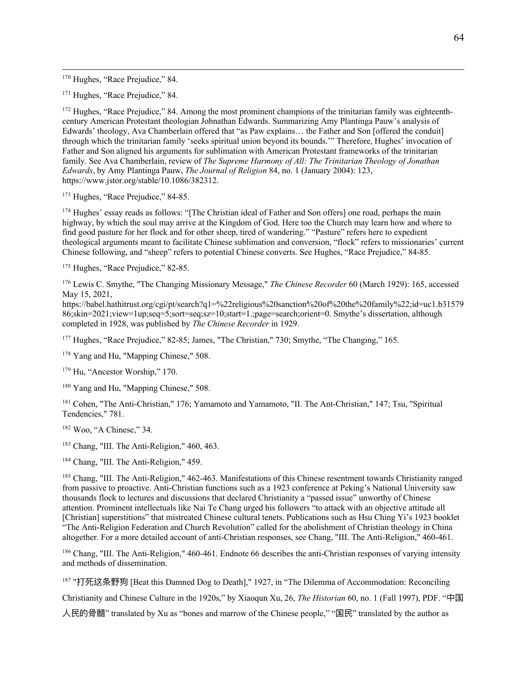<sup>170</sup> Hughes, "Race Prejudice," 84.

<sup>171</sup> Hughes, "Race Prejudice," 84.

<sup>172</sup> Hughes, "Race Prejudice," 84. Among the most prominent champions of the trinitarian family was eighteenthcentury American Protestant theologian Johnathan Edwards. Summarizing Amy Plantinga Pauw's analysis of Edwards' theology, Ava Chamberlain offered that "as Paw explains… the Father and Son [offered the conduit] through which the trinitarian family 'seeks spiritual union beyond its bounds.'" Therefore, Hughes' invocation of Father and Son aligned his arguments for sublimation with American Protestant frameworks of the trinitarian family. See Ava Chamberlain, review of *The Supreme Harmony of All: The Trinitarian Theology of Jonathan Edwards*, by Amy Plantinga Pauw, *The Journal of Religion* 84, no. 1 (January 2004): 123, https://www.jstor.org/stable/10.1086/382312.

<sup>173</sup> Hughes, "Race Prejudice," 84-85.

174 Hughes' essay reads as follows: "[The Christian ideal of Father and Son offers] one road, perhaps the main highway, by which the soul may arrive at the Kingdom of God. Here too the Church may learn how and where to find good pasture for her flock and for other sheep, tired of wandering." "Pasture" refers here to expedient theological arguments meant to facilitate Chinese sublimation and conversion, "flock" refers to missionaries' current Chinese following, and "sheep" refers to potential Chinese converts. See Hughes, "Race Prejudice," 84-85.

<sup>175</sup> Hughes, "Race Prejudice," 82-85.

<sup>176</sup> Lewis C. Smythe, "The Changing Missionary Message," *The Chinese Recorder* 60 (March 1929): 165, accessed May 15, 2021,

https://babel.hathitrust.org/cgi/pt/search?q1=%22religious%20sanction%20of%20the%20family%22;id=uc1.b31579 86;skin=2021;view=1up;seq=5;sort=seq;sz=10;start=1.;page=search;orient=0. Smythe's dissertation, although completed in 1928, was published by *The Chinese Recorder* in 1929.

<sup>177</sup> Hughes, "Race Prejudice," 82-85; James, "The Christian," 730; Smythe, "The Changing," 165.

<sup>178</sup> Yang and Hu, "Mapping Chinese," 508.

<sup>179</sup> Hu, "Ancestor Worship," 170.

<sup>180</sup> Yang and Hu, "Mapping Chinese," 508.

<sup>181</sup> Cohen, "The Anti-Christian," 176; Yamamoto and Yamamoto, "II. The Ant-Christian," 147; Tsu, "Spiritual Tendencies," 781.

<sup>182</sup> Woo, "A Chinese," 34.

<sup>183</sup> Chang, "III. The Anti-Religion," 460, 463.

<sup>184</sup> Chang, "III. The Anti-Religion," 459.

<sup>185</sup> Chang, "III. The Anti-Religion," 462-463. Manifestations of this Chinese resentment towards Christianity ranged from passive to proactive. Anti-Christian functions such as a 1923 conference at Peking's National University saw thousands flock to lectures and discussions that declared Christianity a "passed issue" unworthy of Chinese attention. Prominent intellectuals like Nai Te Chang urged his followers "to attack with an objective attitude all [Christian] superstitions" that mistreated Chinese cultural tenets. Publications such as Hsu Ching Yi's 1923 booklet "The Anti-Religion Federation and Church Revolution" called for the abolishment of Christian theology in China altogether. For a more detailed account of anti-Christian responses, see Chang, "III. The Anti-Religion," 460-461.

<sup>186</sup> Chang, "III. The Anti-Religion," 460-461. Endnote 66 describes the anti-Christian responses of varying intensity and methods of dissemination.

<sup>187</sup> "打死这条野狗 [Beat this Damned Dog to Death]," 1927, in "The Dilemma of Accommodation: Reconciling

Christianity and Chinese Culture in the 1920s," by Xiaoqun Xu, 26, *The Historian* 60, no. 1 (Fall 1997), PDF. "中国

⼈⺠的骨髓" translated by Xu as "bones and marrow of the Chinese people," "国⺠" translated by the author as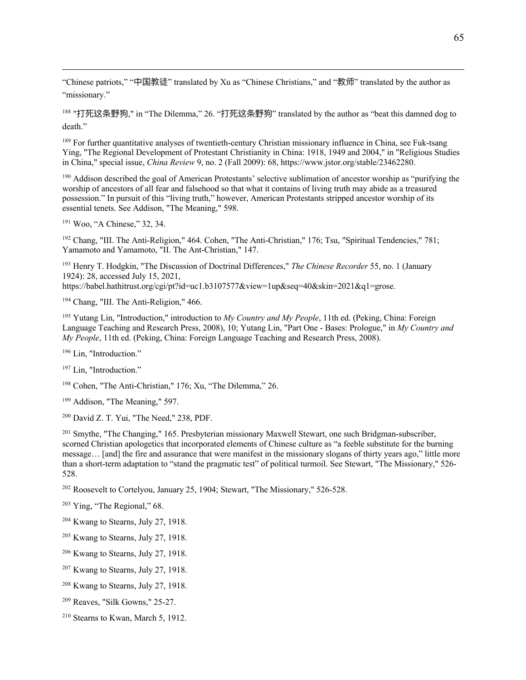"Chinese patriots," "中国教徒" translated by Xu as "Chinese Christians," and "教师" translated by the author as "missionary."

<sup>188</sup> "打死这条野狗," in "The Dilemma," 26. "打死这条野狗" translated by the author as "beat this damned dog to death."

<sup>189</sup> For further quantitative analyses of twentieth-century Christian missionary influence in China, see Fuk-tsang Ying, "The Regional Development of Protestant Christianity in China: 1918, 1949 and 2004," in "Religious Studies in China," special issue, *China Review* 9, no. 2 (Fall 2009): 68, https://www.jstor.org/stable/23462280.

<sup>190</sup> Addison described the goal of American Protestants' selective sublimation of ancestor worship as "purifying the worship of ancestors of all fear and falsehood so that what it contains of living truth may abide as a treasured possession." In pursuit of this "living truth," however, American Protestants stripped ancestor worship of its essential tenets. See Addison, "The Meaning," 598.

<sup>191</sup> Woo, "A Chinese," 32, 34.

<sup>192</sup> Chang, "III. The Anti-Religion," 464. Cohen, "The Anti-Christian," 176; Tsu, "Spiritual Tendencies," 781; Yamamoto and Yamamoto, "II. The Ant-Christian," 147.

<sup>193</sup> Henry T. Hodgkin, "The Discussion of Doctrinal Differences," *The Chinese Recorder* 55, no. 1 (January 1924): 28, accessed July 15, 2021,

https://babel.hathitrust.org/cgi/pt?id=uc1.b3107577&view=1up&seq=40&skin=2021&q1=grose.

<sup>194</sup> Chang, "III. The Anti-Religion," 466.

<sup>195</sup> Yutang Lin, "Introduction," introduction to *My Country and My People*, 11th ed. (Peking, China: Foreign Language Teaching and Research Press, 2008), 10; Yutang Lin, "Part One - Bases: Prologue," in *My Country and My People*, 11th ed. (Peking, China: Foreign Language Teaching and Research Press, 2008).

<sup>196</sup> Lin. "Introduction."

<sup>197</sup> Lin, "Introduction."

<sup>198</sup> Cohen, "The Anti-Christian," 176; Xu, "The Dilemma," 26.

<sup>199</sup> Addison, "The Meaning," 597.

<sup>200</sup> David Z. T. Yui, "The Need," 238, PDF.

<sup>201</sup> Smythe, "The Changing," 165. Presbyterian missionary Maxwell Stewart, one such Bridgman-subscriber, scorned Christian apologetics that incorporated elements of Chinese culture as "a feeble substitute for the burning message… [and] the fire and assurance that were manifest in the missionary slogans of thirty years ago," little more than a short-term adaptation to "stand the pragmatic test" of political turmoil. See Stewart, "The Missionary," 526- 528.

<sup>202</sup> Roosevelt to Cortelyou, January 25, 1904; Stewart, "The Missionary," 526-528.

 $203$  Ying, "The Regional," 68.

<sup>204</sup> Kwang to Stearns, July 27, 1918.

<sup>205</sup> Kwang to Stearns, July 27, 1918.

<sup>206</sup> Kwang to Stearns, July 27, 1918.

<sup>207</sup> Kwang to Stearns, July 27, 1918.

<sup>208</sup> Kwang to Stearns, July 27, 1918.

<sup>209</sup> Reaves, "Silk Gowns," 25-27.

<sup>210</sup> Stearns to Kwan, March 5, 1912.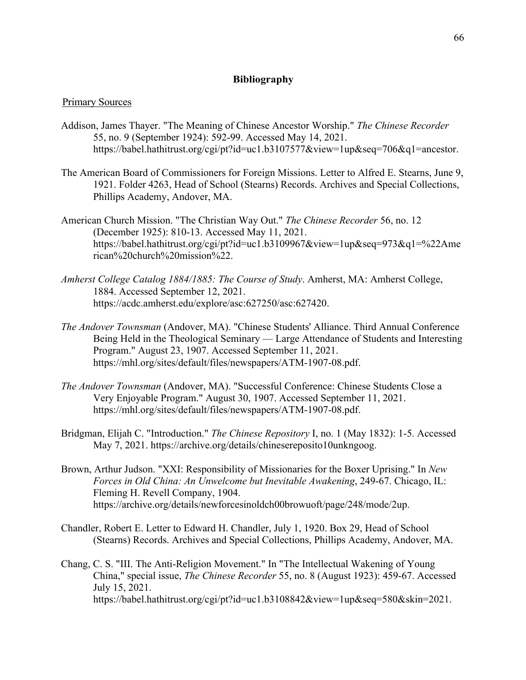## **Bibliography**

## Primary Sources

- Addison, James Thayer. "The Meaning of Chinese Ancestor Worship." *The Chinese Recorder* 55, no. 9 (September 1924): 592-99. Accessed May 14, 2021. https://babel.hathitrust.org/cgi/pt?id=uc1.b3107577&view=1up&seq=706&q1=ancestor.
- The American Board of Commissioners for Foreign Missions. Letter to Alfred E. Stearns, June 9, 1921. Folder 4263, Head of School (Stearns) Records. Archives and Special Collections, Phillips Academy, Andover, MA.
- American Church Mission. "The Christian Way Out." *The Chinese Recorder* 56, no. 12 (December 1925): 810-13. Accessed May 11, 2021. https://babel.hathitrust.org/cgi/pt?id=uc1.b3109967&view=1up&seq=973&q1=%22Ame rican%20church%20mission%22.
- *Amherst College Catalog 1884/1885: The Course of Study*. Amherst, MA: Amherst College, 1884. Accessed September 12, 2021. https://acdc.amherst.edu/explore/asc:627250/asc:627420.
- *The Andover Townsman* (Andover, MA). "Chinese Students' Alliance. Third Annual Conference Being Held in the Theological Seminary — Large Attendance of Students and Interesting Program." August 23, 1907. Accessed September 11, 2021. https://mhl.org/sites/default/files/newspapers/ATM-1907-08.pdf.
- *The Andover Townsman* (Andover, MA). "Successful Conference: Chinese Students Close a Very Enjoyable Program." August 30, 1907. Accessed September 11, 2021. https://mhl.org/sites/default/files/newspapers/ATM-1907-08.pdf.
- Bridgman, Elijah C. "Introduction." *The Chinese Repository* I, no. 1 (May 1832): 1-5. Accessed May 7, 2021. https://archive.org/details/chinesereposito10unkngoog.
- Brown, Arthur Judson. "XXI: Responsibility of Missionaries for the Boxer Uprising." In *New Forces in Old China: An Unwelcome but Inevitable Awakening*, 249-67. Chicago, IL: Fleming H. Revell Company, 1904. https://archive.org/details/newforcesinoldch00browuoft/page/248/mode/2up.
- Chandler, Robert E. Letter to Edward H. Chandler, July 1, 1920. Box 29, Head of School (Stearns) Records. Archives and Special Collections, Phillips Academy, Andover, MA.
- Chang, C. S. "III. The Anti-Religion Movement." In "The Intellectual Wakening of Young China," special issue, *The Chinese Recorder* 55, no. 8 (August 1923): 459-67. Accessed July 15, 2021. https://babel.hathitrust.org/cgi/pt?id=uc1.b3108842&view=1up&seq=580&skin=2021.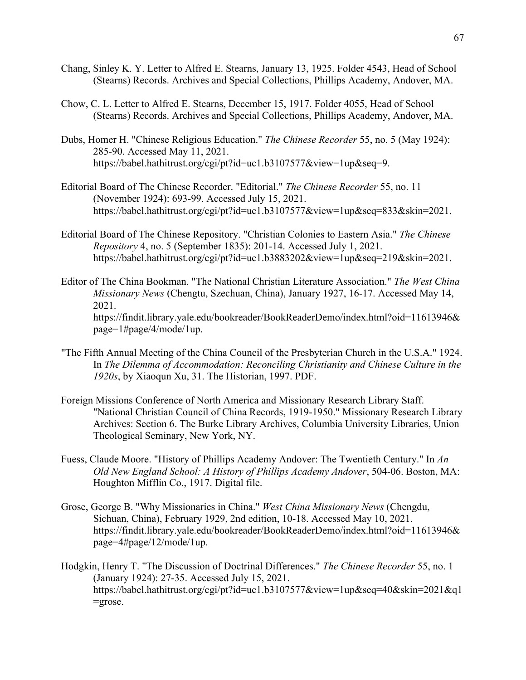- Chang, Sinley K. Y. Letter to Alfred E. Stearns, January 13, 1925. Folder 4543, Head of School (Stearns) Records. Archives and Special Collections, Phillips Academy, Andover, MA.
- Chow, C. L. Letter to Alfred E. Stearns, December 15, 1917. Folder 4055, Head of School (Stearns) Records. Archives and Special Collections, Phillips Academy, Andover, MA.
- Dubs, Homer H. "Chinese Religious Education." *The Chinese Recorder* 55, no. 5 (May 1924): 285-90. Accessed May 11, 2021. https://babel.hathitrust.org/cgi/pt?id=uc1.b3107577&view=1up&seq=9.
- Editorial Board of The Chinese Recorder. "Editorial." *The Chinese Recorder* 55, no. 11 (November 1924): 693-99. Accessed July 15, 2021. https://babel.hathitrust.org/cgi/pt?id=uc1.b3107577&view=1up&seq=833&skin=2021.
- Editorial Board of The Chinese Repository. "Christian Colonies to Eastern Asia." *The Chinese Repository* 4, no. 5 (September 1835): 201-14. Accessed July 1, 2021. https://babel.hathitrust.org/cgi/pt?id=uc1.b3883202&view=1up&seq=219&skin=2021.
- Editor of The China Bookman. "The National Christian Literature Association." *The West China Missionary News* (Chengtu, Szechuan, China), January 1927, 16-17. Accessed May 14, 2021. https://findit.library.yale.edu/bookreader/BookReaderDemo/index.html?oid=11613946& page=1#page/4/mode/1up.
- "The Fifth Annual Meeting of the China Council of the Presbyterian Church in the U.S.A." 1924. In *The Dilemma of Accommodation: Reconciling Christianity and Chinese Culture in the 1920s*, by Xiaoqun Xu, 31. The Historian, 1997. PDF.
- Foreign Missions Conference of North America and Missionary Research Library Staff. "National Christian Council of China Records, 1919-1950." Missionary Research Library Archives: Section 6. The Burke Library Archives, Columbia University Libraries, Union Theological Seminary, New York, NY.
- Fuess, Claude Moore. "History of Phillips Academy Andover: The Twentieth Century." In *An Old New England School: A History of Phillips Academy Andover*, 504-06. Boston, MA: Houghton Mifflin Co., 1917. Digital file.
- Grose, George B. "Why Missionaries in China." *West China Missionary News* (Chengdu, Sichuan, China), February 1929, 2nd edition, 10-18. Accessed May 10, 2021. https://findit.library.yale.edu/bookreader/BookReaderDemo/index.html?oid=11613946& page=4#page/12/mode/1up.
- Hodgkin, Henry T. "The Discussion of Doctrinal Differences." *The Chinese Recorder* 55, no. 1 (January 1924): 27-35. Accessed July 15, 2021. https://babel.hathitrust.org/cgi/pt?id=uc1.b3107577&view=1up&seq=40&skin=2021&q1  $=$ grose.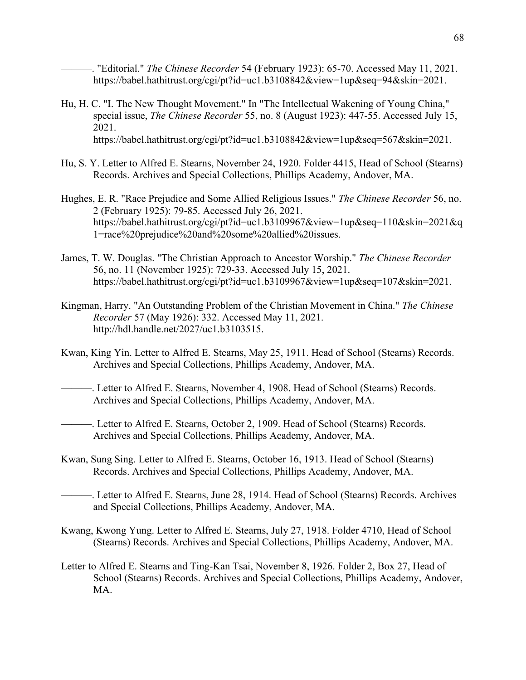———. "Editorial." *The Chinese Recorder* 54 (February 1923): 65-70. Accessed May 11, 2021. https://babel.hathitrust.org/cgi/pt?id=uc1.b3108842&view=1up&seq=94&skin=2021.

- Hu, H. C. "I. The New Thought Movement." In "The Intellectual Wakening of Young China," special issue, *The Chinese Recorder* 55, no. 8 (August 1923): 447-55. Accessed July 15, 2021. https://babel.hathitrust.org/cgi/pt?id=uc1.b3108842&view=1up&seq=567&skin=2021.
- Hu, S. Y. Letter to Alfred E. Stearns, November 24, 1920. Folder 4415, Head of School (Stearns) Records. Archives and Special Collections, Phillips Academy, Andover, MA.
- Hughes, E. R. "Race Prejudice and Some Allied Religious Issues." *The Chinese Recorder* 56, no. 2 (February 1925): 79-85. Accessed July 26, 2021. https://babel.hathitrust.org/cgi/pt?id=uc1.b3109967&view=1up&seq=110&skin=2021&q 1=race%20prejudice%20and%20some%20allied%20issues.
- James, T. W. Douglas. "The Christian Approach to Ancestor Worship." *The Chinese Recorder* 56, no. 11 (November 1925): 729-33. Accessed July 15, 2021. https://babel.hathitrust.org/cgi/pt?id=uc1.b3109967&view=1up&seq=107&skin=2021.
- Kingman, Harry. "An Outstanding Problem of the Christian Movement in China." *The Chinese Recorder* 57 (May 1926): 332. Accessed May 11, 2021. http://hdl.handle.net/2027/uc1.b3103515.
- Kwan, King Yin. Letter to Alfred E. Stearns, May 25, 1911. Head of School (Stearns) Records. Archives and Special Collections, Phillips Academy, Andover, MA.
- ———. Letter to Alfred E. Stearns, November 4, 1908. Head of School (Stearns) Records. Archives and Special Collections, Phillips Academy, Andover, MA.
- -. Letter to Alfred E. Stearns, October 2, 1909. Head of School (Stearns) Records. Archives and Special Collections, Phillips Academy, Andover, MA.
- Kwan, Sung Sing. Letter to Alfred E. Stearns, October 16, 1913. Head of School (Stearns) Records. Archives and Special Collections, Phillips Academy, Andover, MA.
- -. Letter to Alfred E. Stearns, June 28, 1914. Head of School (Stearns) Records. Archives and Special Collections, Phillips Academy, Andover, MA.
- Kwang, Kwong Yung. Letter to Alfred E. Stearns, July 27, 1918. Folder 4710, Head of School (Stearns) Records. Archives and Special Collections, Phillips Academy, Andover, MA.
- Letter to Alfred E. Stearns and Ting-Kan Tsai, November 8, 1926. Folder 2, Box 27, Head of School (Stearns) Records. Archives and Special Collections, Phillips Academy, Andover, MA.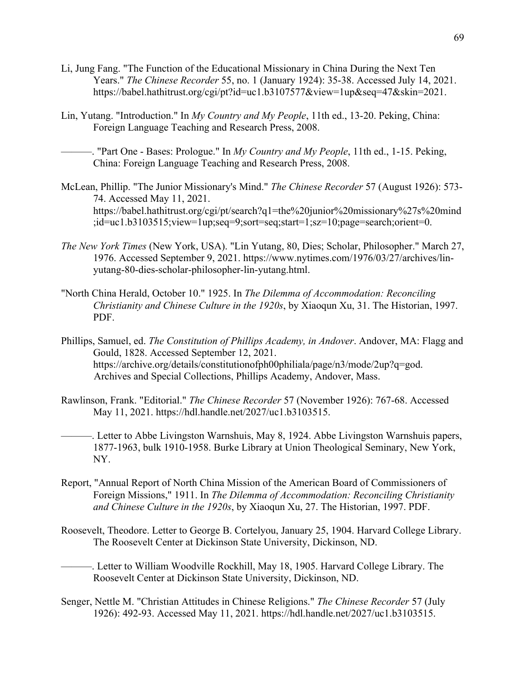- Li, Jung Fang. "The Function of the Educational Missionary in China During the Next Ten Years." *The Chinese Recorder* 55, no. 1 (January 1924): 35-38. Accessed July 14, 2021. https://babel.hathitrust.org/cgi/pt?id=uc1.b3107577&view=1up&seq=47&skin=2021.
- Lin, Yutang. "Introduction." In *My Country and My People*, 11th ed., 13-20. Peking, China: Foreign Language Teaching and Research Press, 2008.
	- ———. "Part One Bases: Prologue." In *My Country and My People*, 11th ed., 1-15. Peking, China: Foreign Language Teaching and Research Press, 2008.
- McLean, Phillip. "The Junior Missionary's Mind." *The Chinese Recorder* 57 (August 1926): 573- 74. Accessed May 11, 2021. https://babel.hathitrust.org/cgi/pt/search?q1=the%20junior%20missionary%27s%20mind ;id=uc1.b3103515;view=1up;seq=9;sort=seq;start=1;sz=10;page=search;orient=0.
- *The New York Times* (New York, USA). "Lin Yutang, 80, Dies; Scholar, Philosopher." March 27, 1976. Accessed September 9, 2021. https://www.nytimes.com/1976/03/27/archives/linyutang-80-dies-scholar-philosopher-lin-yutang.html.
- "North China Herald, October 10." 1925. In *The Dilemma of Accommodation: Reconciling Christianity and Chinese Culture in the 1920s*, by Xiaoqun Xu, 31. The Historian, 1997. PDF.
- Phillips, Samuel, ed. *The Constitution of Phillips Academy, in Andover*. Andover, MA: Flagg and Gould, 1828. Accessed September 12, 2021. https://archive.org/details/constitutionofph00philiala/page/n3/mode/2up?q=god. Archives and Special Collections, Phillips Academy, Andover, Mass.
- Rawlinson, Frank. "Editorial." *The Chinese Recorder* 57 (November 1926): 767-68. Accessed May 11, 2021. https://hdl.handle.net/2027/uc1.b3103515.
- ———. Letter to Abbe Livingston Warnshuis, May 8, 1924. Abbe Livingston Warnshuis papers, 1877-1963, bulk 1910-1958. Burke Library at Union Theological Seminary, New York, NY.
- Report, "Annual Report of North China Mission of the American Board of Commissioners of Foreign Missions," 1911. In *The Dilemma of Accommodation: Reconciling Christianity and Chinese Culture in the 1920s*, by Xiaoqun Xu, 27. The Historian, 1997. PDF.
- Roosevelt, Theodore. Letter to George B. Cortelyou, January 25, 1904. Harvard College Library. The Roosevelt Center at Dickinson State University, Dickinson, ND.
- -. Letter to William Woodville Rockhill, May 18, 1905. Harvard College Library. The Roosevelt Center at Dickinson State University, Dickinson, ND.
- Senger, Nettle M. "Christian Attitudes in Chinese Religions." *The Chinese Recorder* 57 (July 1926): 492-93. Accessed May 11, 2021. https://hdl.handle.net/2027/uc1.b3103515.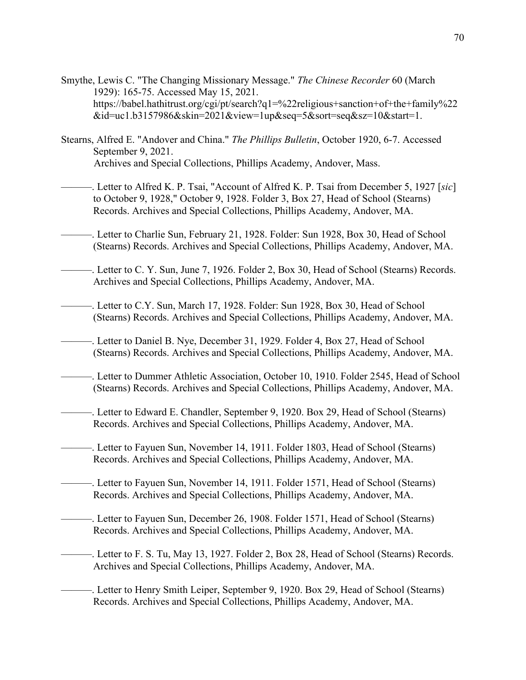- Smythe, Lewis C. "The Changing Missionary Message." *The Chinese Recorder* 60 (March 1929): 165-75. Accessed May 15, 2021. https://babel.hathitrust.org/cgi/pt/search?q1=%22religious+sanction+of+the+family%22 &id=uc1.b3157986&skin=2021&view=1up&seq=5&sort=seq&sz=10&start=1.
- Stearns, Alfred E. "Andover and China." *The Phillips Bulletin*, October 1920, 6-7. Accessed September 9, 2021. Archives and Special Collections, Phillips Academy, Andover, Mass.
- ———. Letter to Alfred K. P. Tsai, "Account of Alfred K. P. Tsai from December 5, 1927 [*sic*] to October 9, 1928," October 9, 1928. Folder 3, Box 27, Head of School (Stearns) Records. Archives and Special Collections, Phillips Academy, Andover, MA.
- -. Letter to Charlie Sun, February 21, 1928. Folder: Sun 1928, Box 30, Head of School (Stearns) Records. Archives and Special Collections, Phillips Academy, Andover, MA.
- -. Letter to C. Y. Sun, June 7, 1926. Folder 2, Box 30, Head of School (Stearns) Records. Archives and Special Collections, Phillips Academy, Andover, MA.
- ———. Letter to C.Y. Sun, March 17, 1928. Folder: Sun 1928, Box 30, Head of School (Stearns) Records. Archives and Special Collections, Phillips Academy, Andover, MA.
- -. Letter to Daniel B. Nye, December 31, 1929. Folder 4, Box 27, Head of School (Stearns) Records. Archives and Special Collections, Phillips Academy, Andover, MA.
- ———. Letter to Dummer Athletic Association, October 10, 1910. Folder 2545, Head of School (Stearns) Records. Archives and Special Collections, Phillips Academy, Andover, MA.
- -. Letter to Edward E. Chandler, September 9, 1920. Box 29, Head of School (Stearns) Records. Archives and Special Collections, Phillips Academy, Andover, MA.
- –. Letter to Fayuen Sun, November 14, 1911. Folder 1803, Head of School (Stearns) Records. Archives and Special Collections, Phillips Academy, Andover, MA.
- ———. Letter to Fayuen Sun, November 14, 1911. Folder 1571, Head of School (Stearns) Records. Archives and Special Collections, Phillips Academy, Andover, MA.
- ———. Letter to Fayuen Sun, December 26, 1908. Folder 1571, Head of School (Stearns) Records. Archives and Special Collections, Phillips Academy, Andover, MA.
- ———. Letter to F. S. Tu, May 13, 1927. Folder 2, Box 28, Head of School (Stearns) Records. Archives and Special Collections, Phillips Academy, Andover, MA.
- -. Letter to Henry Smith Leiper, September 9, 1920. Box 29, Head of School (Stearns) Records. Archives and Special Collections, Phillips Academy, Andover, MA.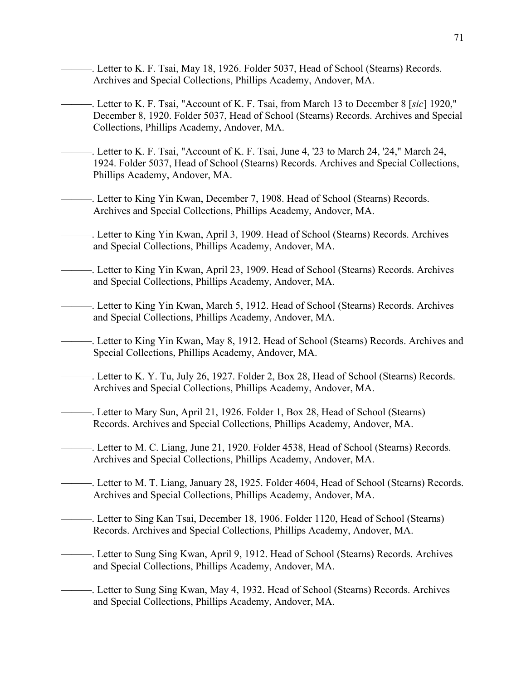- -. Letter to K. F. Tsai, May 18, 1926. Folder 5037, Head of School (Stearns) Records. Archives and Special Collections, Phillips Academy, Andover, MA.
- ———. Letter to K. F. Tsai, "Account of K. F. Tsai, from March 13 to December 8 [*sic*] 1920," December 8, 1920. Folder 5037, Head of School (Stearns) Records. Archives and Special Collections, Phillips Academy, Andover, MA.
- -. Letter to K. F. Tsai, "Account of K. F. Tsai, June 4, '23 to March 24, '24," March 24, 1924. Folder 5037, Head of School (Stearns) Records. Archives and Special Collections, Phillips Academy, Andover, MA.
- -. Letter to King Yin Kwan, December 7, 1908. Head of School (Stearns) Records. Archives and Special Collections, Phillips Academy, Andover, MA.
- -. Letter to King Yin Kwan, April 3, 1909. Head of School (Stearns) Records. Archives and Special Collections, Phillips Academy, Andover, MA.
- ———. Letter to King Yin Kwan, April 23, 1909. Head of School (Stearns) Records. Archives and Special Collections, Phillips Academy, Andover, MA.
- -. Letter to King Yin Kwan, March 5, 1912. Head of School (Stearns) Records. Archives and Special Collections, Phillips Academy, Andover, MA.
- -. Letter to King Yin Kwan, May 8, 1912. Head of School (Stearns) Records. Archives and Special Collections, Phillips Academy, Andover, MA.
- -. Letter to K. Y. Tu, July 26, 1927. Folder 2, Box 28, Head of School (Stearns) Records. Archives and Special Collections, Phillips Academy, Andover, MA.
- ———. Letter to Mary Sun, April 21, 1926. Folder 1, Box 28, Head of School (Stearns) Records. Archives and Special Collections, Phillips Academy, Andover, MA.
- -. Letter to M. C. Liang, June 21, 1920. Folder 4538, Head of School (Stearns) Records. Archives and Special Collections, Phillips Academy, Andover, MA.
- ———. Letter to M. T. Liang, January 28, 1925. Folder 4604, Head of School (Stearns) Records. Archives and Special Collections, Phillips Academy, Andover, MA.
- ———. Letter to Sing Kan Tsai, December 18, 1906. Folder 1120, Head of School (Stearns) Records. Archives and Special Collections, Phillips Academy, Andover, MA.
- –. Letter to Sung Sing Kwan, April 9, 1912. Head of School (Stearns) Records. Archives and Special Collections, Phillips Academy, Andover, MA.
- -. Letter to Sung Sing Kwan, May 4, 1932. Head of School (Stearns) Records. Archives and Special Collections, Phillips Academy, Andover, MA.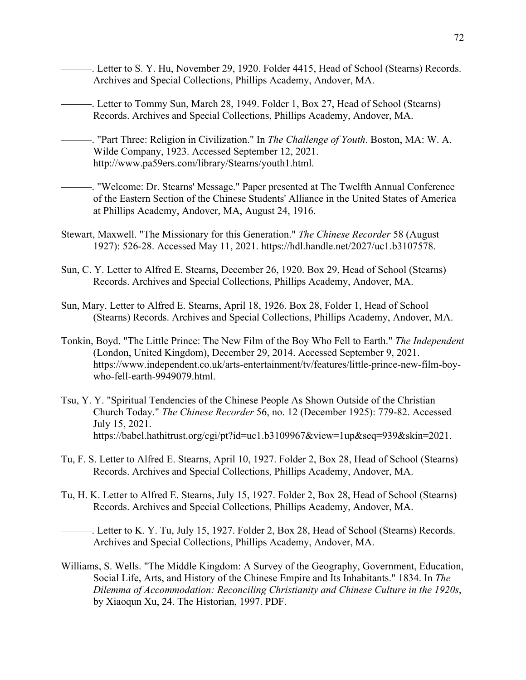- -. Letter to S. Y. Hu, November 29, 1920. Folder 4415, Head of School (Stearns) Records. Archives and Special Collections, Phillips Academy, Andover, MA.
	- -. Letter to Tommy Sun, March 28, 1949. Folder 1, Box 27, Head of School (Stearns) Records. Archives and Special Collections, Phillips Academy, Andover, MA.
- ———. "Part Three: Religion in Civilization." In *The Challenge of Youth*. Boston, MA: W. A. Wilde Company, 1923. Accessed September 12, 2021. http://www.pa59ers.com/library/Stearns/youth1.html.
- -. "Welcome: Dr. Stearns' Message." Paper presented at The Twelfth Annual Conference of the Eastern Section of the Chinese Students' Alliance in the United States of America at Phillips Academy, Andover, MA, August 24, 1916.
- Stewart, Maxwell. "The Missionary for this Generation." *The Chinese Recorder* 58 (August 1927): 526-28. Accessed May 11, 2021. https://hdl.handle.net/2027/uc1.b3107578.
- Sun, C. Y. Letter to Alfred E. Stearns, December 26, 1920. Box 29, Head of School (Stearns) Records. Archives and Special Collections, Phillips Academy, Andover, MA.
- Sun, Mary. Letter to Alfred E. Stearns, April 18, 1926. Box 28, Folder 1, Head of School (Stearns) Records. Archives and Special Collections, Phillips Academy, Andover, MA.
- Tonkin, Boyd. "The Little Prince: The New Film of the Boy Who Fell to Earth." *The Independent* (London, United Kingdom), December 29, 2014. Accessed September 9, 2021. https://www.independent.co.uk/arts-entertainment/tv/features/little-prince-new-film-boywho-fell-earth-9949079.html.
- Tsu, Y. Y. "Spiritual Tendencies of the Chinese People As Shown Outside of the Christian Church Today." *The Chinese Recorder* 56, no. 12 (December 1925): 779-82. Accessed July 15, 2021. https://babel.hathitrust.org/cgi/pt?id=uc1.b3109967&view=1up&seq=939&skin=2021.
- Tu, F. S. Letter to Alfred E. Stearns, April 10, 1927. Folder 2, Box 28, Head of School (Stearns) Records. Archives and Special Collections, Phillips Academy, Andover, MA.
- Tu, H. K. Letter to Alfred E. Stearns, July 15, 1927. Folder 2, Box 28, Head of School (Stearns) Records. Archives and Special Collections, Phillips Academy, Andover, MA.

-. Letter to K. Y. Tu, July 15, 1927. Folder 2, Box 28, Head of School (Stearns) Records. Archives and Special Collections, Phillips Academy, Andover, MA.

Williams, S. Wells. "The Middle Kingdom: A Survey of the Geography, Government, Education, Social Life, Arts, and History of the Chinese Empire and Its Inhabitants." 1834. In *The Dilemma of Accommodation: Reconciling Christianity and Chinese Culture in the 1920s*, by Xiaoqun Xu, 24. The Historian, 1997. PDF.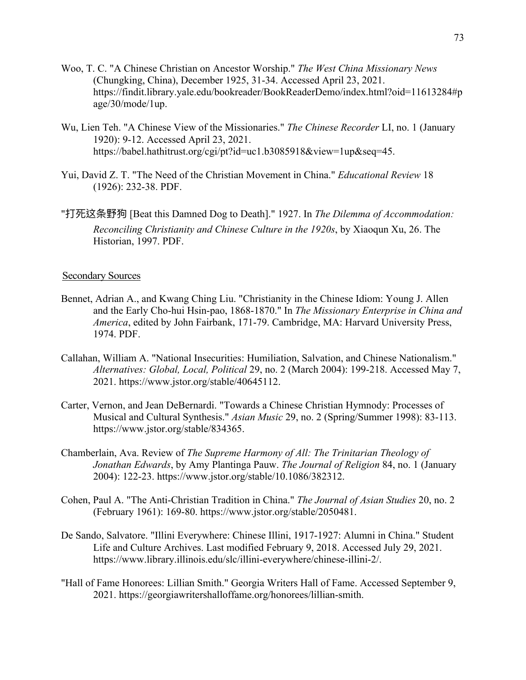- Woo, T. C. "A Chinese Christian on Ancestor Worship." *The West China Missionary News* (Chungking, China), December 1925, 31-34. Accessed April 23, 2021. https://findit.library.yale.edu/bookreader/BookReaderDemo/index.html?oid=11613284#p age/30/mode/1up.
- Wu, Lien Teh. "A Chinese View of the Missionaries." *The Chinese Recorder* LI, no. 1 (January 1920): 9-12. Accessed April 23, 2021. https://babel.hathitrust.org/cgi/pt?id=uc1.b3085918&view=1up&seq=45.
- Yui, David Z. T. "The Need of the Christian Movement in China." *Educational Review* 18 (1926): 232-38. PDF.
- "打死这条野狗 [Beat this Damned Dog to Death]." 1927. In *The Dilemma of Accommodation: Reconciling Christianity and Chinese Culture in the 1920s*, by Xiaoqun Xu, 26. The Historian, 1997. PDF.

## Secondary Sources

- Bennet, Adrian A., and Kwang Ching Liu. "Christianity in the Chinese Idiom: Young J. Allen and the Early Cho-hui Hsin-pao, 1868-1870." In *The Missionary Enterprise in China and America*, edited by John Fairbank, 171-79. Cambridge, MA: Harvard University Press, 1974. PDF.
- Callahan, William A. "National Insecurities: Humiliation, Salvation, and Chinese Nationalism." *Alternatives: Global, Local, Political* 29, no. 2 (March 2004): 199-218. Accessed May 7, 2021. https://www.jstor.org/stable/40645112.
- Carter, Vernon, and Jean DeBernardi. "Towards a Chinese Christian Hymnody: Processes of Musical and Cultural Synthesis." *Asian Music* 29, no. 2 (Spring/Summer 1998): 83-113. https://www.jstor.org/stable/834365.
- Chamberlain, Ava. Review of *The Supreme Harmony of All: The Trinitarian Theology of Jonathan Edwards*, by Amy Plantinga Pauw. *The Journal of Religion* 84, no. 1 (January 2004): 122-23. https://www.jstor.org/stable/10.1086/382312.
- Cohen, Paul A. "The Anti-Christian Tradition in China." *The Journal of Asian Studies* 20, no. 2 (February 1961): 169-80. https://www.jstor.org/stable/2050481.
- De Sando, Salvatore. "Illini Everywhere: Chinese Illini, 1917-1927: Alumni in China." Student Life and Culture Archives. Last modified February 9, 2018. Accessed July 29, 2021. https://www.library.illinois.edu/slc/illini-everywhere/chinese-illini-2/.
- "Hall of Fame Honorees: Lillian Smith." Georgia Writers Hall of Fame. Accessed September 9, 2021. https://georgiawritershalloffame.org/honorees/lillian-smith.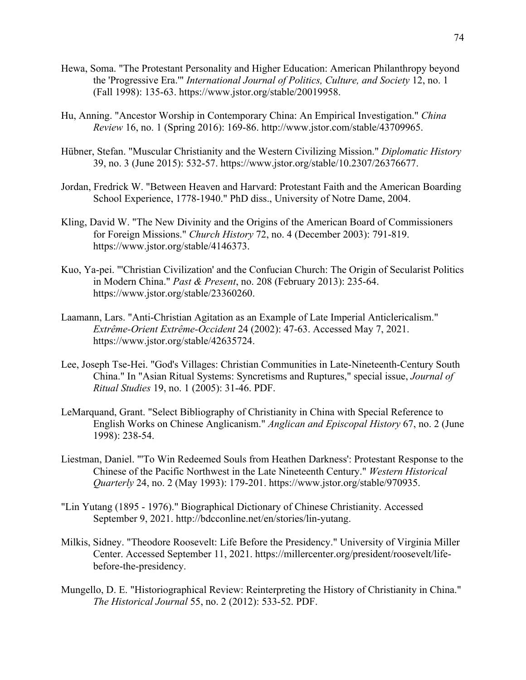- Hewa, Soma. "The Protestant Personality and Higher Education: American Philanthropy beyond the 'Progressive Era.'" *International Journal of Politics, Culture, and Society* 12, no. 1 (Fall 1998): 135-63. https://www.jstor.org/stable/20019958.
- Hu, Anning. "Ancestor Worship in Contemporary China: An Empirical Investigation." *China Review* 16, no. 1 (Spring 2016): 169-86. http://www.jstor.com/stable/43709965.
- Hübner, Stefan. "Muscular Christianity and the Western Civilizing Mission." *Diplomatic History* 39, no. 3 (June 2015): 532-57. https://www.jstor.org/stable/10.2307/26376677.
- Jordan, Fredrick W. "Between Heaven and Harvard: Protestant Faith and the American Boarding School Experience, 1778-1940." PhD diss., University of Notre Dame, 2004.
- Kling, David W. "The New Divinity and the Origins of the American Board of Commissioners for Foreign Missions." *Church History* 72, no. 4 (December 2003): 791-819. https://www.jstor.org/stable/4146373.
- Kuo, Ya-pei. "'Christian Civilization' and the Confucian Church: The Origin of Secularist Politics in Modern China." *Past & Present*, no. 208 (February 2013): 235-64. https://www.jstor.org/stable/23360260.
- Laamann, Lars. "Anti-Christian Agitation as an Example of Late Imperial Anticlericalism." *Extrême-Orient Extrême-Occident* 24 (2002): 47-63. Accessed May 7, 2021. https://www.jstor.org/stable/42635724.
- Lee, Joseph Tse-Hei. "God's Villages: Christian Communities in Late-Nineteenth-Century South China." In "Asian Ritual Systems: Syncretisms and Ruptures," special issue, *Journal of Ritual Studies* 19, no. 1 (2005): 31-46. PDF.
- LeMarquand, Grant. "Select Bibliography of Christianity in China with Special Reference to English Works on Chinese Anglicanism." *Anglican and Episcopal History* 67, no. 2 (June 1998): 238-54.
- Liestman, Daniel. "'To Win Redeemed Souls from Heathen Darkness': Protestant Response to the Chinese of the Pacific Northwest in the Late Nineteenth Century." *Western Historical Quarterly* 24, no. 2 (May 1993): 179-201. https://www.jstor.org/stable/970935.
- "Lin Yutang (1895 1976)." Biographical Dictionary of Chinese Christianity. Accessed September 9, 2021. http://bdcconline.net/en/stories/lin-yutang.
- Milkis, Sidney. "Theodore Roosevelt: Life Before the Presidency." University of Virginia Miller Center. Accessed September 11, 2021. https://millercenter.org/president/roosevelt/lifebefore-the-presidency.
- Mungello, D. E. "Historiographical Review: Reinterpreting the History of Christianity in China." *The Historical Journal* 55, no. 2 (2012): 533-52. PDF.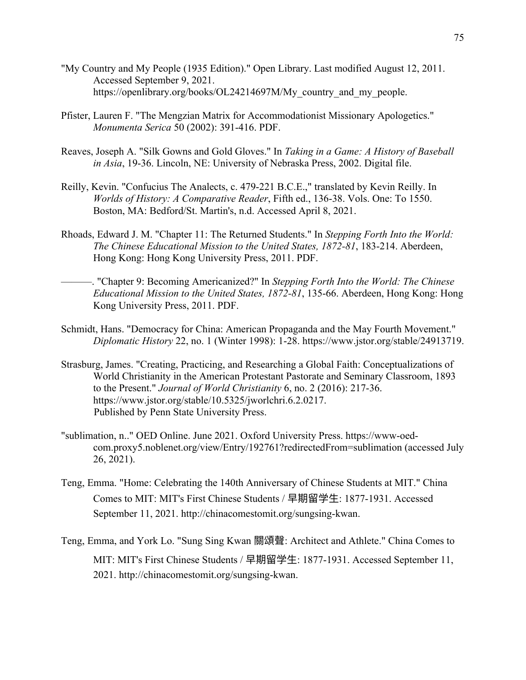- "My Country and My People (1935 Edition)." Open Library. Last modified August 12, 2011. Accessed September 9, 2021. https://openlibrary.org/books/OL24214697M/My\_country\_and\_my\_people.
- Pfister, Lauren F. "The Mengzian Matrix for Accommodationist Missionary Apologetics." *Monumenta Serica* 50 (2002): 391-416. PDF.
- Reaves, Joseph A. "Silk Gowns and Gold Gloves." In *Taking in a Game: A History of Baseball in Asia*, 19-36. Lincoln, NE: University of Nebraska Press, 2002. Digital file.
- Reilly, Kevin. "Confucius The Analects, c. 479-221 B.C.E.," translated by Kevin Reilly. In *Worlds of History: A Comparative Reader*, Fifth ed., 136-38. Vols. One: To 1550. Boston, MA: Bedford/St. Martin's, n.d. Accessed April 8, 2021.
- Rhoads, Edward J. M. "Chapter 11: The Returned Students." In *Stepping Forth Into the World: The Chinese Educational Mission to the United States, 1872-81*, 183-214. Aberdeen, Hong Kong: Hong Kong University Press, 2011. PDF.
- ———. "Chapter 9: Becoming Americanized?" In *Stepping Forth Into the World: The Chinese Educational Mission to the United States, 1872-81*, 135-66. Aberdeen, Hong Kong: Hong Kong University Press, 2011. PDF.
- Schmidt, Hans. "Democracy for China: American Propaganda and the May Fourth Movement." *Diplomatic History* 22, no. 1 (Winter 1998): 1-28. https://www.jstor.org/stable/24913719.
- Strasburg, James. "Creating, Practicing, and Researching a Global Faith: Conceptualizations of World Christianity in the American Protestant Pastorate and Seminary Classroom, 1893 to the Present." *Journal of World Christianity* 6, no. 2 (2016): 217-36. https://www.jstor.org/stable/10.5325/jworlchri.6.2.0217. Published by Penn State University Press.
- "sublimation, n.." OED Online. June 2021. Oxford University Press. https://www-oedcom.proxy5.noblenet.org/view/Entry/192761?redirectedFrom=sublimation (accessed July 26, 2021).
- Teng, Emma. "Home: Celebrating the 140th Anniversary of Chinese Students at MIT." China Comes to MIT: MIT's First Chinese Students / 早期留学生: 1877-1931. Accessed September 11, 2021. http://chinacomestomit.org/sungsing-kwan.
- Teng, Emma, and York Lo. "Sung Sing Kwan 關頌聲: Architect and Athlete." China Comes to MIT: MIT's First Chinese Students / 早期留学⽣: 1877-1931. Accessed September 11, 2021. http://chinacomestomit.org/sungsing-kwan.